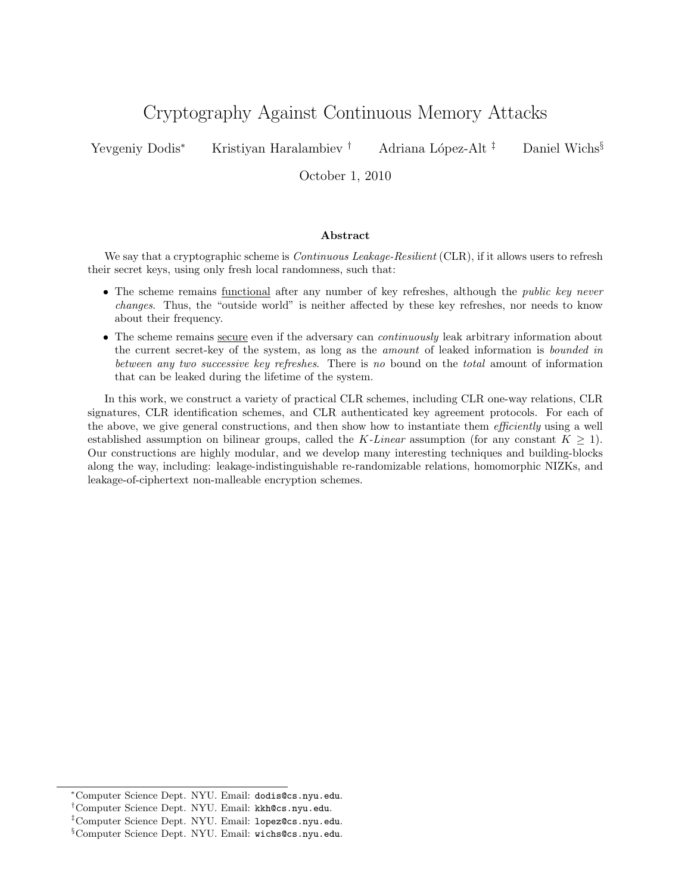# Cryptography Against Continuous Memory Attacks

Yevgeniy Dodis<sup>∗</sup> Kristiyan Haralambiev <sup>†</sup> Adriana López-Alt <sup>‡</sup> Daniel Wichs<sup>§</sup>

October 1, 2010

#### Abstract

We say that a cryptographic scheme is *Continuous Leakage-Resilient* (CLR), if it allows users to refresh their secret keys, using only fresh local randomness, such that:

- The scheme remains <u>functional</u> after any number of key refreshes, although the *public key never* changes. Thus, the "outside world" is neither affected by these key refreshes, nor needs to know about their frequency.
- The scheme remains secure even if the adversary can *continuously* leak arbitrary information about the current secret-key of the system, as long as the amount of leaked information is bounded in between any two successive key refreshes. There is no bound on the total amount of information that can be leaked during the lifetime of the system.

In this work, we construct a variety of practical CLR schemes, including CLR one-way relations, CLR signatures, CLR identification schemes, and CLR authenticated key agreement protocols. For each of the above, we give general constructions, and then show how to instantiate them *efficiently* using a well established assumption on bilinear groups, called the K-Linear assumption (for any constant  $K \geq 1$ ). Our constructions are highly modular, and we develop many interesting techniques and building-blocks along the way, including: leakage-indistinguishable re-randomizable relations, homomorphic NIZKs, and leakage-of-ciphertext non-malleable encryption schemes.

<sup>∗</sup>Computer Science Dept. NYU. Email: dodis@cs.nyu.edu.

<sup>†</sup>Computer Science Dept. NYU. Email: kkh@cs.nyu.edu.

<sup>‡</sup>Computer Science Dept. NYU. Email: lopez@cs.nyu.edu.

<sup>§</sup>Computer Science Dept. NYU. Email: wichs@cs.nyu.edu.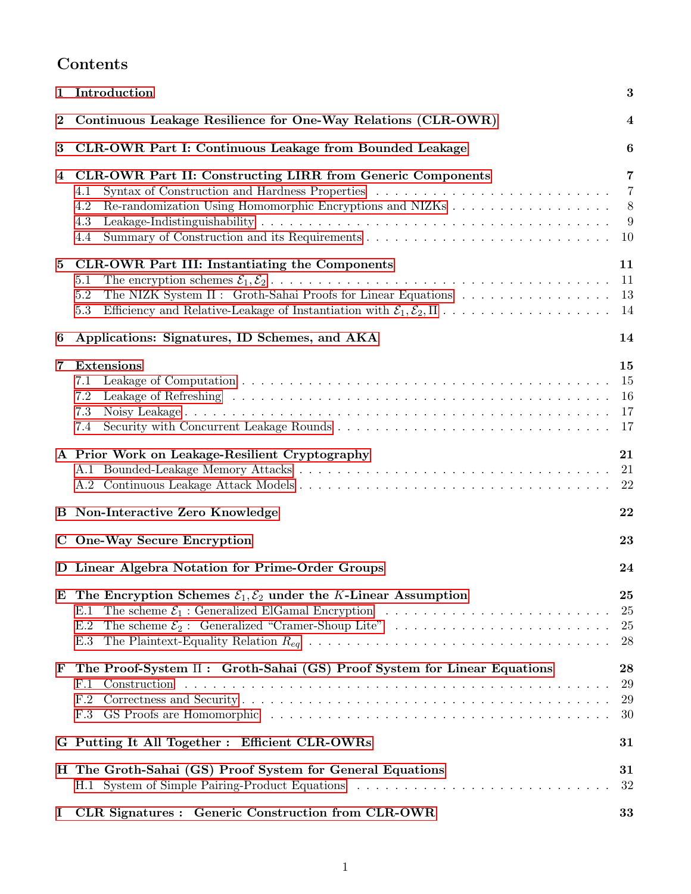# Contents

|          | 3<br>1 Introduction                                                                                                                                                                                                                     |                                            |  |  |  |  |
|----------|-----------------------------------------------------------------------------------------------------------------------------------------------------------------------------------------------------------------------------------------|--------------------------------------------|--|--|--|--|
| 2        | Continuous Leakage Resilience for One-Way Relations (CLR-OWR)<br>$\overline{4}$                                                                                                                                                         |                                            |  |  |  |  |
| 3        | CLR-OWR Part I: Continuous Leakage from Bounded Leakage<br>$\boldsymbol{6}$                                                                                                                                                             |                                            |  |  |  |  |
| 4        | <b>CLR-OWR Part II: Constructing LIRR from Generic Components</b><br>4.1<br>4.2<br>4.3<br>4.4                                                                                                                                           | $\overline{7}$<br>$\overline{7}$<br>8<br>9 |  |  |  |  |
| $\bf{5}$ | CLR-OWR Part III: Instantiating the Components<br>5.1<br>The NIZK System $\Pi$ : Groth-Sahai Proofs for Linear Equations<br>5.2<br>5.3                                                                                                  | 11<br>11<br>13<br>-14                      |  |  |  |  |
| 6        | Applications: Signatures, ID Schemes, and AKA                                                                                                                                                                                           | 14                                         |  |  |  |  |
| 7        | <b>Extensions</b><br>7.1<br>7.2<br>7.3<br>7.4                                                                                                                                                                                           | 15<br>-15<br>16                            |  |  |  |  |
|          | A Prior Work on Leakage-Resilient Cryptography                                                                                                                                                                                          | 21<br>21<br>22                             |  |  |  |  |
|          | <b>B</b> Non-Interactive Zero Knowledge<br>22                                                                                                                                                                                           |                                            |  |  |  |  |
|          | C One-Way Secure Encryption<br>23                                                                                                                                                                                                       |                                            |  |  |  |  |
|          | D Linear Algebra Notation for Prime-Order Groups<br>24                                                                                                                                                                                  |                                            |  |  |  |  |
| E        | The Encryption Schemes $\mathcal{E}_1, \mathcal{E}_2$ under the K-Linear Assumption<br>The scheme $\mathcal{E}_1$ : Generalized ElGamal Encryption<br>E.1<br>The scheme $\mathcal{E}_2$ : Generalized "Cramer-Shoup Lite"<br>E.2<br>E.3 | 25<br>25<br>25<br>28                       |  |  |  |  |
| F        | The Proof-System $\Pi$ : Groth-Sahai (GS) Proof System for Linear Equations<br>a de la caractería de la caractería de la caractería de la caractería de la caractería de la caractería<br>F.1<br>Construction<br>F.2<br>F.3             | $\boldsymbol{28}$<br>29<br>29<br>30        |  |  |  |  |
|          | G Putting It All Together : Efficient CLR-OWRs                                                                                                                                                                                          | 31                                         |  |  |  |  |
|          | H The Groth-Sahai (GS) Proof System for General Equations                                                                                                                                                                               | 31<br>32                                   |  |  |  |  |
| Ι        | CLR Signatures : Generic Construction from CLR-OWR                                                                                                                                                                                      | 33                                         |  |  |  |  |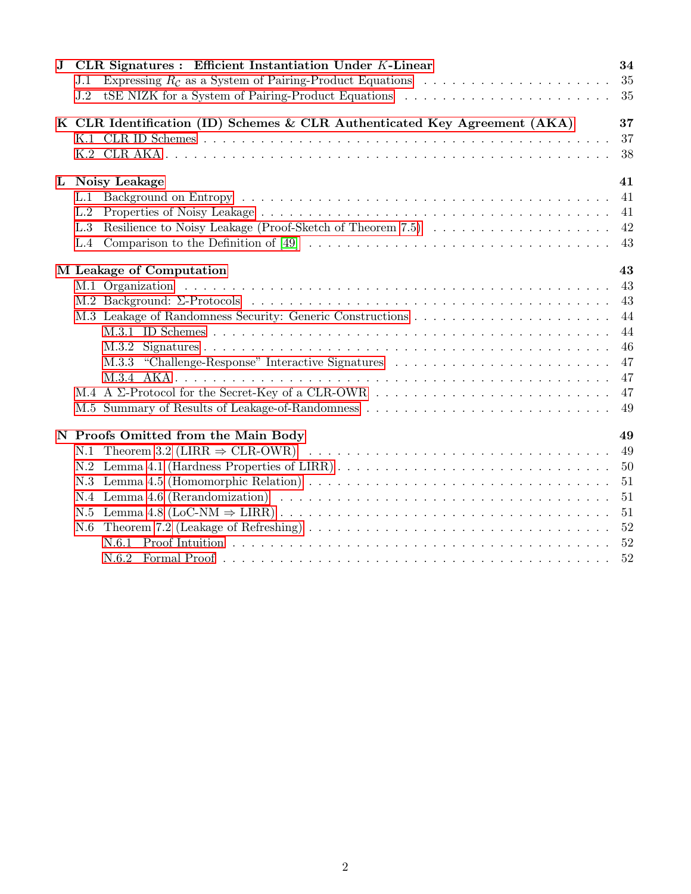| $\mathbf{J}$ | CLR Signatures : Efficient Instantiation Under K-Linear<br>Expressing $R_c$ as a System of Pairing-Product Equations<br>J.1<br>J.2                                                                                                                                                                                                                               | 34<br>35<br>35                                     |
|--------------|------------------------------------------------------------------------------------------------------------------------------------------------------------------------------------------------------------------------------------------------------------------------------------------------------------------------------------------------------------------|----------------------------------------------------|
|              | K CLR Identification (ID) Schemes & CLR Authenticated Key Agreement (AKA)                                                                                                                                                                                                                                                                                        | 37<br>37<br>38                                     |
|              | L Noisy Leakage<br>L.1<br>L.2<br>L.3<br>Comparison to the Definition of [49] $\ldots \ldots \ldots \ldots \ldots \ldots \ldots \ldots \ldots \ldots \ldots \ldots$<br>L.4                                                                                                                                                                                        | 41<br>41<br>41<br>42<br>43                         |
|              | M Leakage of Computation                                                                                                                                                                                                                                                                                                                                         | 43                                                 |
|              | M.3.3 "Challenge-Response" Interactive Signatures                                                                                                                                                                                                                                                                                                                | 43<br>43<br>44<br>44<br>46<br>47<br>47<br>47<br>49 |
|              | N Proofs Omitted from the Main Body<br>N.1<br>Lemma 4.1 (Hardness Properties of LIRR)<br>N.2<br>N.3<br>N.4 Lemma 4.6 (Rerandomization) $\ldots \ldots \ldots \ldots \ldots \ldots \ldots \ldots \ldots \ldots \ldots \ldots$<br>N.5<br>Theorem 7.2 (Leakage of Refreshing) $\ldots \ldots \ldots \ldots \ldots \ldots \ldots \ldots \ldots \ldots \ldots$<br>N.6 | 49<br>49<br>50<br>51<br>51<br>51<br>52<br>52       |
|              |                                                                                                                                                                                                                                                                                                                                                                  | 52                                                 |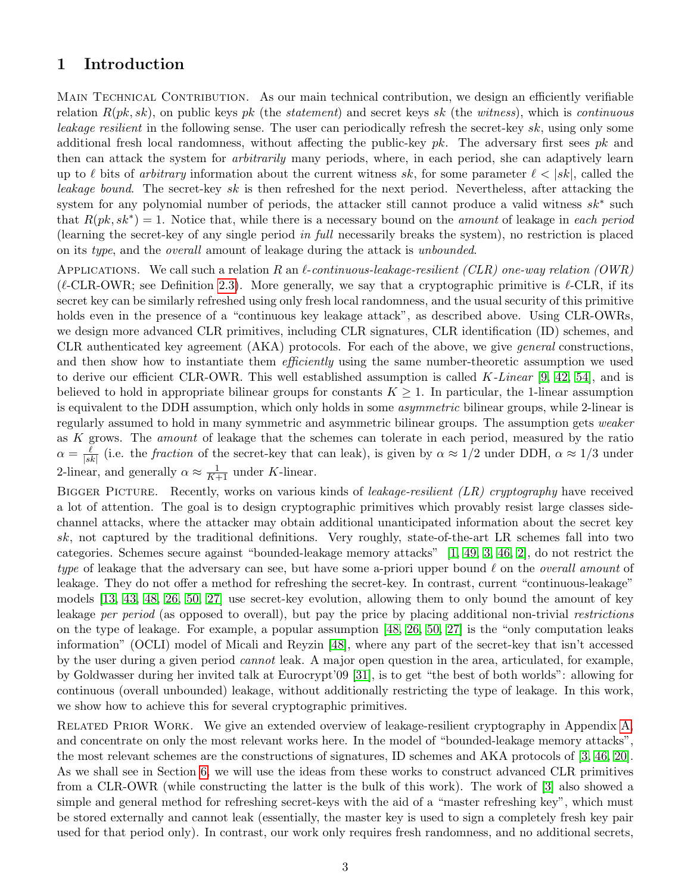# <span id="page-3-0"></span>1 Introduction

MAIN TECHNICAL CONTRIBUTION. As our main technical contribution, we design an efficiently verifiable relation  $R(pk, sk)$ , on public keys pk (the statement) and secret keys sk (the witness), which is continuous leakage resilient in the following sense. The user can periodically refresh the secret-key sk, using only some additional fresh local randomness, without affecting the public-key  $pk$ . The adversary first sees  $pk$  and then can attack the system for arbitrarily many periods, where, in each period, she can adaptively learn up to  $\ell$  bits of arbitrary information about the current witness sk, for some parameter  $\ell < |sk|$ , called the leakage bound. The secret-key sk is then refreshed for the next period. Nevertheless, after attacking the system for any polynomial number of periods, the attacker still cannot produce a valid witness  $sk^*$  such that  $R(pk, sk^*) = 1$ . Notice that, while there is a necessary bound on the *amount* of leakage in each period (learning the secret-key of any single period in full necessarily breaks the system), no restriction is placed on its type, and the overall amount of leakage during the attack is unbounded.

APPLICATIONS. We call such a relation R an  $\ell$ -continuous-leakage-resilient (CLR) one-way relation (OWR) ( $\ell$ -CLR-OWR; see Definition [2.3\)](#page-5-0). More generally, we say that a cryptographic primitive is  $\ell$ -CLR, if its secret key can be similarly refreshed using only fresh local randomness, and the usual security of this primitive holds even in the presence of a "continuous key leakage attack", as described above. Using CLR-OWRs, we design more advanced CLR primitives, including CLR signatures, CLR identification (ID) schemes, and CLR authenticated key agreement (AKA) protocols. For each of the above, we give general constructions, and then show how to instantiate them *efficiently* using the same number-theoretic assumption we used to derive our efficient CLR-OWR. This well established assumption is called  $K\text{-}Linear\ [9, 42, 54]$  $K\text{-}Linear\ [9, 42, 54]$  $K\text{-}Linear\ [9, 42, 54]$  $K\text{-}Linear\ [9, 42, 54]$ , and is believed to hold in appropriate bilinear groups for constants  $K \geq 1$ . In particular, the 1-linear assumption is equivalent to the DDH assumption, which only holds in some *asymmetric* bilinear groups, while 2-linear is regularly assumed to hold in many symmetric and asymmetric bilinear groups. The assumption gets weaker as K grows. The amount of leakage that the schemes can tolerate in each period, measured by the ratio  $\alpha = \frac{\ell}{\lg \ell}$  $\frac{\ell}{|sk|}$  (i.e. the *fraction* of the secret-key that can leak), is given by  $\alpha \approx 1/2$  under DDH,  $\alpha \approx 1/3$  under 2-linear, and generally  $\alpha \approx \frac{1}{K+1}$  under K-linear.

BIGGER PICTURE. Recently, works on various kinds of *leakage-resilient (LR) cryptography* have received a lot of attention. The goal is to design cryptographic primitives which provably resist large classes sidechannel attacks, where the attacker may obtain additional unanticipated information about the secret key sk, not captured by the traditional definitions. Very roughly, state-of-the-art LR schemes fall into two categories. Schemes secure against "bounded-leakage memory attacks" [\[1,](#page-18-1) [49,](#page-20-0) [3,](#page-18-2) [46,](#page-20-2) [2\]](#page-18-3), do not restrict the type of leakage that the adversary can see, but have some a-priori upper bound  $\ell$  on the *overall amount* of leakage. They do not offer a method for refreshing the secret-key. In contrast, current "continuous-leakage" models [\[13,](#page-18-4) [43,](#page-20-3) [48,](#page-20-4) [26,](#page-19-0) [50,](#page-20-5) [27\]](#page-19-1) use secret-key evolution, allowing them to only bound the amount of key leakage per period (as opposed to overall), but pay the price by placing additional non-trivial restrictions on the type of leakage. For example, a popular assumption [\[48,](#page-20-4) [26,](#page-19-0) [50,](#page-20-5) [27\]](#page-19-1) is the "only computation leaks information" (OCLI) model of Micali and Reyzin [\[48\]](#page-20-4), where any part of the secret-key that isn't accessed by the user during a given period cannot leak. A major open question in the area, articulated, for example, by Goldwasser during her invited talk at Eurocrypt'09 [\[31\]](#page-19-2), is to get "the best of both worlds": allowing for continuous (overall unbounded) leakage, without additionally restricting the type of leakage. In this work, we show how to achieve this for several cryptographic primitives.

RELATED PRIOR WORK. We give an extended overview of leakage-resilient cryptography in Appendix [A,](#page-21-0) and concentrate on only the most relevant works here. In the model of "bounded-leakage memory attacks", the most relevant schemes are the constructions of signatures, ID schemes and AKA protocols of [\[3,](#page-18-2) [46,](#page-20-2) [20\]](#page-19-3). As we shall see in Section [6,](#page-14-1) we will use the ideas from these works to construct advanced CLR primitives from a CLR-OWR (while constructing the latter is the bulk of this work). The work of [\[3\]](#page-18-2) also showed a simple and general method for refreshing secret-keys with the aid of a "master refreshing key", which must be stored externally and cannot leak (essentially, the master key is used to sign a completely fresh key pair used for that period only). In contrast, our work only requires fresh randomness, and no additional secrets,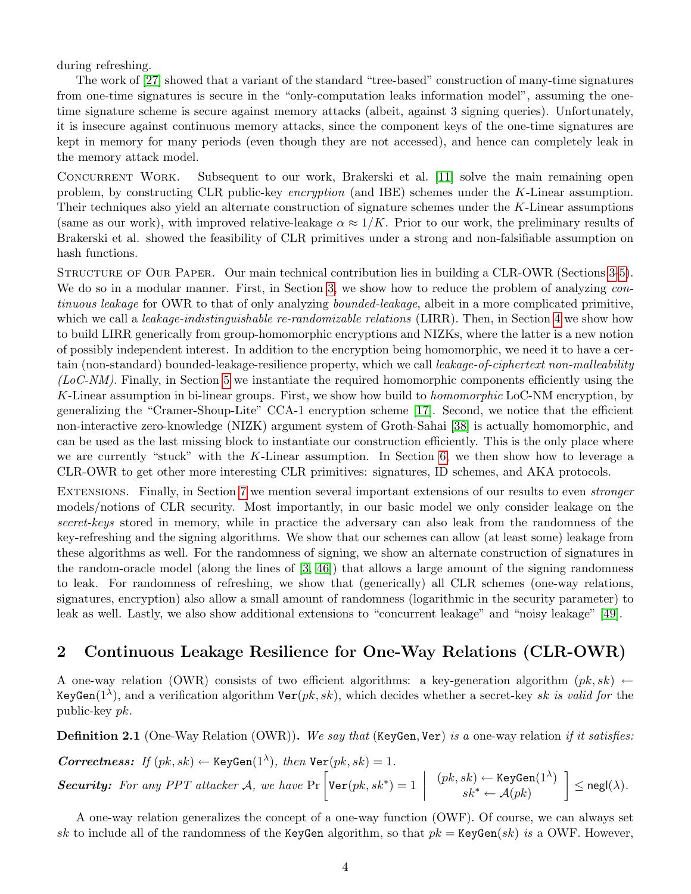during refreshing.

The work of [\[27\]](#page-19-1) showed that a variant of the standard "tree-based" construction of many-time signatures from one-time signatures is secure in the "only-computation leaks information model", assuming the onetime signature scheme is secure against memory attacks (albeit, against 3 signing queries). Unfortunately, it is insecure against continuous memory attacks, since the component keys of the one-time signatures are kept in memory for many periods (even though they are not accessed), and hence can completely leak in the memory attack model.

CONCURRENT WORK. Subsequent to our work, Brakerski et al. [\[11\]](#page-18-5) solve the main remaining open problem, by constructing CLR public-key encryption (and IBE) schemes under the K-Linear assumption. Their techniques also yield an alternate construction of signature schemes under the K-Linear assumptions (same as our work), with improved relative-leakage  $\alpha \approx 1/K$ . Prior to our work, the preliminary results of Brakerski et al. showed the feasibility of CLR primitives under a strong and non-falsifiable assumption on hash functions.

STRUCTURE OF OUR PAPER. Our main technical contribution lies in building a CLR-OWR (Sections [3-](#page-6-0)[5\)](#page-11-0). We do so in a modular manner. First, in Section [3,](#page-6-0) we show how to reduce the problem of analyzing continuous leakage for OWR to that of only analyzing *bounded-leakage*, albeit in a more complicated primitive, which we call a *leakage-indistinguishable re-randomizable relations* (LIRR). Then, in Section [4](#page-7-0) we show how to build LIRR generically from group-homomorphic encryptions and NIZKs, where the latter is a new notion of possibly independent interest. In addition to the encryption being homomorphic, we need it to have a certain (non-standard) bounded-leakage-resilience property, which we call *leakage-of-ciphertext non-malleability*  $(LoC-NM)$ . Finally, in Section [5](#page-11-0) we instantiate the required homomorphic components efficiently using the K-Linear assumption in bi-linear groups. First, we show how build to *homomorphic* LoC-NM encryption, by generalizing the "Cramer-Shoup-Lite" CCA-1 encryption scheme [\[17\]](#page-19-4). Second, we notice that the efficient non-interactive zero-knowledge (NIZK) argument system of Groth-Sahai [\[38\]](#page-20-6) is actually homomorphic, and can be used as the last missing block to instantiate our construction efficiently. This is the only place where we are currently "stuck" with the K-Linear assumption. In Section [6,](#page-14-1) we then show how to leverage a CLR-OWR to get other more interesting CLR primitives: signatures, ID schemes, and AKA protocols.

EXTENSIONS. Finally, in Section [7](#page-15-0) we mention several important extensions of our results to even *stronger* models/notions of CLR security. Most importantly, in our basic model we only consider leakage on the secret-keys stored in memory, while in practice the adversary can also leak from the randomness of the key-refreshing and the signing algorithms. We show that our schemes can allow (at least some) leakage from these algorithms as well. For the randomness of signing, we show an alternate construction of signatures in the random-oracle model (along the lines of  $[3, 46]$  $[3, 46]$ ) that allows a large amount of the signing randomness to leak. For randomness of refreshing, we show that (generically) all CLR schemes (one-way relations, signatures, encryption) also allow a small amount of randomness (logarithmic in the security parameter) to leak as well. Lastly, we also show additional extensions to "concurrent leakage" and "noisy leakage" [\[49\]](#page-20-0).

# <span id="page-4-0"></span>2 Continuous Leakage Resilience for One-Way Relations (CLR-OWR)

A one-way relation (OWR) consists of two efficient algorithms: a key-generation algorithm  $(pk, sk) \leftarrow$ KeyGen(1<sup> $\lambda$ </sup>), and a verification algorithm Ver(pk, sk), which decides whether a secret-key sk is valid for the public-key pk.

<span id="page-4-1"></span>**Definition 2.1** (One-Way Relation (OWR)). We say that (KeyGen, Ver) is a one-way relation if it satisfies:

*Correctness:* If 
$$
(pk, sk) \leftarrow \text{KeyGen}(1^{\lambda})
$$
, then  $\text{Ver}(pk, sk) = 1$ .  
\n*Security:* For any PPT attacker A, we have  $\Pr \left[ \text{Ver}(pk, sk^*) = 1 \mid \begin{array}{c} (pk, sk) \leftarrow \text{KeyGen}(1^{\lambda}) \\ sk^* \leftarrow A(pk) \end{array} \right] \leq \text{negl}(\lambda)$ .

A one-way relation generalizes the concept of a one-way function (OWF). Of course, we can always set sk to include all of the randomness of the KeyGen algorithm, so that  $pk = \text{KeyGen}(sk)$  is a OWF. However,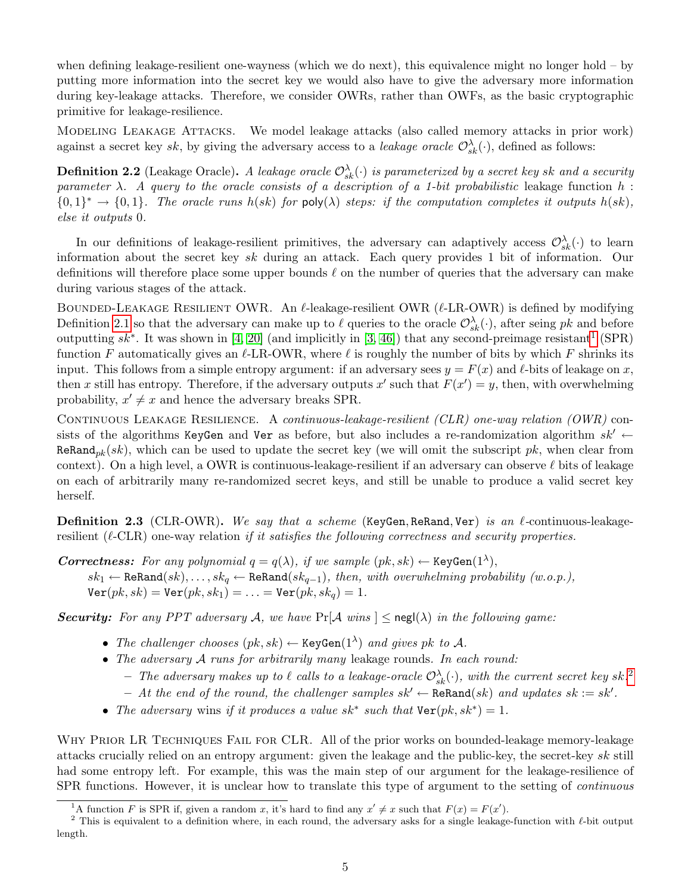when defining leakage-resilient one-wayness (which we do next), this equivalence might no longer hold – by putting more information into the secret key we would also have to give the adversary more information during key-leakage attacks. Therefore, we consider OWRs, rather than OWFs, as the basic cryptographic primitive for leakage-resilience.

Modeling Leakage Attacks. We model leakage attacks (also called memory attacks in prior work) against a secret key sk, by giving the adversary access to a *leakage oracle*  $\mathcal{O}_{sk}^{\lambda}(\cdot)$ , defined as follows:

<span id="page-5-3"></span>**Definition 2.2** (Leakage Oracle). A leakage oracle  $\mathcal{O}_{sk}^{\lambda}(\cdot)$  is parameterized by a secret key sk and a security parameter  $\lambda$ . A query to the oracle consists of a description of a 1-bit probabilistic leakage function h:  ${0,1}^* \rightarrow {0,1}$ . The oracle runs  $h(sk)$  for poly( $\lambda$ ) steps: if the computation completes it outputs  $h(sk)$ , else it outputs 0.

In our definitions of leakage-resilient primitives, the adversary can adaptively access  $\mathcal{O}_{sk}^{\lambda}(\cdot)$  to learn information about the secret key sk during an attack. Each query provides 1 bit of information. Our definitions will therefore place some upper bounds  $\ell$  on the number of queries that the adversary can make during various stages of the attack.

BOUNDED-LEAKAGE RESILIENT OWR. An  $\ell$ -leakage-resilient OWR ( $\ell$ -LR-OWR) is defined by modifying Definition [2.1](#page-4-1) so that the adversary can make up to  $\ell$  queries to the oracle  $\mathcal{O}_{sk}^{\lambda}(\cdot)$ , after seing pk and before outputting  $sk^*$ . It was shown in [\[4,](#page-18-6) [20\]](#page-19-3) (and implicitly in [\[3,](#page-18-2) [46\]](#page-20-2)) that any second-preimage resistant<sup>[1](#page-5-1)</sup> (SPR) function F automatically gives an  $\ell$ -LR-OWR, where  $\ell$  is roughly the number of bits by which F shrinks its input. This follows from a simple entropy argument: if an adversary sees  $y = F(x)$  and  $\ell$ -bits of leakage on x, then x still has entropy. Therefore, if the adversary outputs  $x'$  such that  $F(x') = y$ , then, with overwhelming probability,  $x' \neq x$  and hence the adversary breaks SPR.

CONTINUOUS LEAKAGE RESILIENCE. A continuous-leakage-resilient (CLR) one-way relation (OWR) consists of the algorithms KeyGen and Ver as before, but also includes a re-randomization algorithm  $sk' \leftarrow$ ReRand<sub>pk</sub> $(sk)$ , which can be used to update the secret key (we will omit the subscript pk, when clear from context). On a high level, a OWR is continuous-leakage-resilient if an adversary can observe  $\ell$  bits of leakage on each of arbitrarily many re-randomized secret keys, and still be unable to produce a valid secret key herself.

<span id="page-5-0"></span>**Definition 2.3** (CLR-OWR). We say that a scheme (KeyGen, ReRand, Ver) is an  $\ell$ -continuous-leakageresilient ( $\ell$ -CLR) one-way relation if it satisfies the following correctness and security properties.

**Correctness:** For any polynomial  $q = q(\lambda)$ , if we sample  $(pk, sk) \leftarrow \text{KeyGen}(1^{\lambda})$ ,  $sk_1 \leftarrow \texttt{ReRand}(sk), \ldots, sk_q \leftarrow \texttt{ReRand}(sk_{q-1}), \text{ then, with overwhelming probability } (w.o.p.),$  $\text{Ver}(pk, sk) = \text{Ver}(pk, sk_1) = \ldots = \text{Ver}(pk, sk_a) = 1.$ 

**Security:** For any PPT adversary A, we have  $Pr[A \text{ wins}] \leq \text{negl}(\lambda)$  in the following game:

- The challenger chooses  $(pk, sk) \leftarrow \text{KeyGen}(1^{\lambda})$  and gives pk to A.
- The adversary A runs for arbitrarily many leakage rounds. In each round:
	- The adversary makes up to  $\ell$  calls to a leakage-oracle  $\mathcal{O}^\lambda_{sk}(\cdot)$ , with the current secret key sk.<sup>[2](#page-5-2)</sup>
	- At the end of the round, the challenger samples  $sk'$  ← ReRand(sk) and updates  $sk := sk'.$
- The adversary wins if it produces a value  $sk^*$  such that  $\text{Ver}(pk, sk^*) = 1$ .

WHY PRIOR LR TECHNIQUES FAIL FOR CLR. All of the prior works on bounded-leakage memory-leakage attacks crucially relied on an entropy argument: given the leakage and the public-key, the secret-key sk still had some entropy left. For example, this was the main step of our argument for the leakage-resilience of SPR functions. However, it is unclear how to translate this type of argument to the setting of *continuous* 

<span id="page-5-2"></span><span id="page-5-1"></span><sup>&</sup>lt;sup>1</sup>A function F is SPR if, given a random x, it's hard to find any  $x' \neq x$  such that  $F(x) = F(x')$ .

<sup>&</sup>lt;sup>2</sup> This is equivalent to a definition where, in each round, the adversary asks for a single leakage-function with  $\ell$ -bit output length.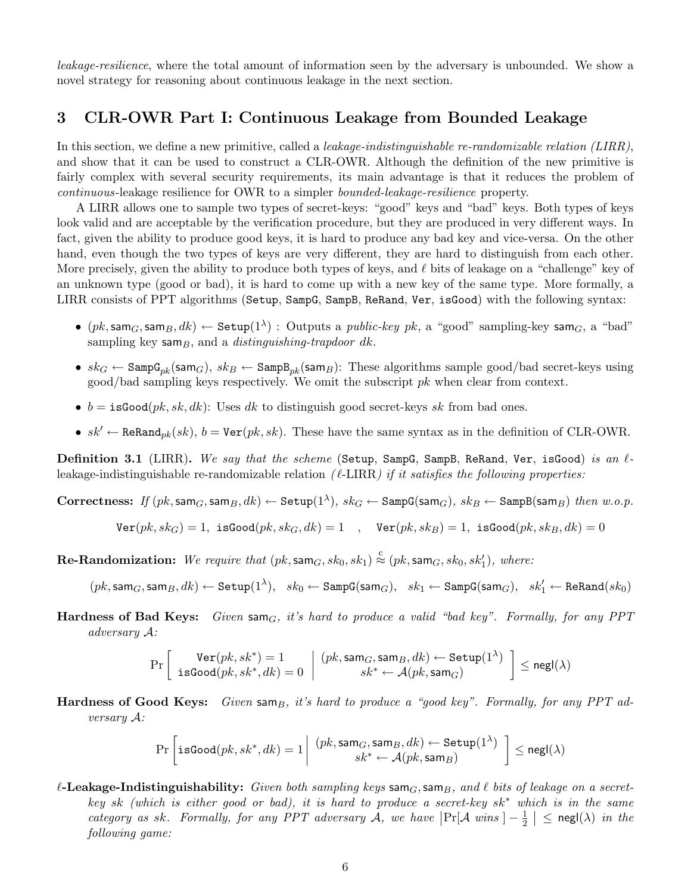leakage-resilience, where the total amount of information seen by the adversary is unbounded. We show a novel strategy for reasoning about continuous leakage in the next section.

# <span id="page-6-0"></span>3 CLR-OWR Part I: Continuous Leakage from Bounded Leakage

In this section, we define a new primitive, called a *leakage-indistinguishable re-randomizable relation (LIRR)*, and show that it can be used to construct a CLR-OWR. Although the definition of the new primitive is fairly complex with several security requirements, its main advantage is that it reduces the problem of continuous-leakage resilience for OWR to a simpler bounded-leakage-resilience property.

A LIRR allows one to sample two types of secret-keys: "good" keys and "bad" keys. Both types of keys look valid and are acceptable by the verification procedure, but they are produced in very different ways. In fact, given the ability to produce good keys, it is hard to produce any bad key and vice-versa. On the other hand, even though the two types of keys are very different, they are hard to distinguish from each other. More precisely, given the ability to produce both types of keys, and  $\ell$  bits of leakage on a "challenge" key of an unknown type (good or bad), it is hard to come up with a new key of the same type. More formally, a LIRR consists of PPT algorithms (Setup, SampG, SampB, ReRand, Ver, isGood) with the following syntax:

- $\bullet$   $(pk, \textsf{sam}_G, \textsf{sam}_B, dk) \leftarrow \textsf{Setup}(1^{\lambda}):$  Outputs a public-key pk, a "good" sampling-key  $\mathsf{sam}_G,$  a "bad" sampling key sam $_B$ , and a *distinguishing-trapdoor dk*.
- $sk_G \leftarrow$  Samp $G_{pk}$ (sam $_G$ ),  $sk_B \leftarrow$  Samp $B_{pk}$ (sam $_B$ ): These algorithms sample good/bad secret-keys using  $\gcd/\text{bad sampling keys respectively.}$  We omit the subscript  $pk$  when clear from context.
- $b = \text{isGood}(pk, sk, dk)$ : Uses dk to distinguish good secret-keys sk from bad ones.
- $sk' \leftarrow \text{ReRand}_{pk}(sk), b = \text{Ver}(pk, sk)$ . These have the same syntax as in the definition of CLR-OWR.

<span id="page-6-1"></span>**Definition 3.1** (LIRR). We say that the scheme (Setup, SampG, SampB, ReRand, Ver, isGood) is an  $\ell$ leakage-indistinguishable re-randomizable relation ( $\ell$ -LIRR) if it satisfies the following properties:

 $\textbf{Correctness:} \ \textit{If} \ (pk, \textsf{sam}_G, \textsf{sam}_B, dk) \leftarrow \textsf{Setup}(1^{\lambda}), \ sk_G \leftarrow \textsf{SampG}(\textsf{sam}_G), \ sk_B \leftarrow \textsf{SampB}(\textsf{sam}_B) \ \textit{then} \ \textit{w.o.p.}$ 

$$
\texttt{Ver}(pk, sk_G) = 1, \ \texttt{isGood}(pk, sk_G, dk) = 1 \quad , \quad \texttt{Ver}(pk, sk_B) = 1, \ \texttt{isGood}(pk, sk_B, dk) = 0
$$

 $\textbf{Re-Randomization:} \ \ We \ \textit{require that} \ (pk, \textsf{sam}_G, \textit{sk}_0, \textit{sk}_1) \overset{\text{c}}{\approx} (pk, \textsf{sam}_G, \textit{sk}_0, \textit{sk}_1'), \ \textit{where:}$ 

 $(pk, \textsf{sam}_G, \textsf{sam}_B, dk) \leftarrow \textsf{Setup}(1^\lambda), \ \ sk_0 \leftarrow \textsf{SampG}(\textsf{sam}_G), \ \ sk_1 \leftarrow \textsf{SampG}(\textsf{sam}_G), \ \ sk'_1 \leftarrow \textsf{ReRand}(sk_0)$ 

Hardness of Bad Keys: Given sam $_G$ , it's hard to produce a valid "bad key". Formally, for any PPT adversary A:

$$
\Pr\left[\begin{array}{c} {\rm Ver}(pk,sk^*) = 1 \\ {\rm isGood}(pk,sk^*,dk) = 0 \end{array} \middle| \begin{array}{c} (pk,{\rm sam}_G,{\rm sam}_B,dk) \leftarrow {\rm Setup}(1^\lambda) \\ sk^* \leftarrow \mathcal{A}(pk,{\rm sam}_G) \end{array} \right] \leq {\rm negl}(\lambda)
$$

Hardness of Good Keys: Given sam $_B$ , it's hard to produce a "good key". Formally, for any PPT adversary A:

$$
\Pr\left[\texttt{isGood}(pk, sk^*, dk) = 1 \middle| \begin{array}{c}(pk, \texttt{sam}_G, \texttt{sam}_B, dk) \leftarrow \texttt{Setup}(1^\lambda) \\ sk^* \leftarrow \mathcal{A}(pk, \texttt{sam}_B)\end{array}\right] \leq \texttt{negl}(\lambda)
$$

 $\ell$ -Leakage-Indistinguishability: Given both sampling keys sam<sub>G</sub>, sam<sub>B</sub>, and  $\ell$  bits of leakage on a secretkey sk (which is either good or bad), it is hard to produce a secret-key sk<sup>∗</sup> which is in the same category as sk. Formally, for any PPT adversary A, we have  $\Pr[\mathcal{A} \text{ wins } ] - \frac{1}{2}$  $\frac{1}{2}$   $\vert \leq$  negl $(\lambda)$  in the following game: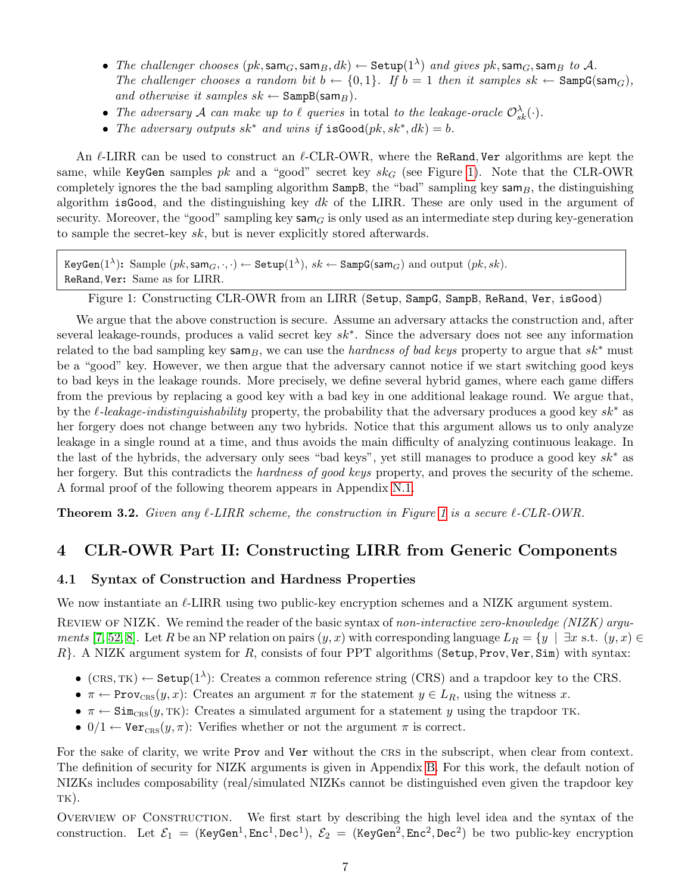- $\bullet$  The challenger chooses  $(pk, \textsf{sam}_G, \textsf{sam}_B, dk) \leftarrow \textsf{Setup}(1^\lambda)$  and gives  $pk, \textsf{sam}_G, \textsf{sam}_B$  to  $\mathcal{A}.$ The challenger chooses a random bit  $b \leftarrow \{0,1\}$ . If  $b = 1$  then it samples  $sk \leftarrow$  SampG(sam $_G$ ), and otherwise it samples  $sk \leftarrow$  SampB(sam<sub>B</sub>).
- The adversary A can make up to  $\ell$  queries in total to the leakage-oracle  $\mathcal{O}_{sk}^{\lambda}(\cdot)$ .
- The adversary outputs  $sk^*$  and wins if  $isGood(pk, sk^*, dk) = b$ .

An  $\ell$ -LIRR can be used to construct an  $\ell$ -CLR-OWR, where the ReRand, Ver algorithms are kept the same, while KeyGen samples pk and a "good" secret key  $sk_G$  (see Figure [1\)](#page-7-3). Note that the CLR-OWR completely ignores the the bad sampling algorithm  $SampB$ , the "bad" sampling key  $samp$ , the distinguishing algorithm is Good, and the distinguishing key dk of the LIRR. These are only used in the argument of security. Moreover, the "good" sampling key sam<sub>G</sub> is only used as an intermediate step during key-generation to sample the secret-key sk, but is never explicitly stored afterwards.

```
\texttt{KeyGen}(1^\lambda) \textbf{:} \ \ \text{Sample} \ (pk, \textsf{sam}_G, \cdot, \cdot) \leftarrow \texttt{Setup}(1^\lambda), \ sk \leftarrow \texttt{SampG}(\textsf{sam}_G) \ \ \text{and \ output} \ (pk, sk).ReRand, Ver: Same as for LIRR.
```
<span id="page-7-3"></span>Figure 1: Constructing CLR-OWR from an LIRR (Setup, SampG, SampB, ReRand, Ver, isGood)

We argue that the above construction is secure. Assume an adversary attacks the construction and, after several leakage-rounds, produces a valid secret key sk<sup>∗</sup>. Since the adversary does not see any information related to the bad sampling key sam<sub>B</sub>, we can use the *hardness of bad keys* property to argue that  $sk^*$  must be a "good" key. However, we then argue that the adversary cannot notice if we start switching good keys to bad keys in the leakage rounds. More precisely, we define several hybrid games, where each game differs from the previous by replacing a good key with a bad key in one additional leakage round. We argue that, by the  $\ell$ -leakage-indistinguishability property, the probability that the adversary produces a good key sk<sup>\*</sup> as her forgery does not change between any two hybrids. Notice that this argument allows us to only analyze leakage in a single round at a time, and thus avoids the main difficulty of analyzing continuous leakage. In the last of the hybrids, the adversary only sees "bad keys", yet still manages to produce a good key sk<sup>∗</sup> as her forgery. But this contradicts the hardness of good keys property, and proves the security of the scheme. A formal proof of the following theorem appears in Appendix [N.1.](#page-49-2)

<span id="page-7-2"></span>**Theorem 3.2.** Given any  $\ell$ -LIRR scheme, the construction in Figure [1](#page-7-3) is a secure  $\ell$ -CLR-OWR.

# <span id="page-7-0"></span>4 CLR-OWR Part II: Constructing LIRR from Generic Components

#### <span id="page-7-1"></span>4.1 Syntax of Construction and Hardness Properties

We now instantiate an  $\ell$ -LIRR using two public-key encryption schemes and a NIZK argument system.

REVIEW OF NIZK. We remind the reader of the basic syntax of non-interactive zero-knowledge (NIZK) argu-ments [\[7,](#page-18-7) [52,](#page-20-7) [8\]](#page-18-8). Let R be an NP relation on pairs  $(y, x)$  with corresponding language  $L_R = \{y \mid \exists x \text{ s.t. } (y, x) \in$  $R$ . A NIZK argument system for  $R$ , consists of four PPT algorithms (Setup, Prov, Ver, Sim) with syntax:

- (CRS, TK)  $\leftarrow$  Setup(1<sup> $\lambda$ </sup>): Creates a common reference string (CRS) and a trapdoor key to the CRS.
- $\pi \leftarrow \text{Prov}_{CRS}(y, x)$ : Creates an argument  $\pi$  for the statement  $y \in L_R$ , using the witness x.
- $\pi \leftarrow \text{Sim}_{CRS}(y, TK)$ : Creates a simulated argument for a statement y using the trapdoor TK.
- 0/1  $\leftarrow$  Vercr<sub>c</sub>ss(y,  $\pi$ ): Verifies whether or not the argument  $\pi$  is correct.

For the sake of clarity, we write Prov and Ver without the crs in the subscript, when clear from context. The definition of security for NIZK arguments is given in Appendix [B.](#page-22-1) For this work, the default notion of NIZKs includes composability (real/simulated NIZKs cannot be distinguished even given the trapdoor key  $TK)$ .

OVERVIEW OF CONSTRUCTION. We first start by describing the high level idea and the syntax of the construction. Let  $\mathcal{E}_1$  = (KeyGen<sup>1</sup>, Enc<sup>1</sup>, Dec<sup>1</sup>),  $\mathcal{E}_2$  = (KeyGen<sup>2</sup>, Enc<sup>2</sup>, Dec<sup>2</sup>) be two public-key encryption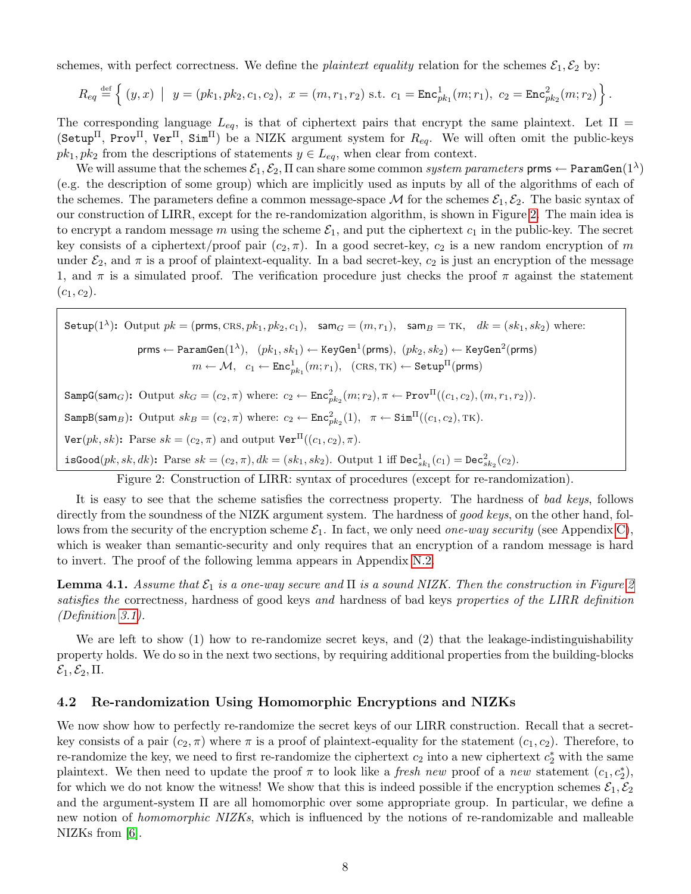schemes, with perfect correctness. We define the *plaintext equality* relation for the schemes  $\mathcal{E}_1, \mathcal{E}_2$  by:

$$
R_{eq} \stackrel{\text{def}}{=} \left\{ (y, x) \mid y = (pk_1, pk_2, c_1, c_2), x = (m, r_1, r_2) \text{ s.t. } c_1 = \text{Enc}_{pk_1}^1(m; r_1), c_2 = \text{Enc}_{pk_2}^2(m; r_2) \right\}.
$$

The corresponding language  $L_{eq}$ , is that of ciphertext pairs that encrypt the same plaintext. Let  $\Pi$  = (Setup<sup>II</sup>, Prov<sup>II</sup>, Ver<sup>II</sup>, Sim<sup>II</sup>) be a NIZK argument system for  $R_{eq}$ . We will often omit the public-keys  $pk_1, pk_2$  from the descriptions of statements  $y \in L_{eq}$ , when clear from context.

We will assume that the schemes  $\mathcal{E}_1,\mathcal{E}_2,\Pi$  can share some common  $system$   $parameters$   $\mathsf{prms} \leftarrow \mathtt{ParamGen}(1^\lambda)$ (e.g. the description of some group) which are implicitly used as inputs by all of the algorithms of each of the schemes. The parameters define a common message-space M for the schemes  $\mathcal{E}_1, \mathcal{E}_2$ . The basic syntax of our construction of LIRR, except for the re-randomization algorithm, is shown in Figure [2.](#page-8-2) The main idea is to encrypt a random message m using the scheme  $\mathcal{E}_1$ , and put the ciphertext  $c_1$  in the public-key. The secret key consists of a ciphertext/proof pair  $(c_2, \pi)$ . In a good secret-key,  $c_2$  is a new random encryption of m under  $\mathcal{E}_2$ , and  $\pi$  is a proof of plaintext-equality. In a bad secret-key,  $c_2$  is just an encryption of the message 1, and  $\pi$  is a simulated proof. The verification procedure just checks the proof  $\pi$  against the statement  $(c_1, c_2).$ 

Setup(1<sup>λ</sup>): Output 
$$
pk = (\text{prms}, \text{CRS}, pk_1, pk_2, c_1), \text{ sam } G = (m, r_1), \text{ sam } B = \text{TK}, dk = (sk_1, sk_2)
$$
 where:  
\n $\text{prms} \leftarrow \text{ParamGen}(1^{\lambda}), (pk_1, sk_1) \leftarrow \text{KeyGen}^1(\text{prms}), (pk_2, sk_2) \leftarrow \text{KeyGen}^2(\text{prms})$   
\n $m \leftarrow \mathcal{M}, c_1 \leftarrow \text{Enc}_{pk_1}^1(m; r_1), (\text{CRS}, \text{TK}) \leftarrow \text{Setup}^{\Pi}(\text{prms})$   
\n $\text{SampG}(\text{sam}_G): \text{Output } sk_G = (c_2, \pi) \text{ where: } c_2 \leftarrow \text{Enc}_{pk_2}^2(m; r_2), \pi \leftarrow \text{Prov}^{\Pi}((c_1, c_2), (m, r_1, r_2)).$   
\n $\text{SampB}(\text{sam}_B): \text{Output } sk_B = (c_2, \pi) \text{ where: } c_2 \leftarrow \text{Enc}_{pk_2}^2(1), \pi \leftarrow \text{Sim}^{\Pi}((c_1, c_2), \text{TK}).$   
\n $\text{Ver}(pk, sk): \text{ Parse } sk = (c_2, \pi) \text{ and output } \text{Ver}^{\Pi}((c_1, c_2), \pi).$   
\n $\text{isGood}(pk, sk, dk): \text{Parse } sk = (c_2, \pi), dk = (sk_1, sk_2). \text{ Output 1 iff Dec}_{sk_1}^1(c_1) = \text{Dec}_{sk_2}^2(c_2).$ 

<span id="page-8-2"></span>Figure 2: Construction of LIRR: syntax of procedures (except for re-randomization).

It is easy to see that the scheme satisfies the correctness property. The hardness of bad keys, follows directly from the soundness of the NIZK argument system. The hardness of good keys, on the other hand, follows from the security of the encryption scheme  $\mathcal{E}_1$ . In fact, we only need one-way security (see Appendix [C\)](#page-23-0), which is weaker than semantic-security and only requires that an encryption of a random message is hard to invert. The proof of the following lemma appears in Appendix [N.2.](#page-50-0)

<span id="page-8-1"></span>**Lemma 4.1.** Assume that  $\mathcal{E}_1$  is a one-way secure and  $\Pi$  is a sound NIZK. Then the construction in Figure [2](#page-8-2) satisfies the correctness, hardness of good keys and hardness of bad keys properties of the LIRR definition (Definition [3.1\)](#page-6-1).

We are left to show (1) how to re-randomize secret keys, and (2) that the leakage-indistinguishability property holds. We do so in the next two sections, by requiring additional properties from the building-blocks  $\mathcal{E}_1, \mathcal{E}_2, \Pi.$ 

#### <span id="page-8-0"></span>4.2 Re-randomization Using Homomorphic Encryptions and NIZKs

We now show how to perfectly re-randomize the secret keys of our LIRR construction. Recall that a secretkey consists of a pair  $(c_2, \pi)$  where  $\pi$  is a proof of plaintext-equality for the statement  $(c_1, c_2)$ . Therefore, to re-randomize the key, we need to first re-randomize the ciphertext  $c_2$  into a new ciphertext  $c_2^*$  with the same plaintext. We then need to update the proof  $\pi$  to look like a *fresh new* proof of a *new* statement  $(c_1, c_2^*)$ , for which we do not know the witness! We show that this is indeed possible if the encryption schemes  $\mathcal{E}_1, \mathcal{E}_2$ and the argument-system Π are all homomorphic over some appropriate group. In particular, we define a new notion of *homomorphic NIZKs*, which is influenced by the notions of re-randomizable and malleable NIZKs from [\[6\]](#page-18-9).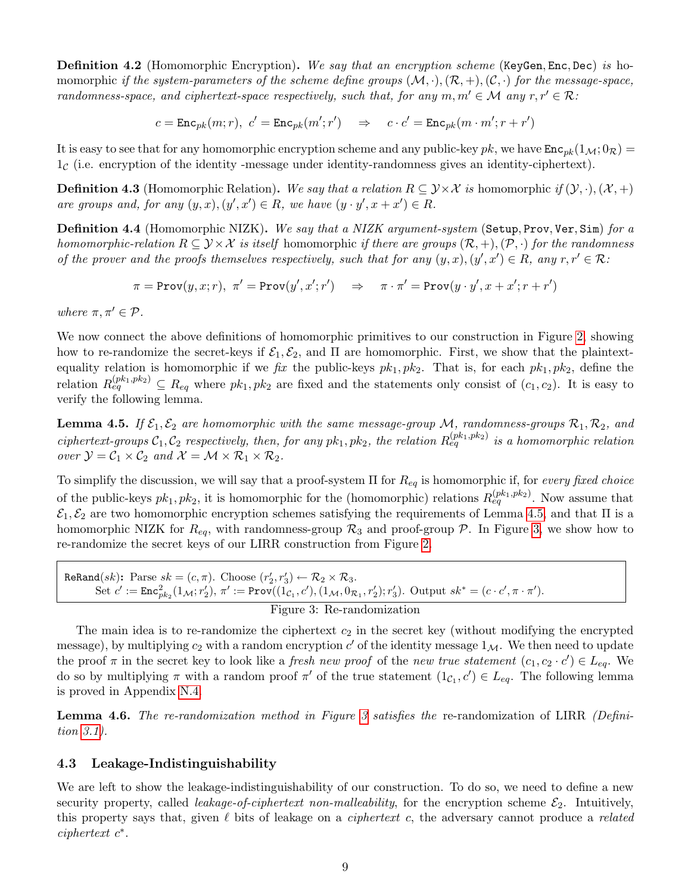**Definition 4.2** (Homomorphic Encryption). We say that an encryption scheme (KeyGen, Enc, Dec) is homomorphic if the system-parameters of the scheme define groups  $(M, \cdot), (\mathcal{R}, +), (\mathcal{C}, \cdot)$  for the message-space, randomness-space, and ciphertext-space respectively, such that, for any  $m, m' \in \mathcal{M}$  any  $r, r' \in \mathcal{R}$ :

 $c = \texttt{Enc}_{pk}(m; r), \ c' = \texttt{Enc}_{pk}(m'; r') \quad \Rightarrow \quad c \cdot c' = \texttt{Enc}_{pk}(m \cdot m'; r + r')$ 

It is easy to see that for any homomorphic encryption scheme and any public-key pk, we have  $\text{Enc}_{pk}(1_{\mathcal{M}}; 0_{\mathcal{R}})$  =  $1<sub>c</sub>$  (i.e. encryption of the identity-message under identity-randomness gives an identity-ciphertext).

**Definition 4.3** (Homomorphic Relation). We say that a relation  $R \subseteq \mathcal{Y} \times \mathcal{X}$  is homomorphic if  $(\mathcal{Y}, \cdot), (\mathcal{X}, +)$ are groups and, for any  $(y, x), (y', x') \in R$ , we have  $(y \cdot y', x + x') \in R$ .

Definition 4.4 (Homomorphic NIZK). We say that a NIZK argument-system (Setup, Prov, Ver, Sim) for a homomorphic-relation  $R \subseteq \mathcal{Y} \times \mathcal{X}$  is itself homomorphic if there are groups  $(\mathcal{R}, +), (\mathcal{P}, \cdot)$  for the randomness of the prover and the proofs themselves respectively, such that for any  $(y, x), (y', x') \in R$ , any  $r, r' \in R$ .

 $\pi = \texttt{Prov}(y, x; r), \ \pi' = \texttt{Prov}(y', x'; r') \quad \Rightarrow \quad \pi \cdot \pi' = \texttt{Prov}(y \cdot y', x + x'; r + r')$ 

where  $\pi, \pi' \in \mathcal{P}$ .

We now connect the above definitions of homomorphic primitives to our construction in Figure [2,](#page-8-2) showing how to re-randomize the secret-keys if  $\mathcal{E}_1, \mathcal{E}_2$ , and  $\Pi$  are homomorphic. First, we show that the plaintextequality relation is homomorphic if we fix the public-keys  $pk_1$ ,  $pk_2$ . That is, for each  $pk_1$ ,  $pk_2$ , define the relation  $R_{eq}^{(pk_1,pk_2)} \subseteq R_{eq}$  where  $pk_1, pk_2$  are fixed and the statements only consist of  $(c_1, c_2)$ . It is easy to verify the following lemma.

<span id="page-9-1"></span>**Lemma 4.5.** If  $\mathcal{E}_1, \mathcal{E}_2$  are homomorphic with the same message-group M, randomness-groups  $\mathcal{R}_1, \mathcal{R}_2$ , and ciphertext-groups  $C_1, C_2$  respectively, then, for any  $pk_1, pk_2$ , the relation  $R_{eq}^{(pk_1,pk_2)}$  is a homomorphic relation over  $\mathcal{Y} = \mathcal{C}_1 \times \mathcal{C}_2$  and  $\mathcal{X} = \mathcal{M} \times \mathcal{R}_1 \times \mathcal{R}_2$ .

To simplify the discussion, we will say that a proof-system  $\Pi$  for  $R_{eq}$  is homomorphic if, for every fixed choice of the public-keys  $pk_1, pk_2$ , it is homomorphic for the (homomorphic) relations  $R_{eq}^{(pk_1,pk_2)}$ . Now assume that  $\mathcal{E}_1, \mathcal{E}_2$  are two homomorphic encryption schemes satisfying the requirements of Lemma [4.5,](#page-9-1) and that  $\Pi$  is a homomorphic NIZK for  $R_{eq}$ , with randomness-group  $\mathcal{R}_3$  and proof-group  $\mathcal{P}$ . In Figure [3,](#page-9-3) we show how to re-randomize the secret keys of our LIRR construction from Figure [2.](#page-8-2)

ReRand $(sk)$ : Parse  $sk = (c, \pi)$ . Choose  $(r'_2, r'_3) \leftarrow \mathcal{R}_2 \times \mathcal{R}_3$ .  $\text{Set } c' := \text{Enc}^2_{pk_2}(1_{\mathcal{M}}; r'_2), \pi' := \text{Prov}((1_{\mathcal{C}_1}, c'), (1_{\mathcal{M}}, 0_{\mathcal{R}_1}, r'_2); r'_3).$  Output  $sk^* = (c \cdot c', \pi \cdot \pi').$ 

<span id="page-9-3"></span>Figure 3: Re-randomization

The main idea is to re-randomize the ciphertext  $c_2$  in the secret key (without modifying the encrypted message), by multiplying  $c_2$  with a random encryption  $c'$  of the identity message  $1_{\mathcal{M}}$ . We then need to update the proof  $\pi$  in the secret key to look like a *fresh new proof* of the *new true statement*  $(c_1, c_2 \cdot c') \in L_{eq}$ . We do so by multiplying  $\pi$  with a random proof  $\pi'$  of the true statement  $(1_{\mathcal{C}_1}, c') \in L_{eq}$ . The following lemma is proved in Appendix [N.4.](#page-51-1)

<span id="page-9-2"></span>Lemma 4.6. The re-randomization method in Figure [3](#page-9-3) satisfies the re-randomization of LIRR (Definition [3.1\)](#page-6-1).

#### <span id="page-9-0"></span>4.3 Leakage-Indistinguishability

We are left to show the leakage-indistinguishability of our construction. To do so, we need to define a new security property, called *leakage-of-ciphertext non-malleability*, for the encryption scheme  $\mathcal{E}_2$ . Intuitively, this property says that, given  $\ell$  bits of leakage on a *ciphertext c*, the adversary cannot produce a *related* ciphertext  $c^*$ .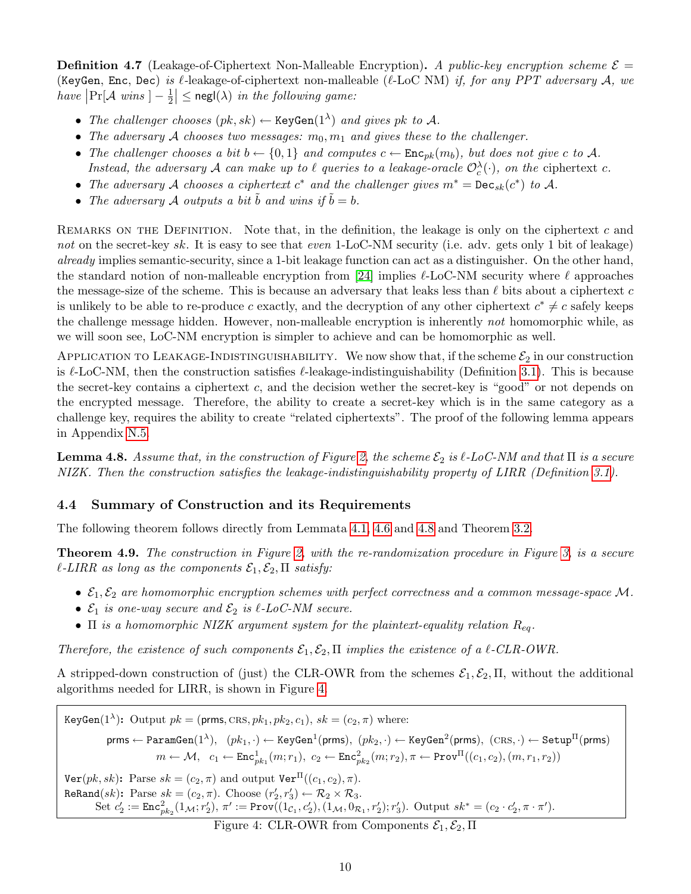**Definition 4.7** (Leakage-of-Ciphertext Non-Malleable Encryption). A public-key encryption scheme  $\mathcal{E} =$ (KeyGen, Enc, Dec) is  $\ell$ -leakage-of-ciphertext non-malleable ( $\ell$ -LoC NM) if, for any PPT adversary A, we have  $\left|\Pr[\mathcal{A} \text{ wins } ] - \frac{1}{2}\right|$  $\frac{1}{2}$   $\leq$  negl( $\lambda$ ) in the following game:

- The challenger chooses  $(pk, sk) \leftarrow \text{KeyGen}(1^{\lambda})$  and gives pk to A.
- The adversary A chooses two messages:  $m_0, m_1$  and gives these to the challenger.
- The challenger chooses a bit  $b \leftarrow \{0,1\}$  and computes  $c \leftarrow \text{Enc}_{pk}(m_b)$ , but does not give c to A. Instead, the adversary A can make up to  $\ell$  queries to a leakage-oracle  $\mathcal{O}_c^{\lambda}(\cdot)$ , on the ciphertext c.
- The adversary A chooses a ciphertext  $c^*$  and the challenger gives  $m^* = \text{Dec}_{sk}(c^*)$  to A.
- The adversary A outputs a bit  $\tilde{b}$  and wins if  $\tilde{b} = b$ .

REMARKS ON THE DEFINITION. Note that, in the definition, the leakage is only on the ciphertext  $c$  and not on the secret-key sk. It is easy to see that even 1-LoC-NM security (i.e. adv. gets only 1 bit of leakage) already implies semantic-security, since a 1-bit leakage function can act as a distinguisher. On the other hand, the standard notion of non-malleable encryption from [\[24\]](#page-19-5) implies  $\ell$ -LoC-NM security where  $\ell$  approaches the message-size of the scheme. This is because an adversary that leaks less than  $\ell$  bits about a ciphertext c is unlikely to be able to re-produce c exactly, and the decryption of any other ciphertext  $c^* \neq c$  safely keeps the challenge message hidden. However, non-malleable encryption is inherently not homomorphic while, as we will soon see, LoC-NM encryption is simpler to achieve and can be homomorphic as well.

APPLICATION TO LEAKAGE-INDISTINGUISHABILITY. We now show that, if the scheme  $\mathcal{E}_2$  in our construction is  $\ell$ -LoC-NM, then the construction satisfies  $\ell$ -leakage-indistinguishability (Definition [3.1\)](#page-6-1). This is because the secret-key contains a ciphertext c, and the decision wether the secret-key is "good" or not depends on the encrypted message. Therefore, the ability to create a secret-key which is in the same category as a challenge key, requires the ability to create "related ciphertexts". The proof of the following lemma appears in Appendix [N.5.](#page-51-2)

<span id="page-10-1"></span>**Lemma 4.8.** Assume that, in the construction of Figure [2,](#page-8-2) the scheme  $\mathcal{E}_2$  is  $\ell$ -LoC-NM and that  $\Pi$  is a secure NIZK. Then the construction satisfies the leakage-indistinguishability property of LIRR (Definition [3.1\)](#page-6-1).

### <span id="page-10-0"></span>4.4 Summary of Construction and its Requirements

The following theorem follows directly from Lemmata [4.1,](#page-8-1) [4.6](#page-9-2) and [4.8](#page-10-1) and Theorem [3.2.](#page-7-2)

<span id="page-10-3"></span>Theorem 4.9. The construction in Figure [2,](#page-8-2) with the re-randomization procedure in Figure [3,](#page-9-3) is a secure  $\ell$ -LIRR as long as the components  $\mathcal{E}_1, \mathcal{E}_2, \Pi$  satisfy:

- $\mathcal{E}_1, \mathcal{E}_2$  are homomorphic encryption schemes with perfect correctness and a common message-space M.
- $\mathcal{E}_1$  is one-way secure and  $\mathcal{E}_2$  is  $\ell$ -LoC-NM secure.
- $\Pi$  is a homomorphic NIZK argument system for the plaintext-equality relation  $R_{eq}$ .

Therefore, the existence of such components  $\mathcal{E}_1, \mathcal{E}_2, \Pi$  implies the existence of a  $\ell$ -CLR-OWR.

A stripped-down construction of (just) the CLR-OWR from the schemes  $\mathcal{E}_1, \mathcal{E}_2, \Pi$ , without the additional algorithms needed for LIRR, is shown in Figure [4.](#page-10-2)

KeyGen(1<sup> $\lambda$ </sup>): Output  $pk = (prms, CRS, pk_1, pk_2, c_1), sk = (c_2, \pi)$  where:  $\mathsf{prms} \leftarrow \mathtt{ParamGen}(1^\lambda), \;\; (pk_1, \cdot) \leftarrow \mathtt{KeyGen^1}(\mathsf{prms}), \; (pk_2, \cdot) \leftarrow \mathtt{KeyGen^2}(\mathsf{prms}), \; (\mathtt{CRS}, \cdot) \leftarrow \mathtt{Setup}^\Pi(\mathsf{prms})$  $m \leftarrow \mathcal{M}, \;\; c_1 \leftarrow \mathtt{Enc}_{pk_1}^1(m;r_1), \; c_2 \leftarrow \mathtt{Enc}_{pk_2}^2(m;r_2), \pi \leftarrow \mathtt{Prov}^\Pi((c_1,c_2),(m,r_1,r_2))$  $\text{Ver}(pk, sk)$ : Parse  $sk = (c_2, \pi)$  and output  $\text{Ver}^{\Pi}((c_1, c_2), \pi)$ . ReRand $(sk)$ : Parse  $sk = (c_2, \pi)$ . Choose  $(r'_2, r'_3) \leftarrow \mathcal{R}_2 \times \mathcal{R}_3$ .  $\text{Set } c_2' := \text{Enc}^2_{pk_2}(1_{\mathcal{M}}; r_2'), \pi' := \text{Prov}((1_{\mathcal{C}_1}, c_2'), (1_{\mathcal{M}}, 0_{\mathcal{R}_1}, r_2'); r_3').$  Output  $sk^* = (c_2 \cdot c_2', \pi \cdot \pi').$ 

<span id="page-10-2"></span>Figure 4: CLR-OWR from Components  $\mathcal{E}_1, \mathcal{E}_2, \Pi$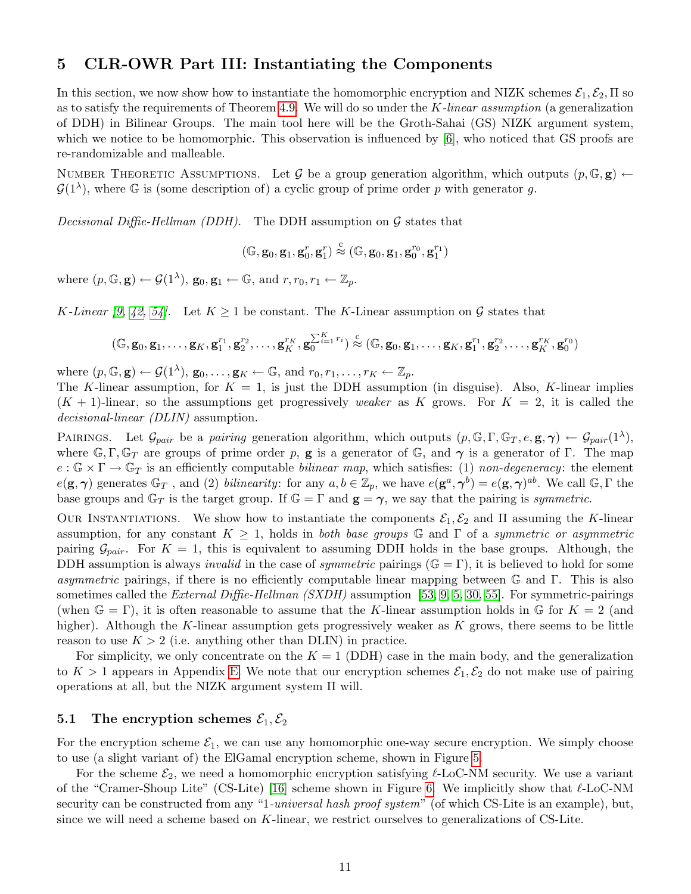# <span id="page-11-0"></span>5 CLR-OWR Part III: Instantiating the Components

In this section, we now show how to instantiate the homomorphic encryption and NIZK schemes  $\mathcal{E}_1, \mathcal{E}_2, \Pi$  so as to satisfy the requirements of Theorem [4.9.](#page-10-3) We will do so under the  $K$ -linear assumption (a generalization of DDH) in Bilinear Groups. The main tool here will be the Groth-Sahai (GS) NIZK argument system, which we notice to be homomorphic. This observation is influenced by [\[6\]](#page-18-9), who noticed that GS proofs are re-randomizable and malleable.

NUMBER THEORETIC ASSUMPTIONS. Let G be a group generation algorithm, which outputs  $(p, \mathbb{G}, g)$   $\leftarrow$  $\mathcal{G}(1^{\lambda})$ , where G is (some description of) a cyclic group of prime order p with generator g.

Decisional Diffie-Hellman (DDH). The DDH assumption on  $\mathcal G$  states that

$$
(\mathbb{G},\mathbf{g}_0,\mathbf{g}_1,\mathbf{g}_0^r,\mathbf{g}_1^r)\stackrel{\text{c}}{\approx}(\mathbb{G},\mathbf{g}_0,\mathbf{g}_1,\mathbf{g}_0^{r_0},\mathbf{g}_1^{r_1})
$$

where  $(p, \mathbb{G}, \mathbf{g}) \leftarrow \mathcal{G}(1^{\lambda}), \mathbf{g}_0, \mathbf{g}_1 \leftarrow \mathbb{G}, \text{ and } r, r_0, r_1 \leftarrow \mathbb{Z}_p.$ 

K-Linear [\[9,](#page-18-0) [42,](#page-20-1) [54\]](#page-21-2). Let  $K \geq 1$  be constant. The K-Linear assumption on G states that

$$
(\mathbb{G}, \mathbf{g}_0, \mathbf{g}_1, \dots, \mathbf{g}_K, \mathbf{g}_1^{r_1}, \mathbf{g}_2^{r_2}, \dots, \mathbf{g}_K^{r_K}, \mathbf{g}_0^{\sum_{i=1}^K r_i}) \stackrel{c}{\approx} (\mathbb{G}, \mathbf{g}_0, \mathbf{g}_1, \dots, \mathbf{g}_K, \mathbf{g}_1^{r_1}, \mathbf{g}_2^{r_2}, \dots, \mathbf{g}_K^{r_K}, \mathbf{g}_0^{r_0})
$$

where  $(p, \mathbb{G}, \mathbf{g}) \leftarrow \mathcal{G}(1^{\lambda}), \mathbf{g}_0, \ldots, \mathbf{g}_K \leftarrow \mathbb{G}, \text{ and } r_0, r_1, \ldots, r_K \leftarrow \mathbb{Z}_p.$ 

The K-linear assumption, for  $K = 1$ , is just the DDH assumption (in disguise). Also, K-linear implies  $(K + 1)$ -linear, so the assumptions get progressively weaker as K grows. For  $K = 2$ , it is called the decisional-linear (DLIN) assumption.

PAIRINGS. Let  $\mathcal{G}_{pair}$  be a pairing generation algorithm, which outputs  $(p, \mathbb{G}, \Gamma, \mathbb{G}_T, e, \mathbf{g}, \gamma) \leftarrow \mathcal{G}_{pair}(1^{\lambda}),$ where  $\mathbb{G}, \Gamma, \mathbb{G}_T$  are groups of prime order p, **g** is a generator of  $\mathbb{G}$ , and  $\gamma$  is a generator of  $\Gamma$ . The map  $e: \mathbb{G} \times \Gamma \to \mathbb{G}_T$  is an efficiently computable *bilinear map*, which satisfies: (1) non-degeneracy: the element  $e(\mathbf{g}, \boldsymbol{\gamma})$  generates  $\mathbb{G}_T$ , and (2) bilinearity: for any  $a, b \in \mathbb{Z}_p$ , we have  $e(\mathbf{g}^a, \boldsymbol{\gamma}^b) = e(\mathbf{g}, \boldsymbol{\gamma})^{ab}$ . We call  $\mathbb{G}, \Gamma$  the base groups and  $\mathbb{G}_T$  is the target group. If  $\mathbb{G} = \Gamma$  and  $\mathbf{g} = \gamma$ , we say that the pairing is symmetric.

OUR INSTANTIATIONS. We show how to instantiate the components  $\mathcal{E}_1, \mathcal{E}_2$  and  $\Pi$  assuming the K-linear assumption, for any constant  $K \geq 1$ , holds in both base groups G and  $\Gamma$  of a symmetric or asymmetric pairing  $\mathcal{G}_{pair}$ . For  $K = 1$ , this is equivalent to assuming DDH holds in the base groups. Although, the DDH assumption is always *invalid* in the case of *symmetric* pairings ( $\mathbb{G} = \Gamma$ ), it is believed to hold for some asymmetric pairings, if there is no efficiently computable linear mapping between  $\mathbb G$  and  $\Gamma$ . This is also sometimes called the *External Diffie-Hellman (SXDH)* assumption [\[53,](#page-21-3) [9,](#page-18-0) [5,](#page-18-10) [30,](#page-19-6) [55\]](#page-21-4). For symmetric-pairings (when  $\mathbb{G} = \Gamma$ ), it is often reasonable to assume that the K-linear assumption holds in  $\mathbb{G}$  for  $K = 2$  (and higher). Although the K-linear assumption gets progressively weaker as  $K$  grows, there seems to be little reason to use  $K > 2$  (i.e. anything other than DLIN) in practice.

For simplicity, we only concentrate on the  $K = 1$  (DDH) case in the main body, and the generalization to  $K > 1$  appears in Appendix [E.](#page-25-0) We note that our encryption schemes  $\mathcal{E}_1, \mathcal{E}_2$  do not make use of pairing operations at all, but the NIZK argument system Π will.

### <span id="page-11-1"></span>5.1 The encryption schemes  $\mathcal{E}_1, \mathcal{E}_2$

For the encryption scheme  $\mathcal{E}_1$ , we can use any homomorphic one-way secure encryption. We simply choose to use (a slight variant of) the ElGamal encryption scheme, shown in Figure [5.](#page-12-0)

For the scheme  $\mathcal{E}_2$ , we need a homomorphic encryption satisfying  $\ell$ -LoC-NM security. We use a variant of the "Cramer-Shoup Lite" (CS-Lite) [\[16\]](#page-19-7) scheme shown in Figure [6.](#page-12-1) We implicitly show that  $\ell$ -LoC-NM security can be constructed from any "1-universal hash proof system" (of which CS-Lite is an example), but, since we will need a scheme based on K-linear, we restrict ourselves to generalizations of CS-Lite.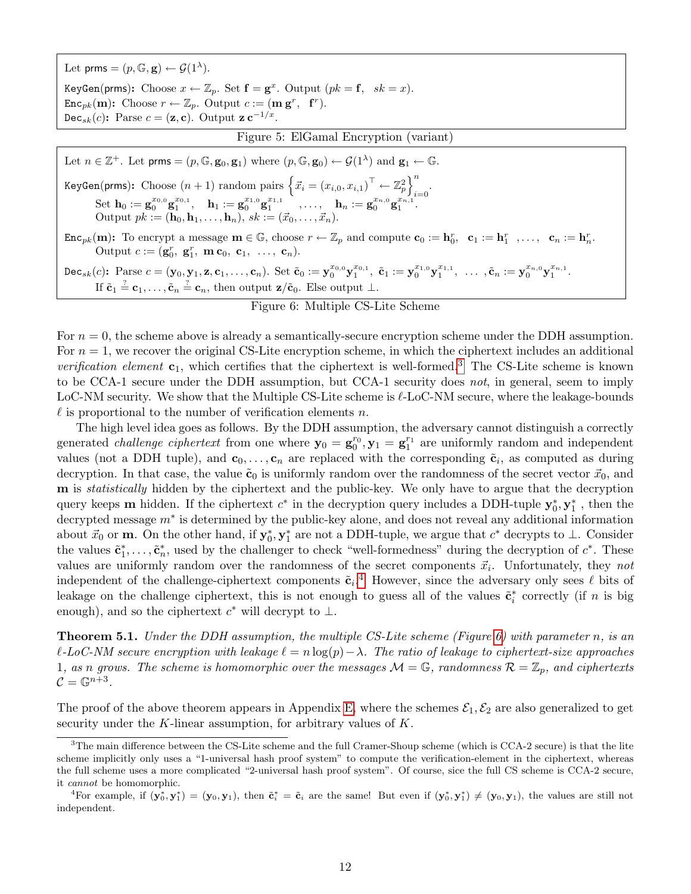Let prms =  $(p, \mathbb{G}, \mathbf{g}) \leftarrow \mathcal{G}(1^{\lambda})$ . KeyGen(prms): Choose  $x \leftarrow \mathbb{Z}_p$ . Set  $\mathbf{f} = \mathbf{g}^x$ . Output  $(pk = \mathbf{f}, sk = x)$ .  $\text{Enc}_{pk}(\mathbf{m})$ : Choose  $r \leftarrow \mathbb{Z}_p$ . Output  $c := (\mathbf{m}\,\mathbf{g}^r, \mathbf{f}^r)$ . Dec<sub>sk</sub> $(c)$ : Parse  $c = (\mathbf{z}, \mathbf{c})$ . Output  $\mathbf{z} \mathbf{c}^{-1/x}$ . Figure 5: ElGamal Encryption (variant) Let  $n \in \mathbb{Z}^+$ . Let prms =  $(p, \mathbb{G}, \mathbf{g}_0, \mathbf{g}_1)$  where  $(p, \mathbb{G}, \mathbf{g}_0) \leftarrow \mathcal{G}(1^{\lambda})$  and  $\mathbf{g}_1 \leftarrow \mathbb{G}$ . KeyGen(prms): Choose  $(n+1)$  random pairs  $\left\{\vec{x}_i = \left(x_{i,0}, x_{i,1}\right)^\top \leftarrow \mathbb{Z}_p^2\right\}^n$  $i=0$  $\mathrm{Set} \,\, \mathbf{h}_0 := \mathbf{g}_0^{x_0} \mathbf{g}_1^{x_0,1}, \quad \mathbf{h}_1 := \mathbf{g}_0^{x_1,0} \mathbf{g}_1^{x_1,1} \quad \, , \ldots, \quad \mathbf{h}_n := \mathbf{g}_0^{x_{n,0}} \mathbf{g}_1^{x_{n,1}}.$ Output  $pk := (\mathbf{h}_0, \mathbf{h}_1, \dots, \mathbf{h}_n), sk := (\vec{x}_0, \dots, \vec{x}_n).$  $\text{Enc}_{pk}(m)$ : To encrypt a message  $m \in \mathbb{G}$ , choose  $r \leftarrow \mathbb{Z}_p$  and compute  $c_0 := h_0^r$ ,  $c_1 := h_1^r$ , ...,  $c_n := h_n^r$ . Output  $c := (\mathbf{g}_0^r, \mathbf{g}_1^r, \mathbf{m} \mathbf{c}_0, \mathbf{c}_1, \dots, \mathbf{c}_n).$ Dec<sub>sk</sub>(c): Parse  $c = (\mathbf{y}_0, \mathbf{y}_1, \mathbf{z}, \mathbf{c}_1, \dots, \mathbf{c}_n)$ . Set  $\tilde{\mathbf{c}}_0 := \mathbf{y}_0^{x_{0,0}} \mathbf{y}_1^{x_{0,1}}, \ \tilde{\mathbf{c}}_1 := \mathbf{y}_0^{x_{1,0}} \mathbf{y}_1^{x_{1,1}}, \ \dots, \tilde{\mathbf{c}}_n := \mathbf{y}_0^{x_{n,0}} \mathbf{y}_1^{x_{n,1}}$ . If  $\tilde{\mathbf{c}}_1 \stackrel{?}{=} \mathbf{c}_1, \ldots, \tilde{\mathbf{c}}_n \stackrel{?}{=} \mathbf{c}_n$ , then output  $\mathbf{z}/\tilde{\mathbf{c}}_0$ . Else output  $\perp$ .

### <span id="page-12-1"></span><span id="page-12-0"></span>Figure 6: Multiple CS-Lite Scheme

For  $n = 0$ , the scheme above is already a semantically-secure encryption scheme under the DDH assumption. For  $n = 1$ , we recover the original CS-Lite encryption scheme, in which the ciphertext includes an additional verification element  $c_1$ , which certifies that the ciphertext is well-formed.<sup>[3](#page-12-2)</sup> The CS-Lite scheme is known to be CCA-1 secure under the DDH assumption, but CCA-1 security does not, in general, seem to imply LoC-NM security. We show that the Multiple CS-Lite scheme is  $\ell$ -LoC-NM secure, where the leakage-bounds  $\ell$  is proportional to the number of verification elements n.

The high level idea goes as follows. By the DDH assumption, the adversary cannot distinguish a correctly generated *challenge ciphertext* from one where  $y_0 = g_0^{r_0}, y_1 = g_1^{r_1}$  are uniformly random and independent values (not a DDH tuple), and  $c_0, \ldots, c_n$  are replaced with the corresponding  $\tilde{c}_i$ , as computed as during decryption. In that case, the value  $\tilde{\mathbf{c}}_0$  is uniformly random over the randomness of the secret vector  $\vec{x}_0$ , and m is statistically hidden by the ciphertext and the public-key. We only have to argue that the decryption query keeps **m** hidden. If the ciphertext  $c^*$  in the decryption query includes a DDH-tuple  $y_0^*, y_1^*$ , then the decrypted message m<sup>∗</sup> is determined by the public-key alone, and does not reveal any additional information about  $\vec{x}_0$  or **m**. On the other hand, if  $y_0^*, y_1^*$  are not a DDH-tuple, we argue that  $c^*$  decrypts to  $\perp$ . Consider the values  $\tilde{\mathbf{c}}_1^*, \ldots, \tilde{\mathbf{c}}_n^*$ , used by the challenger to check "well-formedness" during the decryption of  $c^*$ . These values are uniformly random over the randomness of the secret components  $\vec{x}_i$ . Unfortunately, they not independent of the challenge-ciphertext components  $\tilde{c}_i$ .<sup>[4](#page-12-3)</sup> However, since the adversary only sees  $\ell$  bits of leakage on the challenge ciphertext, this is not enough to guess all of the values  $\tilde{\mathbf{c}}_i^*$  correctly (if n is big enough), and so the ciphertext  $c^*$  will decrypt to  $\bot$ .

<span id="page-12-4"></span>**Theorem 5.1.** Under the DDH assumption, the multiple CS-Lite scheme (Figure [6\)](#page-12-1) with parameter n, is an  $\ell$ -LoC-NM secure encryption with leakage  $\ell = n \log(p) - \lambda$ . The ratio of leakage to ciphertext-size approaches 1, as n grows. The scheme is homomorphic over the messages  $\mathcal{M} = \mathbb{G}$ , randomness  $\mathcal{R} = \mathbb{Z}_p$ , and ciphertexts  $\mathcal{C}=\mathbb{G}^{n+3}.$ 

The proof of the above theorem appears in Appendix [E,](#page-25-0) where the schemes  $\mathcal{E}_1, \mathcal{E}_2$  are also generalized to get security under the  $K$ -linear assumption, for arbitrary values of  $K$ .

<span id="page-12-2"></span> ${}^{3}$ The main difference between the CS-Lite scheme and the full Cramer-Shoup scheme (which is CCA-2 secure) is that the lite scheme implicitly only uses a "1-universal hash proof system" to compute the verification-element in the ciphertext, whereas the full scheme uses a more complicated "2-universal hash proof system". Of course, sice the full CS scheme is CCA-2 secure, it cannot be homomorphic.

<span id="page-12-3"></span><sup>&</sup>lt;sup>4</sup>For example, if  $(\mathbf{y}_0^*, \mathbf{y}_1^*) = (\mathbf{y}_0, \mathbf{y}_1)$ , then  $\tilde{\mathbf{c}}_i^* = \tilde{\mathbf{c}}_i$  are the same! But even if  $(\mathbf{y}_0^*, \mathbf{y}_1^*) \neq (\mathbf{y}_0, \mathbf{y}_1)$ , the values are still not independent.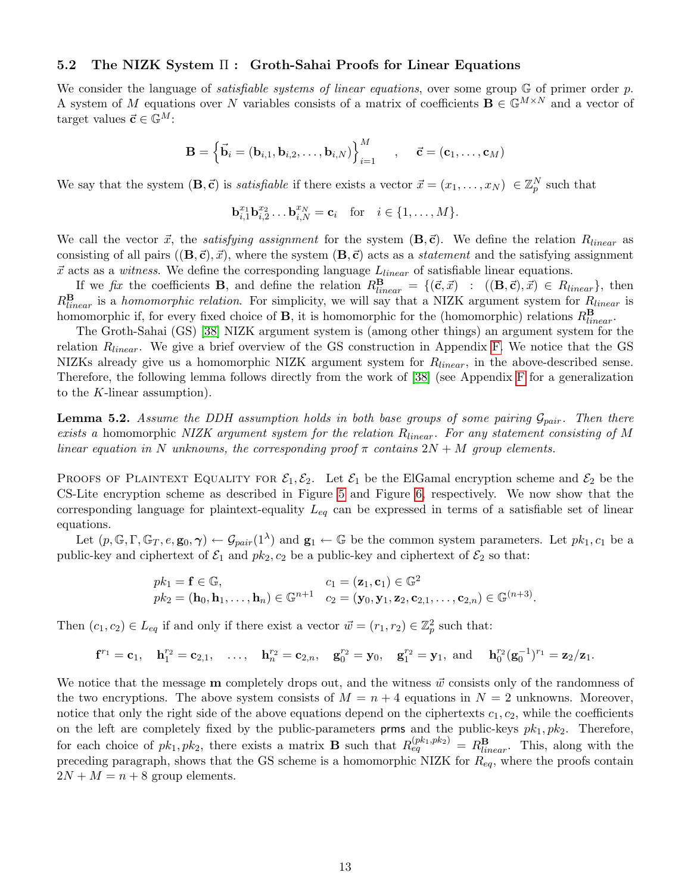#### <span id="page-13-0"></span>5.2 The NIZK System Π : Groth-Sahai Proofs for Linear Equations

We consider the language of *satisfiable systems of linear equations*, over some group  $\mathbb{G}$  of primer order p. A system of M equations over N variables consists of a matrix of coefficients  $\mathbf{B} \in \mathbb{G}^{M \times N}$  and a vector of target values  $\vec{c} \in \mathbb{G}^{M}$ :

$$
\mathbf{B} = \left\{ \vec{\mathbf{b}}_i = (\mathbf{b}_{i,1}, \mathbf{b}_{i,2}, \dots, \mathbf{b}_{i,N}) \right\}_{i=1}^M \quad , \quad \vec{\mathbf{c}} = (\mathbf{c}_1, \dots, \mathbf{c}_M)
$$

We say that the system  $(\mathbf{B}, \vec{\mathbf{c}})$  is *satisfiable* if there exists a vector  $\vec{x} = (x_1, \dots, x_N) \in \mathbb{Z}_p^N$  such that

$$
\mathbf{b}_{i,1}^{x_1} \mathbf{b}_{i,2}^{x_2} \dots \mathbf{b}_{i,N}^{x_N} = \mathbf{c}_i \quad \text{for} \quad i \in \{1, \dots, M\}.
$$

We call the vector  $\vec{x}$ , the satisfying assignment for the system  $(\mathbf{B},\vec{\mathbf{c}})$ . We define the relation  $R_{linear}$  as consisting of all pairs  $((\mathbf{B},\vec{\mathbf{c}}),\vec{x})$ , where the system  $(\mathbf{B},\vec{\mathbf{c}})$  acts as a *statement* and the satisfying assignment  $\vec{x}$  acts as a witness. We define the corresponding language  $L_{linear}$  of satisfiable linear equations.

If we fix the coefficients **B**, and define the relation  $R_{linear}^{\mathbf{B}} = \{(\vec{\mathbf{c}}, \vec{x}) : ((\mathbf{B}, \vec{\mathbf{c}}), \vec{x}) \in R_{linear}\}\$ , then  $R_{linear}^{\mathbf{B}}$  is a homomorphic relation. For simplicity, we will say that a NIZK argument system for  $R_{linear}$  is homomorphic if, for every fixed choice of **B**, it is homomorphic for the (homomorphic) relations  $R_{linear}^{\mathbf{B}}$ .

The Groth-Sahai (GS) [\[38\]](#page-20-6) NIZK argument system is (among other things) an argument system for the relation R<sub>linear</sub>. We give a brief overview of the GS construction in Appendix [F.](#page-28-1) We notice that the GS NIZKs already give us a homomorphic NIZK argument system for  $R_{linear}$ , in the above-described sense. Therefore, the following lemma follows directly from the work of [\[38\]](#page-20-6) (see Appendix [F](#page-28-1) for a generalization to the K-linear assumption).

<span id="page-13-1"></span>**Lemma 5.2.** Assume the DDH assumption holds in both base groups of some pairing  $\mathcal{G}_{pair}$ . Then there exists a homomorphic NIZK argument system for the relation  $R_{linear}$ . For any statement consisting of M linear equation in N unknowns, the corresponding proof  $\pi$  contains  $2N + M$  group elements.

PROOFS OF PLAINTEXT EQUALITY FOR  $\mathcal{E}_1, \mathcal{E}_2$ . Let  $\mathcal{E}_1$  be the ElGamal encryption scheme and  $\mathcal{E}_2$  be the CS-Lite encryption scheme as described in Figure [5](#page-12-0) and Figure [6,](#page-12-1) respectively. We now show that the corresponding language for plaintext-equality  $L_{eq}$  can be expressed in terms of a satisfiable set of linear equations.

Let  $(p, \mathbb{G}, \Gamma, \mathbb{G}_T, e, \mathbf{g}_0, \gamma) \leftarrow \mathcal{G}_{pair}(1^{\lambda})$  and  $\mathbf{g}_1 \leftarrow \mathbb{G}$  be the common system parameters. Let  $pk_1, c_1$  be a public-key and ciphertext of  $\mathcal{E}_1$  and  $pk_2$ ,  $c_2$  be a public-key and ciphertext of  $\mathcal{E}_2$  so that:

$$
pk_1 = \mathbf{f} \in \mathbb{G}, \qquad \qquad c_1 = (\mathbf{z}_1, \mathbf{c}_1) \in \mathbb{G}^2 pk_2 = (\mathbf{h}_0, \mathbf{h}_1, \dots, \mathbf{h}_n) \in \mathbb{G}^{n+1} \quad c_2 = (\mathbf{y}_0, \mathbf{y}_1, \mathbf{z}_2, \mathbf{c}_{2,1}, \dots, \mathbf{c}_{2,n}) \in \mathbb{G}^{(n+3)}.
$$

Then  $(c_1, c_2) \in L_{eq}$  if and only if there exist a vector  $\vec{w} = (r_1, r_2) \in \mathbb{Z}_p^2$  such that:

$$
\mathbf{f}^{r_1} = \mathbf{c}_1, \quad \mathbf{h}_1^{r_2} = \mathbf{c}_{2,1}, \quad \ldots, \quad \mathbf{h}_n^{r_2} = \mathbf{c}_{2,n}, \quad \mathbf{g}_0^{r_2} = \mathbf{y}_0, \quad \mathbf{g}_1^{r_2} = \mathbf{y}_1, \text{ and } \quad \mathbf{h}_0^{r_2} (\mathbf{g}_0^{-1})^{r_1} = \mathbf{z}_2 / \mathbf{z}_1.
$$

We notice that the message **m** completely drops out, and the witness  $\vec{w}$  consists only of the randomness of the two encryptions. The above system consists of  $M = n + 4$  equations in  $N = 2$  unknowns. Moreover, notice that only the right side of the above equations depend on the ciphertexts  $c_1, c_2$ , while the coefficients on the left are completely fixed by the public-parameters **prms** and the public-keys  $pk_1, pk_2$ . Therefore, for each choice of  $pk_1, pk_2$ , there exists a matrix **B** such that  $R_{eq}^{(pk_1,pk_2)} = R_{linear}^{\mathbf{B}}$ . This, along with the preceding paragraph, shows that the GS scheme is a homomorphic NIZK for  $R_{eq}$ , where the proofs contain  $2N + M = n + 8$  group elements.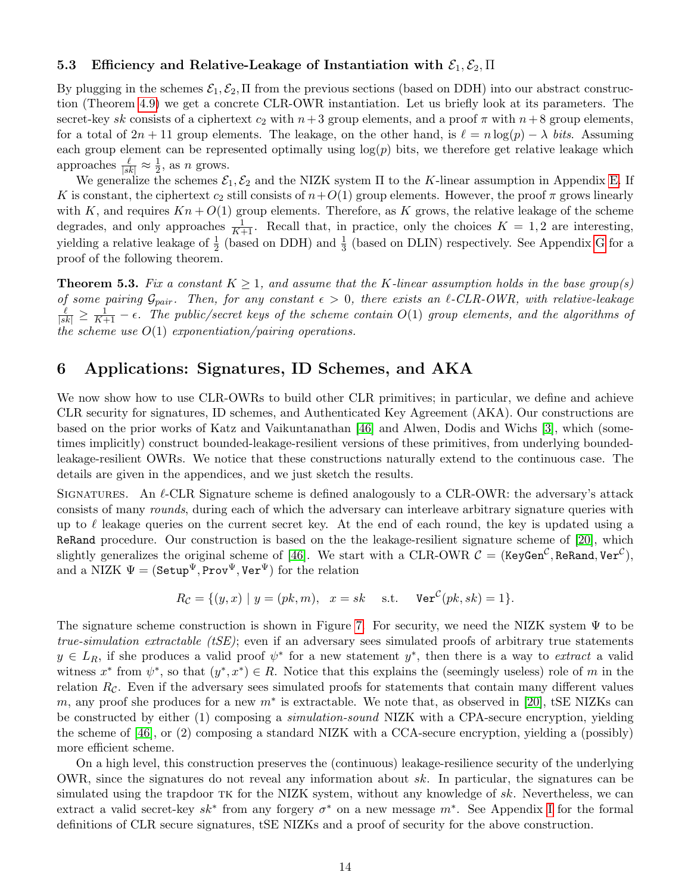#### <span id="page-14-0"></span>5.3 Efficiency and Relative-Leakage of Instantiation with  $\mathcal{E}_1, \mathcal{E}_2, \Pi$

By plugging in the schemes  $\mathcal{E}_1, \mathcal{E}_2, \Pi$  from the previous sections (based on DDH) into our abstract construction (Theorem [4.9\)](#page-10-3) we get a concrete CLR-OWR instantiation. Let us briefly look at its parameters. The secret-key sk consists of a ciphertext  $c_2$  with  $n+3$  group elements, and a proof  $\pi$  with  $n+8$  group elements, for a total of  $2n + 11$  group elements. The leakage, on the other hand, is  $\ell = n \log(p) - \lambda$  bits. Assuming each group element can be represented optimally using  $log(p)$  bits, we therefore get relative leakage which approaches  $\frac{\ell}{|sk|} \approx \frac{1}{2}$  $\frac{1}{2}$ , as *n* grows.

We generalize the schemes  $\mathcal{E}_1, \mathcal{E}_2$  and the NIZK system  $\Pi$  to the K-linear assumption in Appendix [E.](#page-25-0) If K is constant, the ciphertext  $c_2$  still consists of  $n+O(1)$  group elements. However, the proof  $\pi$  grows linearly with K, and requires  $Kn + O(1)$  group elements. Therefore, as K grows, the relative leakage of the scheme degrades, and only approaches  $\frac{1}{K+1}$ . Recall that, in practice, only the choices  $K = 1, 2$  are interesting, yielding a relative leakage of  $\frac{1}{2}$  (based on DDH) and  $\frac{1}{3}$  (based on DLIN) respectively. See Appendix [G](#page-31-0) for a proof of the following theorem.

<span id="page-14-2"></span>**Theorem 5.3.** Fix a constant  $K \geq 1$ , and assume that the K-linear assumption holds in the base group(s) of some pairing  $\mathcal{G}_{pair}$ . Then, for any constant  $\epsilon > 0$ , there exists an  $\ell$ -CLR-OWR, with relative-leakage  $\frac{\ell}{|sk|} \geq \frac{1}{K+1} - \epsilon$ . The public/secret keys of the scheme contain  $O(1)$  group elements, and the algorithms of the scheme use  $O(1)$  exponentiation/pairing operations.

# <span id="page-14-1"></span>6 Applications: Signatures, ID Schemes, and AKA

We now show how to use CLR-OWRs to build other CLR primitives; in particular, we define and achieve CLR security for signatures, ID schemes, and Authenticated Key Agreement (AKA). Our constructions are based on the prior works of Katz and Vaikuntanathan [\[46\]](#page-20-2) and Alwen, Dodis and Wichs [\[3\]](#page-18-2), which (sometimes implicitly) construct bounded-leakage-resilient versions of these primitives, from underlying boundedleakage-resilient OWRs. We notice that these constructions naturally extend to the continuous case. The details are given in the appendices, and we just sketch the results.

SIGNATURES. An  $\ell$ -CLR Signature scheme is defined analogously to a CLR-OWR: the adversary's attack consists of many rounds, during each of which the adversary can interleave arbitrary signature queries with up to  $\ell$  leakage queries on the current secret key. At the end of each round, the key is updated using a ReRand procedure. Our construction is based on the the leakage-resilient signature scheme of [\[20\]](#page-19-3), which slightly generalizes the original scheme of [\[46\]](#page-20-2). We start with a CLR-OWR  $C =$  (KeyGen $^{\cal C}$ , ReRand, Ver $^{\cal C}$ ), and a NIZK  $\Psi = (\texttt{Setup}^{\Psi}, \texttt{Prov}^{\Psi}, \texttt{Ver}^{\Psi})$  for the relation

$$
R_{\mathcal{C}} = \{(y, x) \mid y = (pk, m), \quad x = sk \quad \text{s.t.} \quad \text{Ver}^{\mathcal{C}}(pk, sk) = 1\}.
$$

The signature scheme construction is shown in Figure [7.](#page-15-2) For security, we need the NIZK system  $\Psi$  to be *true-simulation extractable (tSE)*; even if an adversary sees simulated proofs of arbitrary true statements  $y \in L_R$ , if she produces a valid proof  $\psi^*$  for a new statement  $y^*$ , then there is a way to *extract* a valid witness  $x^*$  from  $\psi^*$ , so that  $(y^*, x^*) \in R$ . Notice that this explains the (seemingly useless) role of m in the relation  $R_c$ . Even if the adversary sees simulated proofs for statements that contain many different values m, any proof she produces for a new  $m^*$  is extractable. We note that, as observed in [\[20\]](#page-19-3), tSE NIZKs can be constructed by either (1) composing a simulation-sound NIZK with a CPA-secure encryption, yielding the scheme of [\[46\]](#page-20-2), or (2) composing a standard NIZK with a CCA-secure encryption, yielding a (possibly) more efficient scheme.

On a high level, this construction preserves the (continuous) leakage-resilience security of the underlying OWR, since the signatures do not reveal any information about sk. In particular, the signatures can be simulated using the trapdoor tk for the NIZK system, without any knowledge of sk. Nevertheless, we can extract a valid secret-key  $sk^*$  from any forgery  $\sigma^*$  on a new message  $m^*$ . See Appendix [I](#page-33-0) for the formal definitions of CLR secure signatures, tSE NIZKs and a proof of security for the above construction.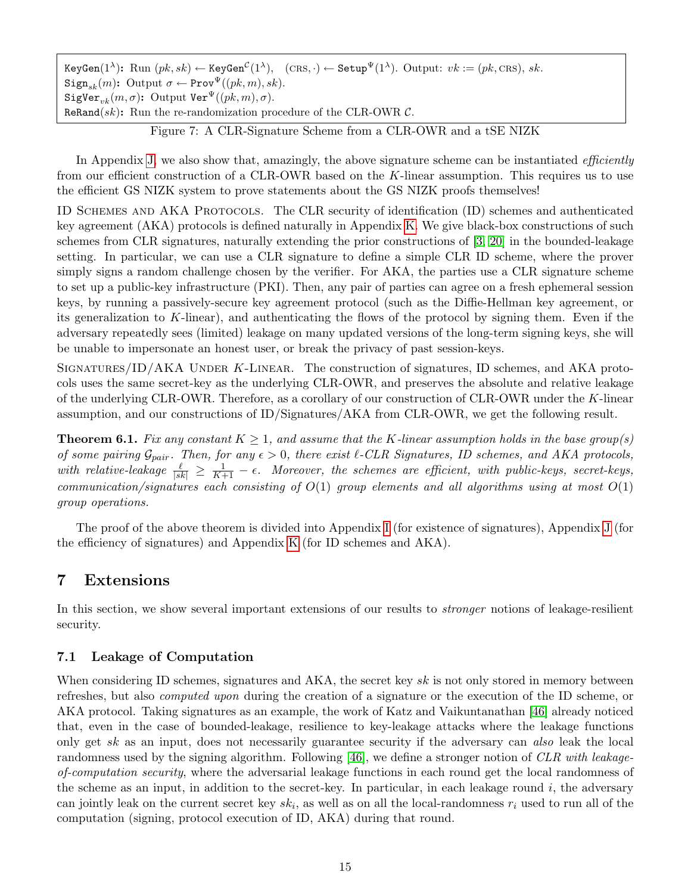$\texttt{KeyGen}(1^\lambda) \colon \text{Run }(pk, sk) \leftarrow \texttt{KeyGen}^{\mathcal{C}}(1^\lambda), \quad (\text{CRS}, \cdot) \leftarrow \texttt{Setup}^{\Psi}(1^\lambda). \text{ Output: } vk := (pk, \text{CRS}), sk.$ Sign<sub>sk</sub> $(m)$ : Output  $\sigma \leftarrow \text{Prov}^{\Psi}((pk, m), sk)$ . SigVer<sub>vk</sub> $(m, \sigma)$ : Output Ver<sup> $\Psi$ </sup> $((pk, m), \sigma)$ . ReRand(sk): Run the re-randomization procedure of the CLR-OWR  $\mathcal{C}$ .

<span id="page-15-2"></span>Figure 7: A CLR-Signature Scheme from a CLR-OWR and a tSE NIZK

In Appendix [J,](#page-34-0) we also show that, amazingly, the above signature scheme can be instantiated *efficiently* from our efficient construction of a CLR-OWR based on the K-linear assumption. This requires us to use the efficient GS NIZK system to prove statements about the GS NIZK proofs themselves!

ID Schemes and AKA Protocols. The CLR security of identification (ID) schemes and authenticated key agreement (AKA) protocols is defined naturally in Appendix [K.](#page-37-0) We give black-box constructions of such schemes from CLR signatures, naturally extending the prior constructions of [\[3,](#page-18-2) [20\]](#page-19-3) in the bounded-leakage setting. In particular, we can use a CLR signature to define a simple CLR ID scheme, where the prover simply signs a random challenge chosen by the verifier. For AKA, the parties use a CLR signature scheme to set up a public-key infrastructure (PKI). Then, any pair of parties can agree on a fresh ephemeral session keys, by running a passively-secure key agreement protocol (such as the Diffie-Hellman key agreement, or its generalization to K-linear), and authenticating the flows of the protocol by signing them. Even if the adversary repeatedly sees (limited) leakage on many updated versions of the long-term signing keys, she will be unable to impersonate an honest user, or break the privacy of past session-keys.

SIGNATURES/ID/AKA UNDER K-LINEAR. The construction of signatures, ID schemes, and AKA protocols uses the same secret-key as the underlying CLR-OWR, and preserves the absolute and relative leakage of the underlying CLR-OWR. Therefore, as a corollary of our construction of CLR-OWR under the  $K$ -linear assumption, and our constructions of ID/Signatures/AKA from CLR-OWR, we get the following result.

<span id="page-15-3"></span>**Theorem 6.1.** Fix any constant  $K \geq 1$ , and assume that the K-linear assumption holds in the base group(s) of some pairing  $\mathcal{G}_{pair}$ . Then, for any  $\epsilon > 0$ , there exist  $\ell$ -CLR Signatures, ID schemes, and AKA protocols, with relative-leakage  $\frac{\ell}{|sk|} \geq \frac{1}{K+1} - \epsilon$ . Moreover, the schemes are efficient, with public-keys, secret-keys, communication/signatures each consisting of  $O(1)$  group elements and all algorithms using at most  $O(1)$ group operations.

The proof of the above theorem is divided into Appendix [I](#page-33-0) (for existence of signatures), Appendix [J](#page-34-0) (for the efficiency of signatures) and Appendix [K](#page-37-0) (for ID schemes and AKA).

# <span id="page-15-0"></span>7 Extensions

In this section, we show several important extensions of our results to stronger notions of leakage-resilient security.

### <span id="page-15-1"></span>7.1 Leakage of Computation

When considering ID schemes, signatures and AKA, the secret key  $sk$  is not only stored in memory between refreshes, but also computed upon during the creation of a signature or the execution of the ID scheme, or AKA protocol. Taking signatures as an example, the work of Katz and Vaikuntanathan [\[46\]](#page-20-2) already noticed that, even in the case of bounded-leakage, resilience to key-leakage attacks where the leakage functions only get sk as an input, does not necessarily guarantee security if the adversary can also leak the local randomness used by the signing algorithm. Following [\[46\]](#page-20-2), we define a stronger notion of CLR with leakageof-computation security, where the adversarial leakage functions in each round get the local randomness of the scheme as an input, in addition to the secret-key. In particular, in each leakage round  $i$ , the adversary can jointly leak on the current secret key  $sk_i$ , as well as on all the local-randomness  $r_i$  used to run all of the computation (signing, protocol execution of ID, AKA) during that round.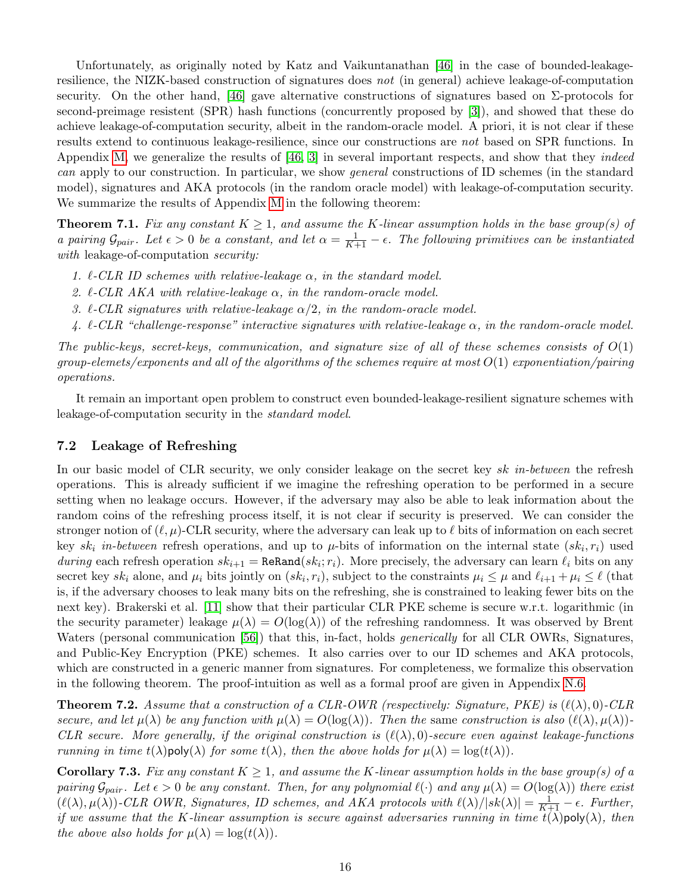Unfortunately, as originally noted by Katz and Vaikuntanathan [\[46\]](#page-20-2) in the case of bounded-leakageresilience, the NIZK-based construction of signatures does not (in general) achieve leakage-of-computation security. On the other hand, [\[46\]](#page-20-2) gave alternative constructions of signatures based on  $\Sigma$ -protocols for second-preimage resistent (SPR) hash functions (concurrently proposed by [\[3\]](#page-18-2)), and showed that these do achieve leakage-of-computation security, albeit in the random-oracle model. A priori, it is not clear if these results extend to continuous leakage-resilience, since our constructions are not based on SPR functions. In Appendix [M,](#page-43-1) we generalize the results of [\[46,](#page-20-2) [3\]](#page-18-2) in several important respects, and show that they *indeed* can apply to our construction. In particular, we show general constructions of ID schemes (in the standard model), signatures and AKA protocols (in the random oracle model) with leakage-of-computation security. We summarize the results of Appendix [M](#page-43-1) in the following theorem:

<span id="page-16-2"></span>**Theorem 7.1.** Fix any constant  $K \geq 1$ , and assume the K-linear assumption holds in the base group(s) of a pairing  $\mathcal{G}_{pair}$ . Let  $\epsilon > 0$  be a constant, and let  $\alpha = \frac{1}{K+1} - \epsilon$ . The following primitives can be instantiated with leakage-of-computation security:

- 1.  $\ell$ -CLR ID schemes with relative-leakage  $\alpha$ , in the standard model.
- 2.  $\ell$ -CLR AKA with relative-leakage  $\alpha$ , in the random-oracle model.
- 3.  $\ell$ -CLR signatures with relative-leakage  $\alpha/2$ , in the random-oracle model.
- 4.  $\ell$ -CLR "challenge-response" interactive signatures with relative-leakage  $\alpha$ , in the random-oracle model.

The public-keys, secret-keys, communication, and signature size of all of these schemes consists of  $O(1)$  $groups, elements of the algorithms of the schemes require at most  $O(1)$  exponentiation/pairing$ operations.

It remain an important open problem to construct even bounded-leakage-resilient signature schemes with leakage-of-computation security in the standard model.

#### <span id="page-16-0"></span>7.2 Leakage of Refreshing

In our basic model of CLR security, we only consider leakage on the secret key sk in-between the refresh operations. This is already sufficient if we imagine the refreshing operation to be performed in a secure setting when no leakage occurs. However, if the adversary may also be able to leak information about the random coins of the refreshing process itself, it is not clear if security is preserved. We can consider the stronger notion of  $(\ell, \mu)$ -CLR security, where the adversary can leak up to  $\ell$  bits of information on each secret key  $sk_i$  in-between refresh operations, and up to  $\mu$ -bits of information on the internal state  $(sk_i, r_i)$  used during each refresh operation  $sk_{i+1} = \text{ReRand}(sk_i; r_i)$ . More precisely, the adversary can learn  $\ell_i$  bits on any secret key  $sk_i$  alone, and  $\mu_i$  bits jointly on  $(sk_i, r_i)$ , subject to the constraints  $\mu_i \leq \mu$  and  $\ell_{i+1} + \mu_i \leq \ell$  (that is, if the adversary chooses to leak many bits on the refreshing, she is constrained to leaking fewer bits on the next key). Brakerski et al. [\[11\]](#page-18-5) show that their particular CLR PKE scheme is secure w.r.t. logarithmic (in the security parameter) leakage  $\mu(\lambda) = O(\log(\lambda))$  of the refreshing randomness. It was observed by Brent Waters (personal communication [\[56\]](#page-21-5)) that this, in-fact, holds *generically* for all CLR OWRs, Signatures, and Public-Key Encryption (PKE) schemes. It also carries over to our ID schemes and AKA protocols, which are constructed in a generic manner from signatures. For completeness, we formalize this observation in the following theorem. The proof-intuition as well as a formal proof are given in Appendix [N.6.](#page-52-0)

<span id="page-16-1"></span>**Theorem 7.2.** Assume that a construction of a CLR-OWR (respectively: Signature, PKE) is  $(\ell(\lambda), 0)$ -CLR secure, and let  $\mu(\lambda)$  be any function with  $\mu(\lambda) = O(\log(\lambda))$ . Then the same construction is also  $(\ell(\lambda), \mu(\lambda))$ -CLR secure. More generally, if the original construction is  $(\ell(\lambda), 0)$ -secure even against leakage-functions running in time  $t(\lambda)$ poly( $\lambda$ ) for some  $t(\lambda)$ , then the above holds for  $\mu(\lambda) = \log(t(\lambda))$ .

**Corollary 7.3.** Fix any constant  $K \geq 1$ , and assume the K-linear assumption holds in the base group(s) of a pairing  $\mathcal{G}_{pair}$ . Let  $\epsilon > 0$  be any constant. Then, for any polynomial  $\ell(\cdot)$  and any  $\mu(\lambda) = O(\log(\lambda))$  there exist  $(\ell(\lambda), \mu(\lambda))$ -CLR OWR, Signatures, ID schemes, and AKA protocols with  $\ell(\lambda)/|sk(\lambda)| = \frac{1}{K+1} - \epsilon$ . Further, if we assume that the K-linear assumption is secure against adversaries running in time  $t(\lambda)$ poly $(\lambda)$ , then the above also holds for  $\mu(\lambda) = \log(t(\lambda))$ .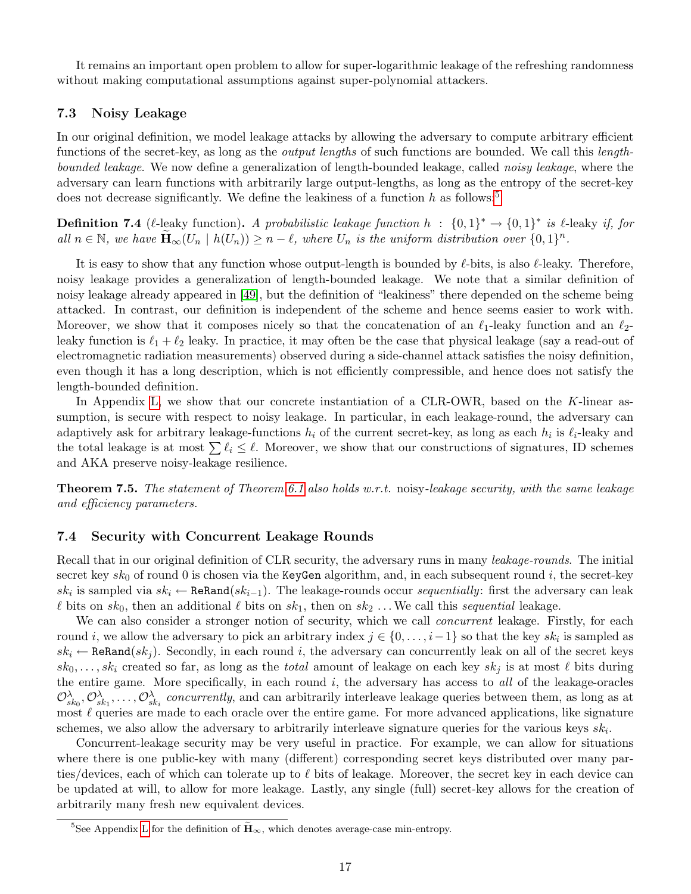It remains an important open problem to allow for super-logarithmic leakage of the refreshing randomness without making computational assumptions against super-polynomial attackers.

### <span id="page-17-0"></span>7.3 Noisy Leakage

In our original definition, we model leakage attacks by allowing the adversary to compute arbitrary efficient functions of the secret-key, as long as the output lengths of such functions are bounded. We call this lengthbounded leakage. We now define a generalization of length-bounded leakage, called noisy leakage, where the adversary can learn functions with arbitrarily large output-lengths, as long as the entropy of the secret-key does not decrease significantly. We define the leakiness of a function  $h$  as follows:<sup>[5](#page-17-3)</sup>

<span id="page-17-4"></span>**Definition 7.4** ( $\ell$ -leaky function). A probabilistic leakage function  $h : \{0,1\}^* \to \{0,1\}^*$  is  $\ell$ -leaky if, for all  $n \in \mathbb{N}$ , we have  $\widetilde{\mathbf{H}}_{\infty}(U_n \mid h(U_n)) \geq n - \ell$ , where  $U_n$  is the uniform distribution over  $\{0,1\}^n$ .

It is easy to show that any function whose output-length is bounded by  $\ell$ -bits, is also  $\ell$ -leaky. Therefore, noisy leakage provides a generalization of length-bounded leakage. We note that a similar definition of noisy leakage already appeared in [\[49\]](#page-20-0), but the definition of "leakiness" there depended on the scheme being attacked. In contrast, our definition is independent of the scheme and hence seems easier to work with. Moreover, we show that it composes nicely so that the concatenation of an  $\ell_1$ -leaky function and an  $\ell_2$ leaky function is  $\ell_1 + \ell_2$  leaky. In practice, it may often be the case that physical leakage (say a read-out of electromagnetic radiation measurements) observed during a side-channel attack satisfies the noisy definition, even though it has a long description, which is not efficiently compressible, and hence does not satisfy the length-bounded definition.

In Appendix [L,](#page-41-0) we show that our concrete instantiation of a CLR-OWR, based on the K-linear assumption, is secure with respect to noisy leakage. In particular, in each leakage-round, the adversary can adaptively ask for arbitrary leakage-functions  $h_i$  of the current secret-key, as long as each  $h_i$  is  $\ell_i$ -leaky and the total leakage is at most  $\sum \ell_i \leq \ell$ . Moreover, we show that our constructions of signatures, ID schemes and AKA preserve noisy-leakage resilience.

<span id="page-17-2"></span>**Theorem 7.5.** The statement of Theorem [6.1](#page-15-3) also holds w.r.t. noisy-leakage security, with the same leakage and efficiency parameters.

#### <span id="page-17-1"></span>7.4 Security with Concurrent Leakage Rounds

Recall that in our original definition of CLR security, the adversary runs in many *leakage-rounds*. The initial secret key  $sk_0$  of round 0 is chosen via the KeyGen algorithm, and, in each subsequent round i, the secret-key  $sk_i$  is sampled via  $sk_i$  ← ReRand( $sk_{i-1}$ ). The leakage-rounds occur sequentially: first the adversary can leak  $\ell$  bits on  $sk_0$ , then an additional  $\ell$  bits on  $sk_1$ , then on  $sk_2$ ... We call this sequential leakage.

We can also consider a stronger notion of security, which we call *concurrent* leakage. Firstly, for each round i, we allow the adversary to pick an arbitrary index  $j \in \{0, \ldots, i-1\}$  so that the key  $sk_i$  is sampled as  $sk_i \leftarrow \text{ReRand}(sk_i)$ . Secondly, in each round i, the adversary can concurrently leak on all of the secret keys  $sk_0, \ldots, sk_i$  created so far, as long as the *total* amount of leakage on each key  $sk_j$  is at most  $\ell$  bits during the entire game. More specifically, in each round  $i$ , the adversary has access to all of the leakage-oracles  $\mathcal{O}_{sk_0}^{\lambda}, \mathcal{O}_{sk_1}^{\lambda}, \ldots, \mathcal{O}_{sk_i}^{\lambda}$  concurrently, and can arbitrarily interleave leakage queries between them, as long as at most  $\ell$  queries are made to each oracle over the entire game. For more advanced applications, like signature schemes, we also allow the adversary to arbitrarily interleave signature queries for the various keys  $sk_i$ .

Concurrent-leakage security may be very useful in practice. For example, we can allow for situations where there is one public-key with many (different) corresponding secret keys distributed over many parties/devices, each of which can tolerate up to  $\ell$  bits of leakage. Moreover, the secret key in each device can be updated at will, to allow for more leakage. Lastly, any single (full) secret-key allows for the creation of arbitrarily many fresh new equivalent devices.

<span id="page-17-3"></span><sup>&</sup>lt;sup>5</sup>See Appendix [L](#page-41-0) for the definition of  $\tilde{H}_{\infty}$ , which denotes average-case min-entropy.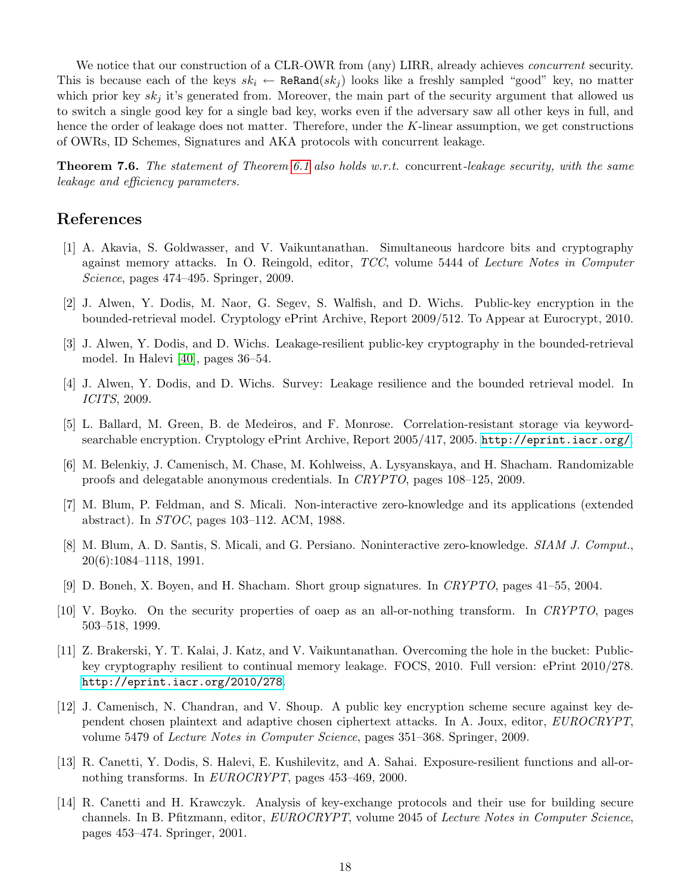We notice that our construction of a CLR-OWR from (any) LIRR, already achieves *concurrent* security. This is because each of the keys  $sk_i \leftarrow \text{ReRand}(sk_j)$  looks like a freshly sampled "good" key, no matter which prior key  $sk_j$  it's generated from. Moreover, the main part of the security argument that allowed us to switch a single good key for a single bad key, works even if the adversary saw all other keys in full, and hence the order of leakage does not matter. Therefore, under the K-linear assumption, we get constructions of OWRs, ID Schemes, Signatures and AKA protocols with concurrent leakage.

**Theorem 7.6.** The statement of Theorem [6.1](#page-15-3) also holds w.r.t. concurrent-leakage security, with the same leakage and efficiency parameters.

# References

- <span id="page-18-1"></span>[1] A. Akavia, S. Goldwasser, and V. Vaikuntanathan. Simultaneous hardcore bits and cryptography against memory attacks. In O. Reingold, editor, TCC, volume 5444 of Lecture Notes in Computer Science, pages 474–495. Springer, 2009.
- <span id="page-18-3"></span>[2] J. Alwen, Y. Dodis, M. Naor, G. Segev, S. Walfish, and D. Wichs. Public-key encryption in the bounded-retrieval model. Cryptology ePrint Archive, Report 2009/512. To Appear at Eurocrypt, 2010.
- <span id="page-18-2"></span>[3] J. Alwen, Y. Dodis, and D. Wichs. Leakage-resilient public-key cryptography in the bounded-retrieval model. In Halevi [\[40\]](#page-20-8), pages 36–54.
- <span id="page-18-6"></span>[4] J. Alwen, Y. Dodis, and D. Wichs. Survey: Leakage resilience and the bounded retrieval model. In ICITS, 2009.
- <span id="page-18-10"></span>[5] L. Ballard, M. Green, B. de Medeiros, and F. Monrose. Correlation-resistant storage via keywordsearchable encryption. Cryptology ePrint Archive, Report 2005/417, 2005. <http://eprint.iacr.org/>.
- <span id="page-18-9"></span>[6] M. Belenkiy, J. Camenisch, M. Chase, M. Kohlweiss, A. Lysyanskaya, and H. Shacham. Randomizable proofs and delegatable anonymous credentials. In CRYPTO, pages 108–125, 2009.
- <span id="page-18-7"></span>[7] M. Blum, P. Feldman, and S. Micali. Non-interactive zero-knowledge and its applications (extended abstract). In STOC, pages 103–112. ACM, 1988.
- <span id="page-18-8"></span>[8] M. Blum, A. D. Santis, S. Micali, and G. Persiano. Noninteractive zero-knowledge. SIAM J. Comput., 20(6):1084–1118, 1991.
- <span id="page-18-0"></span>[9] D. Boneh, X. Boyen, and H. Shacham. Short group signatures. In CRYPTO, pages 41–55, 2004.
- <span id="page-18-11"></span>[10] V. Boyko. On the security properties of oaep as an all-or-nothing transform. In CRYPTO, pages 503–518, 1999.
- <span id="page-18-5"></span>[11] Z. Brakerski, Y. T. Kalai, J. Katz, and V. Vaikuntanathan. Overcoming the hole in the bucket: Publickey cryptography resilient to continual memory leakage. FOCS, 2010. Full version: ePrint 2010/278. <http://eprint.iacr.org/2010/278>.
- <span id="page-18-12"></span>[12] J. Camenisch, N. Chandran, and V. Shoup. A public key encryption scheme secure against key dependent chosen plaintext and adaptive chosen ciphertext attacks. In A. Joux, editor, EUROCRYPT, volume 5479 of Lecture Notes in Computer Science, pages 351–368. Springer, 2009.
- <span id="page-18-4"></span>[13] R. Canetti, Y. Dodis, S. Halevi, E. Kushilevitz, and A. Sahai. Exposure-resilient functions and all-ornothing transforms. In EUROCRYPT, pages 453–469, 2000.
- <span id="page-18-13"></span>[14] R. Canetti and H. Krawczyk. Analysis of key-exchange protocols and their use for building secure channels. In B. Pfitzmann, editor, EUROCRYPT, volume 2045 of Lecture Notes in Computer Science, pages 453–474. Springer, 2001.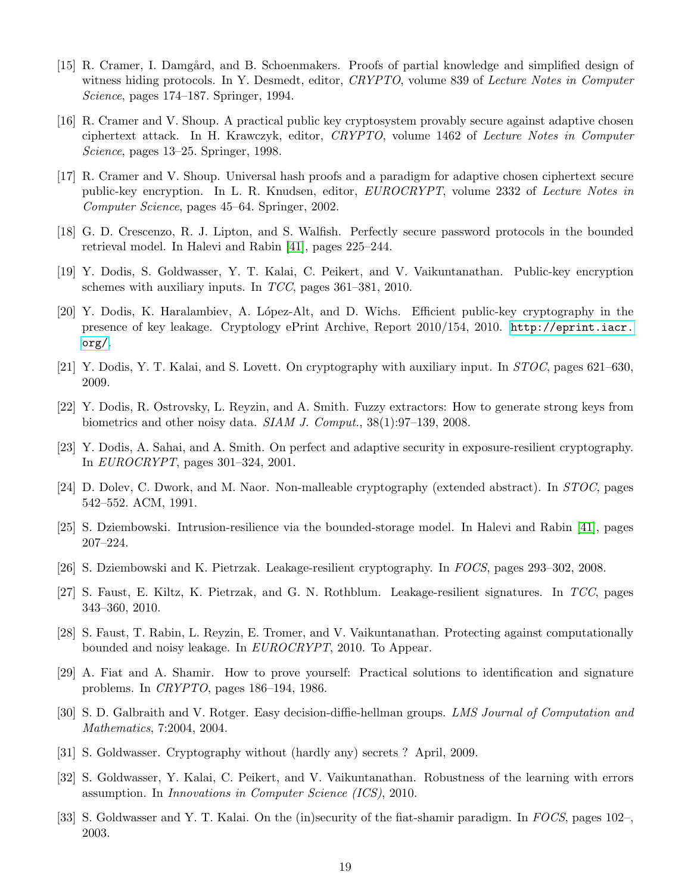- <span id="page-19-18"></span>[15] R. Cramer, I. Damgård, and B. Schoenmakers. Proofs of partial knowledge and simplified design of witness hiding protocols. In Y. Desmedt, editor, CRYPTO, volume 839 of Lecture Notes in Computer Science, pages 174–187. Springer, 1994.
- <span id="page-19-7"></span>[16] R. Cramer and V. Shoup. A practical public key cryptosystem provably secure against adaptive chosen ciphertext attack. In H. Krawczyk, editor, CRYPTO, volume 1462 of Lecture Notes in Computer Science, pages 13–25. Springer, 1998.
- <span id="page-19-4"></span>[17] R. Cramer and V. Shoup. Universal hash proofs and a paradigm for adaptive chosen ciphertext secure public-key encryption. In L. R. Knudsen, editor, EUROCRYPT, volume 2332 of Lecture Notes in Computer Science, pages 45–64. Springer, 2002.
- <span id="page-19-11"></span>[18] G. D. Crescenzo, R. J. Lipton, and S. Walfish. Perfectly secure password protocols in the bounded retrieval model. In Halevi and Rabin [\[41\]](#page-20-9), pages 225–244.
- <span id="page-19-14"></span>[19] Y. Dodis, S. Goldwasser, Y. T. Kalai, C. Peikert, and V. Vaikuntanathan. Public-key encryption schemes with auxiliary inputs. In TCC, pages 361–381, 2010.
- <span id="page-19-3"></span>[20] Y. Dodis, K. Haralambiev, A. L´opez-Alt, and D. Wichs. Efficient public-key cryptography in the presence of key leakage. Cryptology ePrint Archive, Report 2010/154, 2010. [http://eprint.iacr.](http://eprint.iacr.org/) [org/](http://eprint.iacr.org/).
- <span id="page-19-13"></span>[21] Y. Dodis, Y. T. Kalai, and S. Lovett. On cryptography with auxiliary input. In STOC, pages 621–630, 2009.
- <span id="page-19-17"></span>[22] Y. Dodis, R. Ostrovsky, L. Reyzin, and A. Smith. Fuzzy extractors: How to generate strong keys from biometrics and other noisy data. *SIAM J. Comput.*, 38(1):97–139, 2008.
- <span id="page-19-8"></span>[23] Y. Dodis, A. Sahai, and A. Smith. On perfect and adaptive security in exposure-resilient cryptography. In EUROCRYPT, pages 301–324, 2001.
- <span id="page-19-5"></span>[24] D. Dolev, C. Dwork, and M. Naor. Non-malleable cryptography (extended abstract). In STOC, pages 542–552. ACM, 1991.
- <span id="page-19-12"></span>[25] S. Dziembowski. Intrusion-resilience via the bounded-storage model. In Halevi and Rabin [\[41\]](#page-20-9), pages 207–224.
- <span id="page-19-0"></span>[26] S. Dziembowski and K. Pietrzak. Leakage-resilient cryptography. In FOCS, pages 293–302, 2008.
- <span id="page-19-1"></span>[27] S. Faust, E. Kiltz, K. Pietrzak, and G. N. Rothblum. Leakage-resilient signatures. In TCC, pages 343–360, 2010.
- <span id="page-19-16"></span>[28] S. Faust, T. Rabin, L. Reyzin, E. Tromer, and V. Vaikuntanathan. Protecting against computationally bounded and noisy leakage. In EUROCRYPT, 2010. To Appear.
- <span id="page-19-9"></span>[29] A. Fiat and A. Shamir. How to prove yourself: Practical solutions to identification and signature problems. In CRYPTO, pages 186–194, 1986.
- <span id="page-19-6"></span>[30] S. D. Galbraith and V. Rotger. Easy decision-diffie-hellman groups. LMS Journal of Computation and Mathematics, 7:2004, 2004.
- <span id="page-19-2"></span>[31] S. Goldwasser. Cryptography without (hardly any) secrets ? April, 2009.
- <span id="page-19-15"></span>[32] S. Goldwasser, Y. Kalai, C. Peikert, and V. Vaikuntanathan. Robustness of the learning with errors assumption. In Innovations in Computer Science (ICS), 2010.
- <span id="page-19-10"></span>[33] S. Goldwasser and Y. T. Kalai. On the (in)security of the fiat-shamir paradigm. In FOCS, pages 102–, 2003.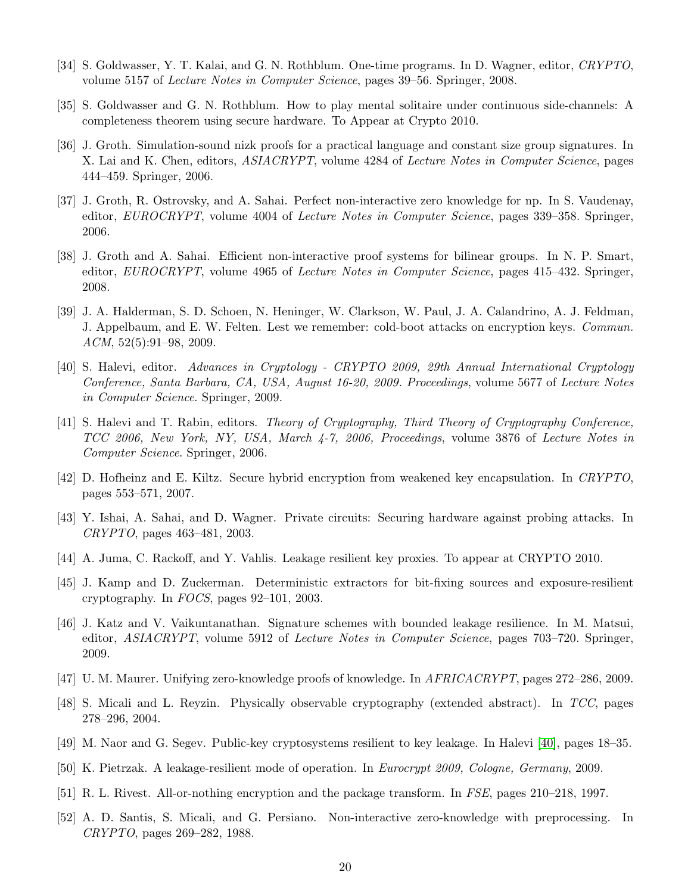- <span id="page-20-12"></span>[34] S. Goldwasser, Y. T. Kalai, and G. N. Rothblum. One-time programs. In D. Wagner, editor, CRYPTO, volume 5157 of Lecture Notes in Computer Science, pages 39–56. Springer, 2008.
- <span id="page-20-14"></span>[35] S. Goldwasser and G. N. Rothblum. How to play mental solitaire under continuous side-channels: A completeness theorem using secure hardware. To Appear at Crypto 2010.
- <span id="page-20-17"></span>[36] J. Groth. Simulation-sound nizk proofs for a practical language and constant size group signatures. In X. Lai and K. Chen, editors, ASIACRYPT, volume 4284 of Lecture Notes in Computer Science, pages 444–459. Springer, 2006.
- <span id="page-20-16"></span>[37] J. Groth, R. Ostrovsky, and A. Sahai. Perfect non-interactive zero knowledge for np. In S. Vaudenay, editor, *EUROCRYPT*, volume 4004 of *Lecture Notes in Computer Science*, pages 339–358. Springer, 2006.
- <span id="page-20-6"></span>[38] J. Groth and A. Sahai. Efficient non-interactive proof systems for bilinear groups. In N. P. Smart, editor, *EUROCRYPT*, volume 4965 of *Lecture Notes in Computer Science*, pages 415–432. Springer, 2008.
- <span id="page-20-15"></span>[39] J. A. Halderman, S. D. Schoen, N. Heninger, W. Clarkson, W. Paul, J. A. Calandrino, A. J. Feldman, J. Appelbaum, and E. W. Felten. Lest we remember: cold-boot attacks on encryption keys. Commun.  $ACM$ ,  $52(5):91-98$ ,  $2009$ .
- <span id="page-20-8"></span>[40] S. Halevi, editor. Advances in Cryptology - CRYPTO 2009, 29th Annual International Cryptology Conference, Santa Barbara, CA, USA, August 16-20, 2009. Proceedings, volume 5677 of Lecture Notes in Computer Science. Springer, 2009.
- <span id="page-20-9"></span>[41] S. Halevi and T. Rabin, editors. Theory of Cryptography, Third Theory of Cryptography Conference, TCC 2006, New York, NY, USA, March 4-7, 2006, Proceedings, volume 3876 of Lecture Notes in Computer Science. Springer, 2006.
- <span id="page-20-1"></span>[42] D. Hofheinz and E. Kiltz. Secure hybrid encryption from weakened key encapsulation. In CRYPTO, pages 553–571, 2007.
- <span id="page-20-3"></span>[43] Y. Ishai, A. Sahai, and D. Wagner. Private circuits: Securing hardware against probing attacks. In CRYPTO, pages 463–481, 2003.
- <span id="page-20-13"></span>[44] A. Juma, C. Rackoff, and Y. Vahlis. Leakage resilient key proxies. To appear at CRYPTO 2010.
- <span id="page-20-11"></span>[45] J. Kamp and D. Zuckerman. Deterministic extractors for bit-fixing sources and exposure-resilient cryptography. In FOCS, pages 92–101, 2003.
- <span id="page-20-2"></span>[46] J. Katz and V. Vaikuntanathan. Signature schemes with bounded leakage resilience. In M. Matsui, editor, ASIACRYPT, volume 5912 of Lecture Notes in Computer Science, pages 703–720. Springer, 2009.
- <span id="page-20-18"></span>[47] U. M. Maurer. Unifying zero-knowledge proofs of knowledge. In AFRICACRYPT, pages 272–286, 2009.
- <span id="page-20-4"></span>[48] S. Micali and L. Reyzin. Physically observable cryptography (extended abstract). In TCC, pages 278–296, 2004.
- <span id="page-20-0"></span>[49] M. Naor and G. Segev. Public-key cryptosystems resilient to key leakage. In Halevi [\[40\]](#page-20-8), pages 18–35.
- <span id="page-20-5"></span>[50] K. Pietrzak. A leakage-resilient mode of operation. In Eurocrypt 2009, Cologne, Germany, 2009.
- <span id="page-20-10"></span>[51] R. L. Rivest. All-or-nothing encryption and the package transform. In FSE, pages 210–218, 1997.
- <span id="page-20-7"></span>[52] A. D. Santis, S. Micali, and G. Persiano. Non-interactive zero-knowledge with preprocessing. In CRYPTO, pages 269–282, 1988.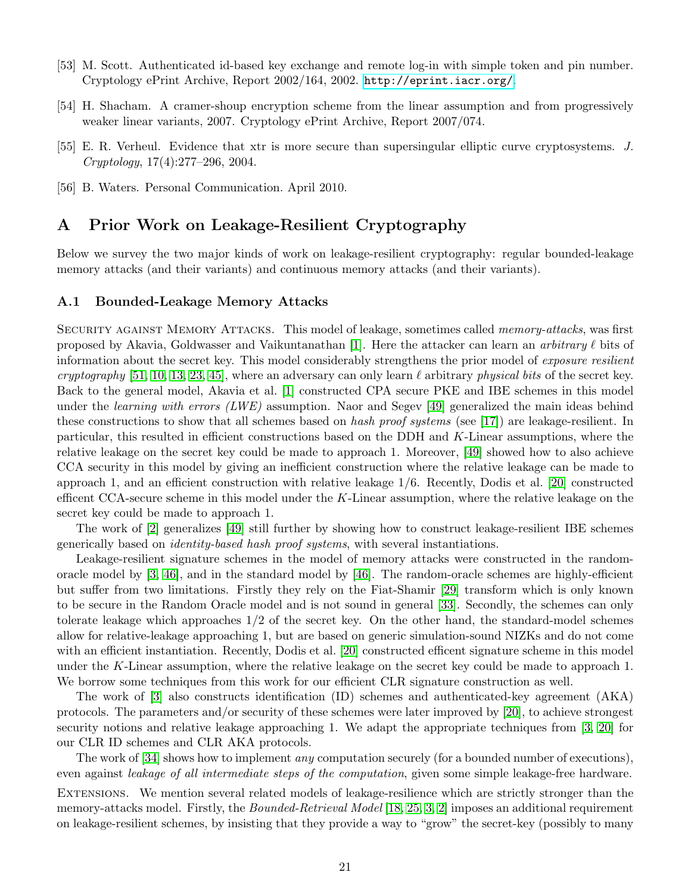- <span id="page-21-3"></span>[53] M. Scott. Authenticated id-based key exchange and remote log-in with simple token and pin number. Cryptology ePrint Archive, Report 2002/164, 2002. <http://eprint.iacr.org/>.
- <span id="page-21-2"></span>[54] H. Shacham. A cramer-shoup encryption scheme from the linear assumption and from progressively weaker linear variants, 2007. Cryptology ePrint Archive, Report 2007/074.
- <span id="page-21-4"></span>[55] E. R. Verheul. Evidence that xtr is more secure than supersingular elliptic curve cryptosystems. J. Cryptology, 17(4):277–296, 2004.
- <span id="page-21-5"></span>[56] B. Waters. Personal Communication. April 2010.

# <span id="page-21-0"></span>A Prior Work on Leakage-Resilient Cryptography

Below we survey the two major kinds of work on leakage-resilient cryptography: regular bounded-leakage memory attacks (and their variants) and continuous memory attacks (and their variants).

#### <span id="page-21-1"></span>A.1 Bounded-Leakage Memory Attacks

SECURITY AGAINST MEMORY ATTACKS. This model of leakage, sometimes called *memory-attacks*, was first proposed by Akavia, Goldwasser and Vaikuntanathan [\[1\]](#page-18-1). Here the attacker can learn an arbitrary  $\ell$  bits of information about the secret key. This model considerably strengthens the prior model of exposure resilient cryptography [\[51,](#page-20-10) [10,](#page-18-11) [13,](#page-18-4) [23,](#page-19-8) [45\]](#page-20-11), where an adversary can only learn  $\ell$  arbitrary physical bits of the secret key. Back to the general model, Akavia et al. [\[1\]](#page-18-1) constructed CPA secure PKE and IBE schemes in this model under the *learning with errors (LWE)* assumption. Naor and Segev [\[49\]](#page-20-0) generalized the main ideas behind these constructions to show that all schemes based on hash proof systems (see [\[17\]](#page-19-4)) are leakage-resilient. In particular, this resulted in efficient constructions based on the DDH and K-Linear assumptions, where the relative leakage on the secret key could be made to approach 1. Moreover, [\[49\]](#page-20-0) showed how to also achieve CCA security in this model by giving an inefficient construction where the relative leakage can be made to approach 1, and an efficient construction with relative leakage 1/6. Recently, Dodis et al. [\[20\]](#page-19-3) constructed efficent CCA-secure scheme in this model under the K-Linear assumption, where the relative leakage on the secret key could be made to approach 1.

The work of [\[2\]](#page-18-3) generalizes [\[49\]](#page-20-0) still further by showing how to construct leakage-resilient IBE schemes generically based on identity-based hash proof systems, with several instantiations.

Leakage-resilient signature schemes in the model of memory attacks were constructed in the randomoracle model by  $[3, 46]$  $[3, 46]$ , and in the standard model by  $[46]$ . The random-oracle schemes are highly-efficient but suffer from two limitations. Firstly they rely on the Fiat-Shamir [\[29\]](#page-19-9) transform which is only known to be secure in the Random Oracle model and is not sound in general [\[33\]](#page-19-10). Secondly, the schemes can only tolerate leakage which approaches 1/2 of the secret key. On the other hand, the standard-model schemes allow for relative-leakage approaching 1, but are based on generic simulation-sound NIZKs and do not come with an efficient instantiation. Recently, Dodis et al. [\[20\]](#page-19-3) constructed efficent signature scheme in this model under the K-Linear assumption, where the relative leakage on the secret key could be made to approach 1. We borrow some techniques from this work for our efficient CLR signature construction as well.

The work of [\[3\]](#page-18-2) also constructs identification (ID) schemes and authenticated-key agreement (AKA) protocols. The parameters and/or security of these schemes were later improved by [\[20\]](#page-19-3), to achieve strongest security notions and relative leakage approaching 1. We adapt the appropriate techniques from [\[3,](#page-18-2) [20\]](#page-19-3) for our CLR ID schemes and CLR AKA protocols.

The work of [\[34\]](#page-20-12) shows how to implement *any* computation securely (for a bounded number of executions), even against leakage of all intermediate steps of the computation, given some simple leakage-free hardware.

Extensions. We mention several related models of leakage-resilience which are strictly stronger than the memory-attacks model. Firstly, the *Bounded-Retrieval Model* [\[18,](#page-19-11) [25,](#page-19-12) [3,](#page-18-2) [2\]](#page-18-3) imposes an additional requirement on leakage-resilient schemes, by insisting that they provide a way to "grow" the secret-key (possibly to many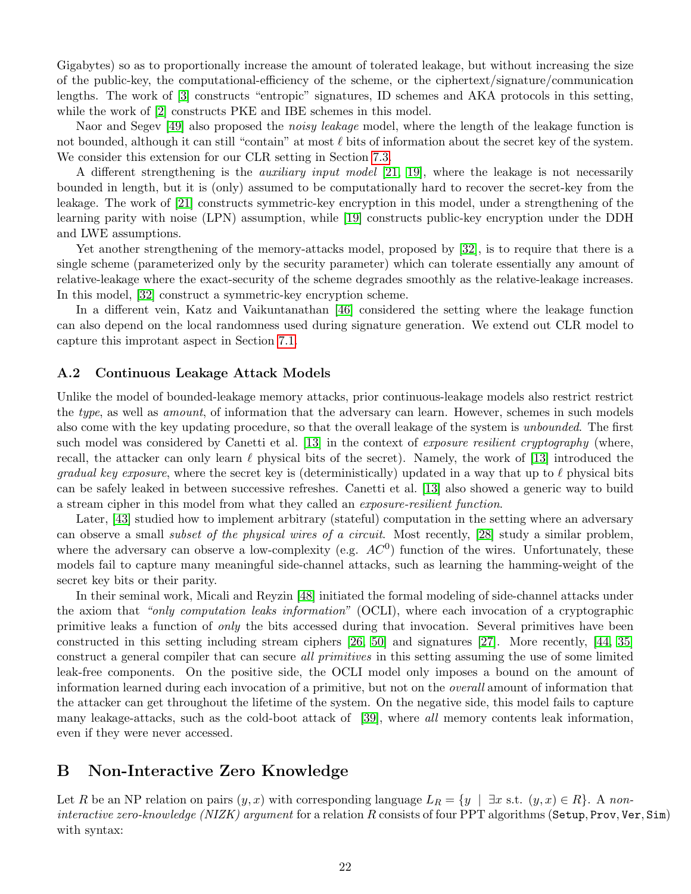Gigabytes) so as to proportionally increase the amount of tolerated leakage, but without increasing the size of the public-key, the computational-efficiency of the scheme, or the ciphertext/signature/communication lengths. The work of [\[3\]](#page-18-2) constructs "entropic" signatures, ID schemes and AKA protocols in this setting, while the work of [\[2\]](#page-18-3) constructs PKE and IBE schemes in this model.

Naor and Segev [\[49\]](#page-20-0) also proposed the *noisy leakage* model, where the length of the leakage function is not bounded, although it can still "contain" at most  $\ell$  bits of information about the secret key of the system. We consider this extension for our CLR setting in Section [7.3.](#page-17-0)

A different strengthening is the *auxiliary input model* [\[21,](#page-19-13) [19\]](#page-19-14), where the leakage is not necessarily bounded in length, but it is (only) assumed to be computationally hard to recover the secret-key from the leakage. The work of [\[21\]](#page-19-13) constructs symmetric-key encryption in this model, under a strengthening of the learning parity with noise (LPN) assumption, while [\[19\]](#page-19-14) constructs public-key encryption under the DDH and LWE assumptions.

Yet another strengthening of the memory-attacks model, proposed by [\[32\]](#page-19-15), is to require that there is a single scheme (parameterized only by the security parameter) which can tolerate essentially any amount of relative-leakage where the exact-security of the scheme degrades smoothly as the relative-leakage increases. In this model, [\[32\]](#page-19-15) construct a symmetric-key encryption scheme.

In a different vein, Katz and Vaikuntanathan [\[46\]](#page-20-2) considered the setting where the leakage function can also depend on the local randomness used during signature generation. We extend out CLR model to capture this improtant aspect in Section [7.1.](#page-15-1)

#### <span id="page-22-0"></span>A.2 Continuous Leakage Attack Models

Unlike the model of bounded-leakage memory attacks, prior continuous-leakage models also restrict restrict the type, as well as *amount*, of information that the adversary can learn. However, schemes in such models also come with the key updating procedure, so that the overall leakage of the system is unbounded. The first such model was considered by Canetti et al. [\[13\]](#page-18-4) in the context of exposure resilient cryptography (where, recall, the attacker can only learn  $\ell$  physical bits of the secret). Namely, the work of [\[13\]](#page-18-4) introduced the *gradual key exposure*, where the secret key is (deterministically) updated in a way that up to  $\ell$  physical bits can be safely leaked in between successive refreshes. Canetti et al. [\[13\]](#page-18-4) also showed a generic way to build a stream cipher in this model from what they called an exposure-resilient function.

Later, [\[43\]](#page-20-3) studied how to implement arbitrary (stateful) computation in the setting where an adversary can observe a small subset of the physical wires of a circuit. Most recently, [\[28\]](#page-19-16) study a similar problem, where the adversary can observe a low-complexity (e.g.  $AC<sup>0</sup>$ ) function of the wires. Unfortunately, these models fail to capture many meaningful side-channel attacks, such as learning the hamming-weight of the secret key bits or their parity.

In their seminal work, Micali and Reyzin [\[48\]](#page-20-4) initiated the formal modeling of side-channel attacks under the axiom that "only computation leaks information" (OCLI), where each invocation of a cryptographic primitive leaks a function of only the bits accessed during that invocation. Several primitives have been constructed in this setting including stream ciphers [\[26,](#page-19-0) [50\]](#page-20-5) and signatures [\[27\]](#page-19-1). More recently, [\[44,](#page-20-13) [35\]](#page-20-14) construct a general compiler that can secure *all primitives* in this setting assuming the use of some limited leak-free components. On the positive side, the OCLI model only imposes a bound on the amount of information learned during each invocation of a primitive, but not on the overall amount of information that the attacker can get throughout the lifetime of the system. On the negative side, this model fails to capture many leakage-attacks, such as the cold-boot attack of [\[39\]](#page-20-15), where all memory contents leak information, even if they were never accessed.

# <span id="page-22-1"></span>B Non-Interactive Zero Knowledge

Let R be an NP relation on pairs  $(y, x)$  with corresponding language  $L_R = \{y \mid \exists x \text{ s.t. } (y, x) \in R\}$ . A noninteractive zero-knowledge (NIZK) argument for a relation R consists of four PPT algorithms (Setup, Prov, Ver, Sim) with syntax: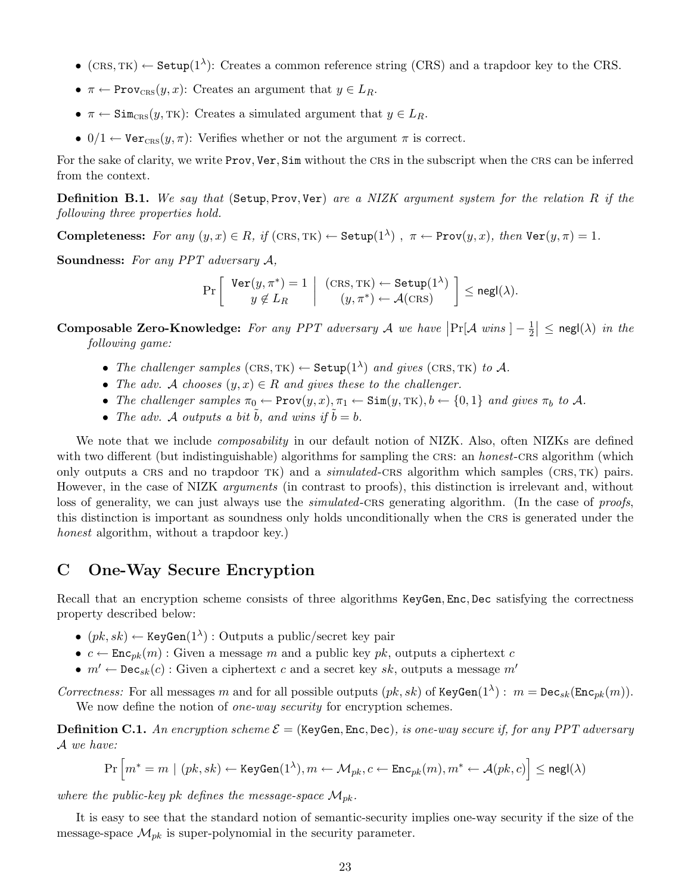- (CRS, TK)  $\leftarrow$  Setup(1<sup> $\lambda$ </sup>): Creates a common reference string (CRS) and a trapdoor key to the CRS.
- $\pi \leftarrow \text{Prov}_{CRS}(y, x)$ : Creates an argument that  $y \in L_R$ .
- $\pi \leftarrow \text{Sim}_{CRS}(y, TK)$ : Creates a simulated argument that  $y \in L_R$ .
- 0/1  $\leftarrow$  Verces $(y, \pi)$ : Verifies whether or not the argument  $\pi$  is correct.

For the sake of clarity, we write Prov, Ver, Sim without the crs in the subscript when the crs can be inferred from the context.

Definition B.1. We say that (Setup, Prov, Ver) are a NIZK argument system for the relation R if the following three properties hold.

Completeness: For any  $(y, x) \in R$ , if  $(CRS, TK) \leftarrow$  Setup $(1^{\lambda})$ ,  $\pi \leftarrow \text{Prov}(y, x)$ , then  $\text{Ver}(y, \pi) = 1$ .

Soundness: For any PPT adversary A,

$$
\Pr\left[\begin{array}{c} \text{Ver}(y,\pi^*)=1\\ y\notin L_R \end{array} \middle| \begin{array}{c} (\text{CRS},\text{TK})\leftarrow \text{Setup}(1^{\lambda})\\ (y,\pi^*)\leftarrow \mathcal{A}(\text{CRS}) \end{array} \right] \leq \text{negl}(\lambda).
$$

Composable Zero-Knowledge: For any PPT adversary A we have  $\Pr[\mathcal{A} \text{ wins } ] - \frac{1}{2}$  $\frac{1}{2}$  |  $\leq$  negl( $\lambda$ ) in the following game:

- The challenger samples  $(CRS, TK) \leftarrow \text{Setup}(1^{\lambda})$  and gives  $(CRS, TK)$  to A.
- The adv. A chooses  $(y, x) \in R$  and gives these to the challenger.
- The challenger samples  $\pi_0 \leftarrow \text{Prov}(y, x), \pi_1 \leftarrow \text{Sim}(y, \text{TK}), b \leftarrow \{0, 1\}$  and gives  $\pi_b$  to A.
- The adv. A outputs a bit  $\tilde{b}$ , and wins if  $\tilde{b} = b$ .

We note that we include *composability* in our default notion of NIZK. Also, often NIZKs are defined with two different (but indistinguishable) algorithms for sampling the CRS: an *honest*-CRS algorithm (which only outputs a CRS and no trapdoor TK) and a *simulated*-CRS algorithm which samples (CRS, TK) pairs. However, in the case of NIZK arguments (in contrast to proofs), this distinction is irrelevant and, without loss of generality, we can just always use the *simulated*-CRS generating algorithm. (In the case of *proofs*, this distinction is important as soundness only holds unconditionally when the crs is generated under the honest algorithm, without a trapdoor key.)

## <span id="page-23-0"></span>C One-Way Secure Encryption

Recall that an encryption scheme consists of three algorithms KeyGen, Enc, Dec satisfying the correctness property described below:

- $(pk, sk) \leftarrow \text{KeyGen}(1^{\lambda})$ : Outputs a public/secret key pair
- $c \leftarrow \text{Enc}_{pk}(m)$ : Given a message m and a public key pk, outputs a ciphertext c
- $m' \leftarrow \text{Dec}_{sk}(c)$ : Given a ciphertext c and a secret key sk, outputs a message m'

Correctness: For all messages m and for all possible outputs  $(pk, sk)$  of KeyGen $(1^{\lambda})$ :  $m = \text{Dec}_{sk}(\text{Enc}_{pk}(m))$ . We now define the notion of *one-way security* for encryption schemes.

**Definition C.1.** An encryption scheme  $\mathcal{E} =$  (KeyGen, Enc, Dec), is one-way secure if, for any PPT adversary A we have:

$$
\Pr\Big[m^*=m \mid (pk, sk) \leftarrow \texttt{KeyGen}(1^\lambda), m \leftarrow \mathcal{M}_{pk}, c \leftarrow \texttt{Enc}_{pk}(m), m^* \leftarrow \mathcal{A}(pk, c)\Big] \leq \texttt{negl}(\lambda)
$$

where the public-key pk defines the message-space  $\mathcal{M}_{pk}$ .

It is easy to see that the standard notion of semantic-security implies one-way security if the size of the message-space  $\mathcal{M}_{pk}$  is super-polynomial in the security parameter.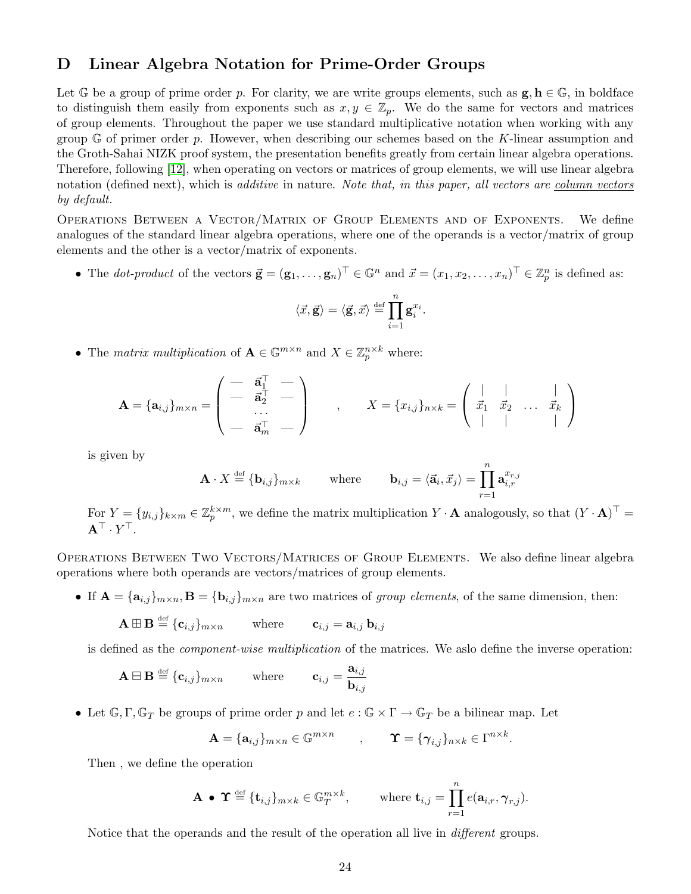## <span id="page-24-0"></span>D Linear Algebra Notation for Prime-Order Groups

Let G be a group of prime order p. For clarity, we are write groups elements, such as  $g, h \in \mathbb{G}$ , in boldface to distinguish them easily from exponents such as  $x, y \in \mathbb{Z}_p$ . We do the same for vectors and matrices of group elements. Throughout the paper we use standard multiplicative notation when working with any group  $\mathbb G$  of primer order p. However, when describing our schemes based on the K-linear assumption and the Groth-Sahai NIZK proof system, the presentation benefits greatly from certain linear algebra operations. Therefore, following [\[12\]](#page-18-12), when operating on vectors or matrices of group elements, we will use linear algebra notation (defined next), which is *additive* in nature. Note that, in this paper, all vectors are <u>column</u> vectors by default.

Operations Between a Vector/Matrix of Group Elements and of Exponents. We define analogues of the standard linear algebra operations, where one of the operands is a vector/matrix of group elements and the other is a vector/matrix of exponents.

• The *dot-product* of the vectors  $\vec{\mathbf{g}} = (\mathbf{g}_1, \dots, \mathbf{g}_n)^\top \in \mathbb{G}^n$  and  $\vec{x} = (x_1, x_2, \dots, x_n)^\top \in \mathbb{Z}_p^n$  is defined as:

$$
\langle \vec{x}, \vec{\mathbf{g}} \rangle = \langle \vec{\mathbf{g}}, \vec{x} \rangle \stackrel{\text{def}}{=} \prod_{i=1}^n \mathbf{g}_i^{x_i}.
$$

• The matrix multiplication of  $\mathbf{A} \in \mathbb{G}^{m \times n}$  and  $X \in \mathbb{Z}_p^{n \times k}$  where:

$$
\mathbf{A} = \{\mathbf{a}_{i,j}\}_{m \times n} = \begin{pmatrix} - & \vec{\mathbf{a}}_1^{\top} & - \\ - & \vec{\mathbf{a}}_2^{\top} & - \\ - & \vec{\mathbf{a}}_m^{\top} & - \end{pmatrix} , \qquad X = \{x_{i,j}\}_{n \times k} = \begin{pmatrix} | & | & | \\ \vec{x}_1 & \vec{x}_2 & \dots & \vec{x}_k \\ | & | & | & \end{pmatrix}
$$

is given by

$$
\mathbf{A} \cdot X \stackrel{\text{def}}{=} \{\mathbf{b}_{i,j}\}_{m \times k} \qquad \text{where} \qquad \mathbf{b}_{i,j} = \langle \vec{\mathbf{a}}_i, \vec{x}_j \rangle = \prod_{r=1}^n \mathbf{a}_{i,r}^{x_{r,j}}
$$

For  $Y = \{y_{i,j}\}_{k \times m} \in \mathbb{Z}_p^{k \times m}$ , we define the matrix multiplication  $Y \cdot \mathbf{A}$  analogously, so that  $(Y \cdot \mathbf{A})^{\top}$  ${\bf A}^\top\cdot Y^\top.$ 

Operations Between Two Vectors/Matrices of Group Elements. We also define linear algebra operations where both operands are vectors/matrices of group elements.

• If  $\mathbf{A} = {\mathbf{a}_{i,j}}_{m \times n}$ ,  $\mathbf{B} = {\mathbf{b}_{i,j}}_{m \times n}$  are two matrices of group elements, of the same dimension, then:

$$
\mathbf{A} \boxplus \mathbf{B} \stackrel{\text{def}}{=} \{\mathbf{c}_{i,j}\}_{m \times n} \quad \text{where} \quad \mathbf{c}_{i,j} = \mathbf{a}_{i,j} \, \mathbf{b}_{i,j}
$$

is defined as the component-wise multiplication of the matrices. We aslo define the inverse operation:

$$
\mathbf{A} \boxminus \mathbf{B} \stackrel{\text{def}}{=} \{\mathbf{c}_{i,j}\}_{m \times n} \qquad \text{where} \qquad \mathbf{c}_{i,j} = \frac{\mathbf{a}_{i,j}}{\mathbf{b}_{i,j}}
$$

• Let  $\mathbb{G}, \Gamma, \mathbb{G}_T$  be groups of prime order p and let  $e : \mathbb{G} \times \Gamma \to \mathbb{G}_T$  be a bilinear map. Let

$$
\mathbf{A} = \{\mathbf{a}_{i,j}\}_{m \times n} \in \mathbb{G}^{m \times n} \qquad , \qquad \mathbf{\Upsilon} = \{\gamma_{i,j}\}_{n \times k} \in \Gamma^{n \times k}.
$$

Then , we define the operation

$$
\mathbf{A} \bullet \Upsilon \stackrel{\text{def}}{=} \{\mathbf{t}_{i,j}\}_{m \times k} \in \mathbb{G}_T^{m \times k}, \qquad \text{where } \mathbf{t}_{i,j} = \prod_{r=1}^n e(\mathbf{a}_{i,r}, \boldsymbol{\gamma}_{r,j}).
$$

Notice that the operands and the result of the operation all live in *different* groups.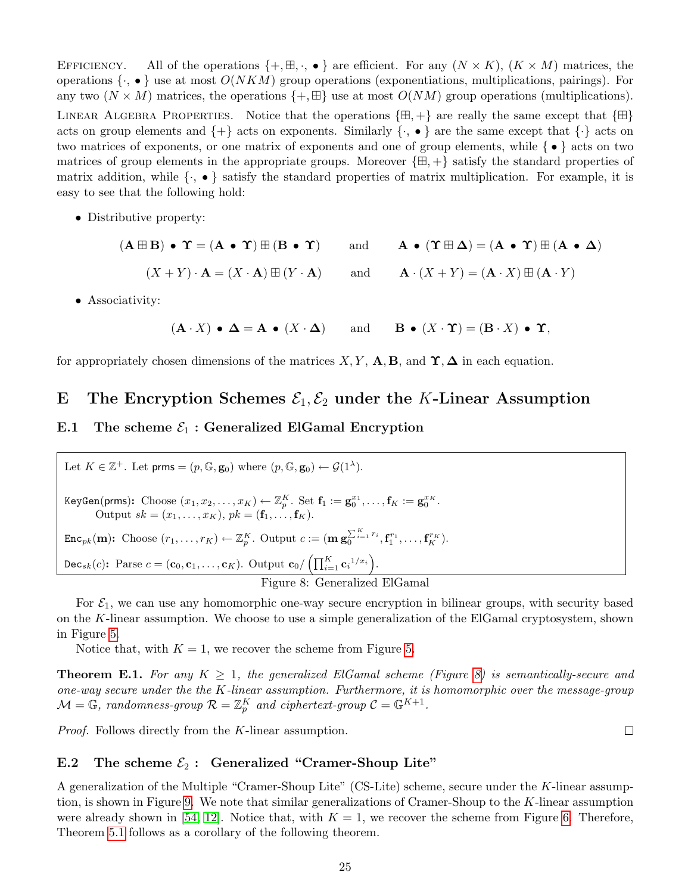EFFICIENCY. All of the operations  $\{+,\boxplus,\cdot,\bullet\}$  are efficient. For any  $(N \times K)$ ,  $(K \times M)$  matrices, the operations  $\{\cdot, \bullet\}$  use at most  $O(NKM)$  group operations (exponentiations, multiplications, pairings). For any two  $(N \times M)$  matrices, the operations  $\{+, \boxplus\}$  use at most  $O(NM)$  group operations (multiplications). LINEAR ALGEBRA PROPERTIES. Notice that the operations  $\{\oplus, +\}$  are really the same except that  $\{\oplus\}$ acts on group elements and  $\{+\}$  acts on exponents. Similarly  $\{\cdot, \bullet\}$  are the same except that  $\{\cdot\}$  acts on two matrices of exponents, or one matrix of exponents and one of group elements, while { • } acts on two matrices of group elements in the appropriate groups. Moreover  $\{\oplus, +\}$  satisfy the standard properties of matrix addition, while  $\{\cdot, \bullet\}$  satisfy the standard properties of matrix multiplication. For example, it is easy to see that the following hold:

• Distributive property:

 $(A \boxplus B) \bullet \Upsilon = (A \bullet \Upsilon) \boxplus (B \bullet \Upsilon)$  and  $A \bullet (\Upsilon \boxplus \Delta) = (A \bullet \Upsilon) \boxplus (A \bullet \Delta)$  $(X + Y) \cdot A = (X \cdot A) \boxplus (Y \cdot A)$  and  $A \cdot (X + Y) = (A \cdot X) \boxplus (A \cdot Y)$ 

• Associativity:

$$
(\mathbf{A} \cdot X) \bullet \mathbf{\Delta} = \mathbf{A} \bullet (X \cdot \mathbf{\Delta})
$$
 and  $\mathbf{B} \bullet (X \cdot \mathbf{\Upsilon}) = (\mathbf{B} \cdot X) \bullet \mathbf{\Upsilon}$ ,

for appropriately chosen dimensions of the matrices  $X, Y, A, B$ , and  $\Upsilon, \Delta$  in each equation.

# <span id="page-25-0"></span>E The Encryption Schemes  $\mathcal{E}_1, \mathcal{E}_2$  under the K-Linear Assumption

### <span id="page-25-1"></span>E.1 The scheme  $\mathcal{E}_1$ : Generalized ElGamal Encryption

Let  $K \in \mathbb{Z}^+$ . Let prms =  $(p, \mathbb{G}, \mathbf{g}_0)$  where  $(p, \mathbb{G}, \mathbf{g}_0) \leftarrow \mathcal{G}(1^{\lambda})$ .  $\text{KeyGen}(\text{prms})\colon \text{Choose } (x_1, x_2, \ldots, x_K) \leftarrow \mathbb{Z}_p^K. \text{ Set } \mathbf{f}_1 := \mathbf{g}_0^{x_1}, \ldots, \mathbf{f}_K := \mathbf{g}_0^{x_K}.$ Output  $sk = (x_1, ..., x_K), pk = (f_1, ..., f_K).$  $\text{Enc}_{pk}(\mathbf{m})$ : Choose  $(r_1, \ldots, r_K) \leftarrow \mathbb{Z}_{p}^K$ . Output  $c := (\mathbf{m} \mathbf{g}_{0}^{\sum_{i=1}^{K} r_i}, \mathbf{f}_{1}^{r_1}, \ldots, \mathbf{f}_{K}^{r_K})$ . Dec<sub>sk</sub>(c): Parse  $c = (\mathbf{c}_0, \mathbf{c}_1, \dots, \mathbf{c}_K)$ . Output  $\mathbf{c}_0 / \left( \prod_{i=1}^K \mathbf{c}_i^{-1/x_i} \right)$ . Figure 8: Generalized ElGamal

For  $\mathcal{E}_1$ , we can use any homomorphic one-way secure encryption in bilinear groups, with security based on the K-linear assumption. We choose to use a simple generalization of the ElGamal cryptosystem, shown in Figure [5.](#page-12-0)

<span id="page-25-3"></span>Notice that, with  $K = 1$ , we recover the scheme from Figure [5.](#page-12-0)

<span id="page-25-5"></span>**Theorem E.1.** For any  $K \geq 1$ , the generalized ElGamal scheme (Figure [8\)](#page-25-3) is semantically-secure and one-way secure under the the K-linear assumption. Furthermore, it is homomorphic over the message-group  $\mathcal{M} = \mathbb{G}$ , randomness-group  $\mathcal{R} = \mathbb{Z}_p^K$  and ciphertext-group  $\mathcal{C} = \mathbb{G}^{K+1}$ .

 $\Box$ 

Proof. Follows directly from the K-linear assumption.

#### <span id="page-25-2"></span>E.2 The scheme  $\mathcal{E}_2$ : Generalized "Cramer-Shoup Lite"

<span id="page-25-4"></span>A generalization of the Multiple "Cramer-Shoup Lite" (CS-Lite) scheme, secure under the K-linear assumption, is shown in Figure [9.](#page-26-0) We note that similar generalizations of Cramer-Shoup to the K-linear assumption were already shown in [\[54,](#page-21-2) [12\]](#page-18-12). Notice that, with  $K = 1$ , we recover the scheme from Figure [6.](#page-12-1) Therefore, Theorem [5.1](#page-12-4) follows as a corollary of the following theorem.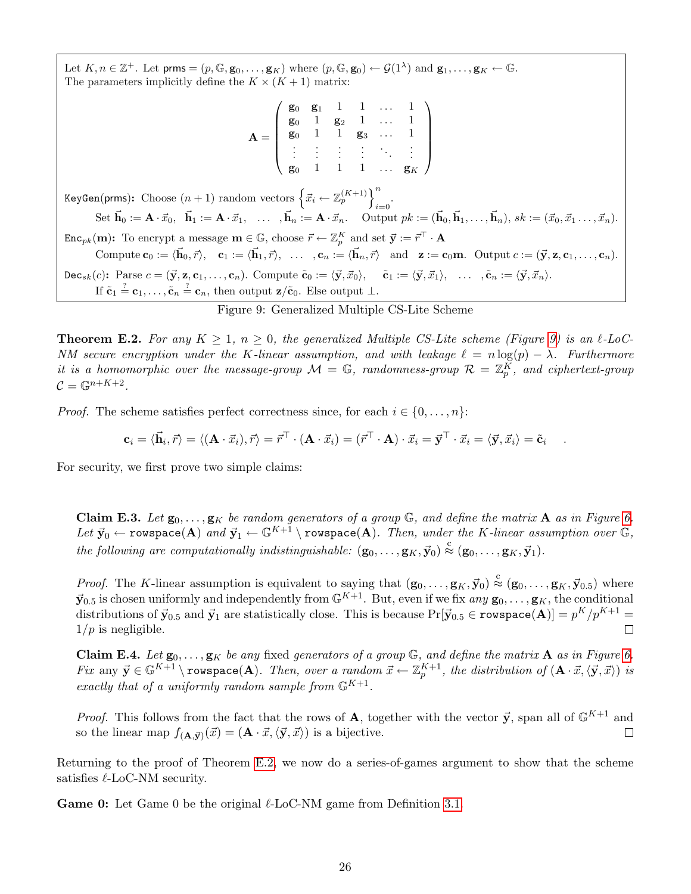Let  $K, n \in \mathbb{Z}^+$ . Let  $\mathsf{prms} = (p, \mathbb{G}, \mathbf{g}_0, \ldots, \mathbf{g}_K)$  where  $(p, \mathbb{G}, \mathbf{g}_0) \leftarrow \mathcal{G}(1^{\lambda})$  and  $\mathbf{g}_1, \ldots, \mathbf{g}_K \leftarrow \mathbb{G}$ . The parameters implicitly define the  $K \times (K + 1)$  matrix:

$$
\mathbf{A} = \left( \begin{array}{cccc} \mathbf{g}_0 & \mathbf{g}_1 & 1 & 1 & \dots & 1 \\ \mathbf{g}_0 & 1 & \mathbf{g}_2 & 1 & \dots & 1 \\ \mathbf{g}_0 & 1 & 1 & \mathbf{g}_3 & \dots & 1 \\ \vdots & \vdots & \vdots & \vdots & \ddots & \vdots \\ \mathbf{g}_0 & 1 & 1 & 1 & \dots & \mathbf{g}_K \end{array} \right)
$$

KeyGen(prms): Choose  $(n+1)$  random vectors  $\left\{ \vec{x_i} \leftarrow \mathbb{Z}_p^{(K+1)} \right\}^n$  $i=0$ Set  $\vec{\mathbf{h}}_0 := \mathbf{A} \cdot \vec{x}_0, \quad \vec{\mathbf{h}}_1 := \mathbf{A} \cdot \vec{x}_1, \quad \dots, \quad \vec{\mathbf{h}}_n := \mathbf{A} \cdot \vec{x}_n.$  Output  $pk := (\vec{\mathbf{h}}_0, \vec{\mathbf{h}}_1, \dots, \vec{\mathbf{h}}_n), \quad sk := (\vec{x}_0, \vec{x}_1, \dots, \vec{x}_n).$  $\texttt{Enc}_{pk}(\mathbf{m})$ : To encrypt a message  $\mathbf{m} \in \mathbb{G}$ , choose  $\vec{r} \leftarrow \mathbb{Z}_p^K$  and set  $\vec{\mathbf{y}} := \vec{r}^\top \cdot \mathbf{A}$ Compute  $\mathbf{c}_0 := \langle \vec{\mathbf{h}}_0, \vec{r} \rangle$ ,  $\mathbf{c}_1 := \langle \vec{\mathbf{h}}_1, \vec{r} \rangle$ , ...,  $\mathbf{c}_n := \langle \vec{\mathbf{h}}_n, \vec{r} \rangle$  and  $\mathbf{z} := \mathbf{c}_0 \mathbf{m}$ . Output  $c := (\vec{\mathbf{y}}, \mathbf{z}, \mathbf{c}_1, \dots, \mathbf{c}_n)$ .  $\texttt{Dec}_{sk}(c)$ : Parse  $c = (\vec{y}, z, c_1, \ldots, c_n)$ . Compute  $\tilde{c}_0 := \langle \vec{y}, \vec{x}_0 \rangle$ ,  $\tilde{c}_1 := \langle \vec{y}, \vec{x}_1 \rangle$ ,  $\ldots$ ,  $\tilde{c}_n := \langle \vec{y}, \vec{x}_n \rangle$ . If  $\tilde{\mathbf{c}}_1 \stackrel{?}{=} \mathbf{c}_1, \ldots, \tilde{\mathbf{c}}_n \stackrel{?}{=} \mathbf{c}_n$ , then output  $\mathbf{z}/\tilde{\mathbf{c}}_0$ . Else output  $\bot$ .

#### <span id="page-26-0"></span>Figure 9: Generalized Multiple CS-Lite Scheme

**Theorem E.2.** For any  $K \geq 1$ ,  $n \geq 0$ , the generalized Multiple CS-Lite scheme (Figure [9\)](#page-26-0) is an  $\ell$ -LoC-NM secure encryption under the K-linear assumption, and with leakage  $\ell = n \log(p) - \lambda$ . Furthermore it is a homomorphic over the message-group  $\mathcal{M} = \mathbb{G}$ , randomness-group  $\mathcal{R} = \mathbb{Z}_p^K$ , and ciphertext-group  $\mathcal{C}=\mathbb{G}^{n+K+2}.$ 

*Proof.* The scheme satisfies perfect correctness since, for each  $i \in \{0, \ldots, n\}$ :

$$
\mathbf{c}_i = \langle \vec{\mathbf{h}}_i, \vec{r} \rangle = \langle (\mathbf{A} \cdot \vec{x}_i), \vec{r} \rangle = \vec{r}^{\top} \cdot (\mathbf{A} \cdot \vec{x}_i) = (\vec{r}^{\top} \cdot \mathbf{A}) \cdot \vec{x}_i = \vec{y}^{\top} \cdot \vec{x}_i = \langle \vec{y}, \vec{x}_i \rangle = \tilde{\mathbf{c}}_i
$$

.

<span id="page-26-1"></span>For security, we first prove two simple claims:

**Claim E.3.** Let  $\mathbf{g}_0, \ldots, \mathbf{g}_K$  be random generators of a group  $\mathbb{G}$ , and define the matrix **A** as in Figure [6.](#page-12-1) Let  $\vec{y}_0 \leftarrow \text{rowspace}(\mathbf{A})$  and  $\vec{y}_1 \leftarrow \mathbb{G}^{K+1} \setminus \text{rowspace}(\mathbf{A})$ . Then, under the K-linear assumption over  $\mathbb{G}$ , the following are computationally indistinguishable:  $(g_0, \ldots, g_K, \vec{y}_0) \stackrel{c}{\approx} (g_0, \ldots, g_K, \vec{y}_1)$ .

*Proof.* The K-linear assumption is equivalent to saying that  $(\mathbf{g}_0, \ldots, \mathbf{g}_K, \vec{\mathbf{y}}_0) \stackrel{c}{\approx} (\mathbf{g}_0, \ldots, \mathbf{g}_K, \vec{\mathbf{y}}_{0.5})$  where  $\vec{y}_{0.5}$  is chosen uniformly and independently from  $\mathbb{G}^{K+1}$ . But, even if we fix  $any \mathbf{g}_0, \ldots, \mathbf{g}_K$ , the conditional distributions of  $\vec{y}_{0.5}$  and  $\vec{y}_1$  are statistically close. This is because  $\Pr[\vec{y}_{0.5} \in \texttt{rowspace}(\mathbf{A})] = p^K/p^{K+1} =$  $1/p$  is negligible.  $\Box$ 

<span id="page-26-2"></span>**Claim E.4.** Let  $\mathbf{g}_0, \ldots, \mathbf{g}_K$  be any fixed generators of a group  $\mathbb{G}$ , and define the matrix **A** as in Figure [6.](#page-12-1) Fix any  $\vec{y} \in \mathbb{G}^{K+1} \setminus \text{rowspace}({\bf A}).$  Then, over a random  $\vec{x} \leftarrow \mathbb{Z}_{p}^{K+1}$ , the distribution of  $({\bf A} \cdot \vec{x}, \langle \vec{y}, \vec{x} \rangle)$  is exactly that of a uniformly random sample from  $\mathbb{G}^{K+1}$ .

*Proof.* This follows from the fact that the rows of **A**, together with the vector  $\vec{y}$ , span all of  $\mathbb{G}^{K+1}$  and so the linear map  $f_{(A,\vec{y})}(\vec{x}) = (A \cdot \vec{x}, \langle \vec{y}, \vec{x} \rangle)$  is a bijective.  $\Box$ 

Returning to the proof of Theorem [E.2,](#page-25-4) we now do a series-of-games argument to show that the scheme satisfies  $\ell$ -LoC-NM security.

**Game 0:** Let Game 0 be the original  $\ell$ -LoC-NM game from Definition [3.1.](#page-6-1)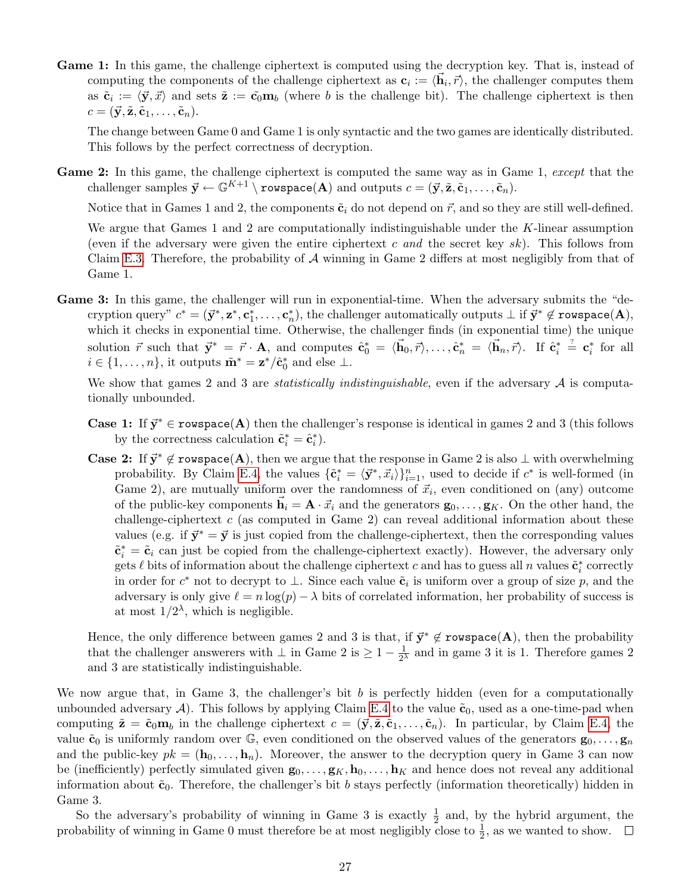Game 1: In this game, the challenge ciphertext is computed using the decryption key. That is, instead of computing the components of the challenge ciphertext as  $c_i := \langle \vec{h}_i, \vec{r} \rangle$ , the challenger computes them as  $\tilde{\mathbf{c}}_i := \langle \vec{\mathbf{y}}, \vec{x} \rangle$  and sets  $\tilde{\mathbf{z}} := \tilde{\mathbf{c}}_0 \mathbf{m}_b$  (where b is the challenge bit). The challenge ciphertext is then  $c = (\vec{y}, \tilde{z}, \tilde{c}_1, \ldots, \tilde{c}_n).$ 

The change between Game 0 and Game 1 is only syntactic and the two games are identically distributed. This follows by the perfect correctness of decryption.

Game 2: In this game, the challenge ciphertext is computed the same way as in Game 1, except that the challenger samples  $\vec{y} \leftarrow \mathbb{G}^{K+1} \setminus \text{rowspace}(\mathbf{A})$  and outputs  $c = (\vec{y}, \tilde{\mathbf{z}}, \tilde{\mathbf{c}}_1, \ldots, \tilde{\mathbf{c}}_n)$ .

Notice that in Games 1 and 2, the components  $\tilde{\mathbf{c}}_i$  do not depend on  $\vec{r}$ , and so they are still well-defined.

We argue that Games 1 and 2 are computationally indistinguishable under the K-linear assumption (even if the adversary were given the entire ciphertext c and the secret key sk). This follows from Claim [E.3.](#page-26-1) Therefore, the probability of  $\mathcal A$  winning in Game 2 differs at most negligibly from that of Game 1.

Game 3: In this game, the challenger will run in exponential-time. When the adversary submits the "decryption query"  $c^* = (\vec{y}^*, z^*, c_1^*, \ldots, c_n^*)$ , the challenger automatically outputs  $\perp$  if  $\vec{y}^* \notin \texttt{rowspace}(\mathbf{A}),$ which it checks in exponential time. Otherwise, the challenger finds (in exponential time) the unique solution  $\vec{r}$  such that  $\vec{y}^* = \vec{r} \cdot \mathbf{A}$ , and computes  $\hat{\mathbf{c}}_0^* = \langle \vec{\mathbf{h}}_0, \vec{r} \rangle, \ldots, \hat{\mathbf{c}}_n^* = \langle \vec{\mathbf{h}}_n, \vec{r} \rangle$ . If  $\hat{\mathbf{c}}_i^* \stackrel{\text{?}}{=} \mathbf{c}_i^*$  for all  $i \in \{1, \ldots, n\}$ , it outputs  $\tilde{\mathbf{m}}^* = \mathbf{z}^*/\hat{\mathbf{c}}_0^*$  and else  $\perp$ .

We show that games 2 and 3 are *statistically indistinguishable*, even if the adversary  $\mathcal A$  is computationally unbounded.

- **Case 1:** If  $\vec{y}^* \in \text{rowspace}(\mathbf{A})$  then the challenger's response is identical in games 2 and 3 (this follows by the correctness calculation  $\tilde{\mathbf{c}}_i^* = \hat{\mathbf{c}}_i^*$ .
- **Case 2:** If  $\vec{y}^* \notin \text{rowspace}(\mathbf{A})$ , then we argue that the response in Game 2 is also  $\perp$  with overwhelming probability. By Claim [E.4,](#page-26-2) the values  $\{\tilde{\mathbf{c}}_i^* = \langle \vec{\mathbf{y}}^*, \vec{x}_i \rangle\}_{i=1}^n$ , used to decide if  $c^*$  is well-formed (in Game 2), are mutually uniform over the randomness of  $\vec{x}_i$ , even conditioned on (any) outcome of the public-key components  $\mathbf{h}_i = \mathbf{A} \cdot \vec{x}_i$  and the generators  $\mathbf{g}_0, \ldots, \mathbf{g}_K$ . On the other hand, the challenge-ciphertext  $c$  (as computed in Game 2) can reveal additional information about these values (e.g. if  $\vec{y}^* = \vec{y}$  is just copied from the challenge-ciphertext, then the corresponding values  $\tilde{\mathbf{c}}_i^* = \tilde{\mathbf{c}}_i$  can just be copied from the challenge-ciphertext exactly). However, the adversary only gets  $\ell$  bits of information about the challenge ciphertext c and has to guess all n values  $\tilde{\mathbf{c}}_i^*$  correctly in order for  $c^*$  not to decrypt to  $\perp$ . Since each value  $\tilde{\mathbf{c}}_i$  is uniform over a group of size p, and the adversary is only give  $\ell = n \log(p) - \lambda$  bits of correlated information, her probability of success is at most  $1/2^{\lambda}$ , which is negligible.

Hence, the only difference between games 2 and 3 is that, if  $\vec{y}^* \notin \text{rowspace}(\mathbf{A})$ , then the probability that the challenger answerers with  $\perp$  in Game 2 is  $\geq 1 - \frac{1}{2}$  $\frac{1}{2^{\lambda}}$  and in game 3 it is 1. Therefore games 2 and 3 are statistically indistinguishable.

We now argue that, in Game 3, the challenger's bit  $b$  is perfectly hidden (even for a computationally unbounded adversary A). This follows by applying Claim [E.4](#page-26-2) to the value  $\tilde{\mathbf{c}}_0$ , used as a one-time-pad when computing  $\tilde{\mathbf{z}} = \tilde{\mathbf{c}}_0 \mathbf{m}_b$  in the challenge ciphertext  $c = (\vec{y}, \tilde{\mathbf{z}}, \tilde{\mathbf{c}}_1, \dots, \tilde{\mathbf{c}}_n)$ . In particular, by Claim [E.4,](#page-26-2) the value  $\tilde{\mathbf{c}}_0$  is uniformly random over  $\mathbb{G}$ , even conditioned on the observed values of the generators  $\mathbf{g}_0, \ldots, \mathbf{g}_n$ and the public-key  $pk = (\mathbf{h}_0, \ldots, \mathbf{h}_n)$ . Moreover, the answer to the decryption query in Game 3 can now be (inefficiently) perfectly simulated given  $\mathbf{g}_0, \ldots, \mathbf{g}_K, \mathbf{h}_0, \ldots, \mathbf{h}_K$  and hence does not reveal any additional information about  $\tilde{\mathbf{c}}_0$ . Therefore, the challenger's bit b stays perfectly (information theoretically) hidden in Game 3.

So the adversary's probability of winning in Game 3 is exactly  $\frac{1}{2}$  and, by the hybrid argument, the probability of winning in Game 0 must therefore be at most negligibly close to  $\frac{1}{2}$ , as we wanted to show.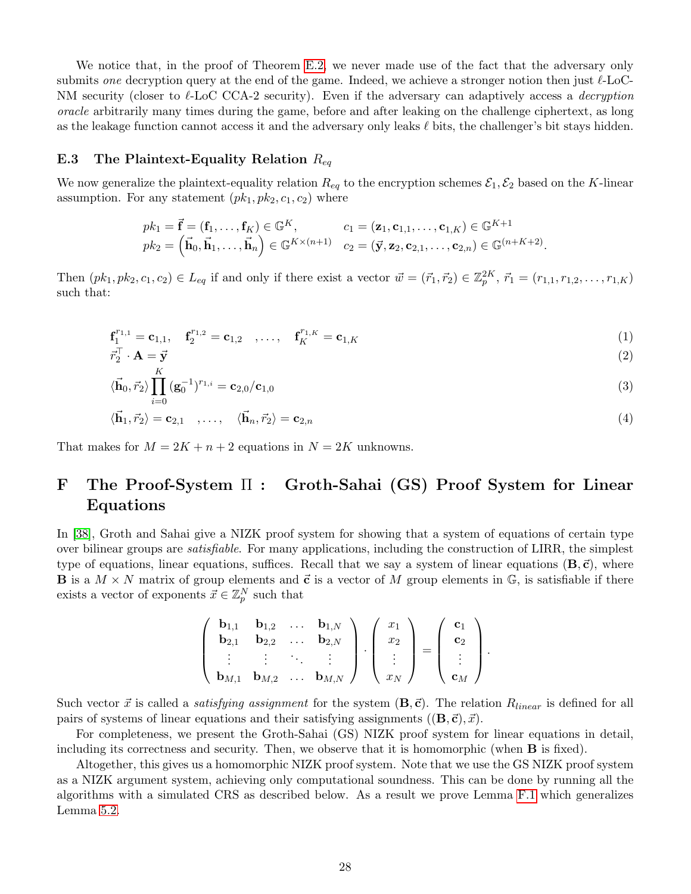We notice that, in the proof of Theorem [E.2,](#page-25-4) we never made use of the fact that the adversary only submits one decryption query at the end of the game. Indeed, we achieve a stronger notion then just  $\ell$ -LoC-NM security (closer to  $\ell$ -LoC CCA-2 security). Even if the adversary can adaptively access a *decryption* oracle arbitrarily many times during the game, before and after leaking on the challenge ciphertext, as long as the leakage function cannot access it and the adversary only leaks  $\ell$  bits, the challenger's bit stays hidden.

#### <span id="page-28-0"></span>E.3 The Plaintext-Equality Relation  $R_{eq}$

We now generalize the plaintext-equality relation  $R_{eq}$  to the encryption schemes  $\mathcal{E}_1, \mathcal{E}_2$  based on the K-linear assumption. For any statement  $(pk_1, pk_2, c_1, c_2)$  where

$$
pk_1 = \vec{\mathbf{f}} = (\mathbf{f}_1, \dots, \mathbf{f}_K) \in \mathbb{G}^K, \qquad c_1 = (\mathbf{z}_1, \mathbf{c}_{1,1}, \dots, \mathbf{c}_{1,K}) \in \mathbb{G}^{K+1}
$$
  
\n
$$
pk_2 = (\vec{\mathbf{h}}_0, \vec{\mathbf{h}}_1, \dots, \vec{\mathbf{h}}_n) \in \mathbb{G}^{K \times (n+1)} \quad c_2 = (\vec{\mathbf{y}}, \mathbf{z}_2, \mathbf{c}_{2,1}, \dots, \mathbf{c}_{2,n}) \in \mathbb{G}^{(n+K+2)}.
$$

Then  $(pk_1, pk_2, c_1, c_2) \in L_{eq}$  if and only if there exist a vector  $\vec{w} = (\vec{r}_1, \vec{r}_2) \in \mathbb{Z}_p^{2K}$ ,  $\vec{r}_1 = (r_{1,1}, r_{1,2}, \ldots, r_{1,K})$ such that:

$$
\mathbf{f}_{1}^{r_{1,1}} = \mathbf{c}_{1,1}, \quad \mathbf{f}_{2}^{r_{1,2}} = \mathbf{c}_{1,2} \quad , \dots, \quad \mathbf{f}_{K}^{r_{1,K}} = \mathbf{c}_{1,K}
$$
 (1)

$$
\vec{r}_2^{\top} \cdot \mathbf{A} = \vec{\mathbf{y}}_K \tag{2}
$$

$$
\langle \vec{\mathbf{h}}_0, \vec{r}_2 \rangle \prod_{i=0} (\mathbf{g}_0^{-1})^{r_{1,i}} = \mathbf{c}_{2,0} / \mathbf{c}_{1,0}
$$
\n
$$
\tag{3}
$$

$$
\langle \vec{\mathbf{h}}_1, \vec{r}_2 \rangle = \mathbf{c}_{2,1} \quad , \dots, \quad \langle \vec{\mathbf{h}}_n, \vec{r}_2 \rangle = \mathbf{c}_{2,n} \tag{4}
$$

That makes for  $M = 2K + n + 2$  equations in  $N = 2K$  unknowns.

# <span id="page-28-1"></span>F The Proof-System Π : Groth-Sahai (GS) Proof System for Linear Equations

In [\[38\]](#page-20-6), Groth and Sahai give a NIZK proof system for showing that a system of equations of certain type over bilinear groups are satisfiable. For many applications, including the construction of LIRR, the simplest type of equations, linear equations, suffices. Recall that we say a system of linear equations  $(B,\vec{c})$ , where **B** is a  $M \times N$  matrix of group elements and  $\vec{c}$  is a vector of M group elements in  $\mathbb{G}$ , is satisfiable if there exists a vector of exponents  $\vec{x} \in \mathbb{Z}_p^N$  such that

$$
\left(\begin{array}{cccc}\n\mathbf{b}_{1,1} & \mathbf{b}_{1,2} & \dots & \mathbf{b}_{1,N} \\
\mathbf{b}_{2,1} & \mathbf{b}_{2,2} & \dots & \mathbf{b}_{2,N} \\
\vdots & \vdots & \ddots & \vdots \\
\mathbf{b}_{M,1} & \mathbf{b}_{M,2} & \dots & \mathbf{b}_{M,N}\n\end{array}\right) \cdot \left(\begin{array}{c} x_1 \\ x_2 \\ \vdots \\ x_N \end{array}\right) = \left(\begin{array}{c} \mathbf{c}_1 \\ \mathbf{c}_2 \\ \vdots \\ \mathbf{c}_M \end{array}\right).
$$

Such vector  $\vec{x}$  is called a *satisfying assignment* for the system  $(\mathbf{B},\vec{c})$ . The relation  $R_{linear}$  is defined for all pairs of systems of linear equations and their satisfying assignments  $((\mathbf{B}, \vec{\mathbf{c}}), \vec{x})$ .

For completeness, we present the Groth-Sahai (GS) NIZK proof system for linear equations in detail, including its correctness and security. Then, we observe that it is homomorphic (when B is fixed).

Altogether, this gives us a homomorphic NIZK proof system. Note that we use the GS NIZK proof system as a NIZK argument system, achieving only computational soundness. This can be done by running all the algorithms with a simulated CRS as described below. As a result we prove Lemma [F.1](#page-30-1) which generalizes Lemma [5.2.](#page-13-1)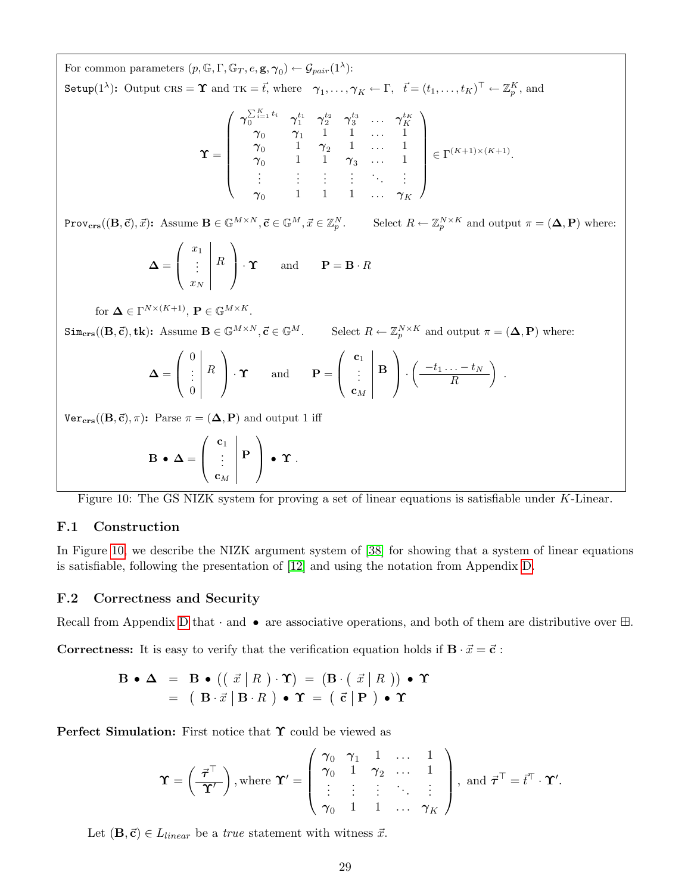For common parameters  $(p, \mathbb{G}, \Gamma, \mathbb{G}_T, e, \mathbf{g}, \gamma_0) \leftarrow \mathcal{G}_{pair}(1^{\lambda})$ : Setup(1<sup> $\lambda$ </sup>): Output  $\text{CRS} = \Upsilon$  and  $\text{TK} = \vec{t}$ , where  $\gamma_1, \ldots, \gamma_K \leftarrow \Gamma, \ \ \vec{t} = (t_1, \ldots, t_K)^\top \leftarrow \mathbb{Z}_p^K$ , and

$$
\Upsilon = \left(\begin{array}{cccccc} \gamma_{0}^{\sum_{i=1}^{K}t_{i}} & \gamma_{1}^{t_{1}} & \gamma_{2}^{t_{2}} & \gamma_{3}^{t_{3}} & \ldots & \gamma_{K}^{t_{K}} \\ \gamma_{0} & \gamma_{1} & 1 & 1 & \ldots & 1 \\ \gamma_{0} & 1 & \gamma_{2} & 1 & \ldots & 1 \\ \gamma_{0} & 1 & 1 & \gamma_{3} & \ldots & 1 \\ \vdots & \vdots & \vdots & \vdots & \ddots & \vdots \\ \gamma_{0} & 1 & 1 & 1 & \ldots & \gamma_{K} \end{array}\right) \in \Gamma^{(K+1)\times(K+1)}.
$$

 $\text{Prov}_{\text{crs}}((\mathbf{B}, \vec{\mathbf{c}}), \vec{x})$ : Assume  $\mathbf{B} \in \mathbb{G}^{M \times N}, \vec{\mathbf{c}} \in \mathbb{G}^{M}, \vec{x} \in \mathbb{Z}_p^N$ . Select  $R \leftarrow \mathbb{Z}_p^{N \times K}$  and output  $\pi = (\mathbf{\Delta}, \mathbf{P})$  where:

$$
\mathbf{\Delta} = \left( \begin{array}{c} x_1 \\ \vdots \\ x_N \end{array} \right) \cdot \mathbf{\Upsilon} \quad \text{and} \quad \mathbf{P} = \mathbf{B} \cdot R
$$

for 
$$
\mathbf{\Delta} \in \Gamma^{N \times (K+1)}
$$
,  $\mathbf{P} \in \mathbb{G}^{M \times K}$ .

 $\text{Sim}_{\text{crs}}((\mathbf{B}, \vec{\mathbf{c}}), \mathbf{tk})$ : Assume  $\mathbf{B} \in \mathbb{G}^{M \times N}, \vec{\mathbf{c}} \in \mathbb{G}^{M}$ . Select  $R \leftarrow \mathbb{Z}_{p}^{N \times K}$  and output  $\pi = (\mathbf{\Delta}, \mathbf{P})$  where:

$$
\mathbf{\Delta} = \left( \begin{array}{c} 0 \\ \vdots \\ 0 \end{array} \right) \cdot \mathbf{\Upsilon} \quad \text{and} \quad \mathbf{P} = \left( \begin{array}{c} \mathbf{c}_1 \\ \vdots \\ \mathbf{c}_M \end{array} \right) \cdot \left( \frac{-t_1 \dots - t_N}{R} \right) .
$$

 $Ver_{\text{crs}}((\mathbf{B}, \vec{\mathbf{c}}), \pi)$ : Parse  $\pi = (\mathbf{\Delta}, \mathbf{P})$  and output 1 iff

<span id="page-29-2"></span>
$$
\mathbf{B} \bullet \Delta = \left( \begin{array}{c} \mathbf{c}_1 \\ \vdots \\ \mathbf{c}_M \end{array} \right| \mathbf{P} \ \bigg) \bullet \Upsilon \ .
$$

Figure 10: The GS NIZK system for proving a set of linear equations is satisfiable under K-Linear.

### <span id="page-29-0"></span>F.1 Construction

In Figure [10,](#page-29-2) we describe the NIZK argument system of [\[38\]](#page-20-6) for showing that a system of linear equations is satisfiable, following the presentation of [\[12\]](#page-18-12) and using the notation from Appendix [D.](#page-24-0)

#### <span id="page-29-1"></span>F.2 Correctness and Security

Recall from Appendix [D](#page-24-0) that  $\cdot$  and  $\bullet$  are associative operations, and both of them are distributive over  $\boxplus$ .

**Correctness:** It is easy to verify that the verification equation holds if  $\mathbf{B} \cdot \vec{x} = \vec{c}$ :

$$
\mathbf{B} \bullet \mathbf{\Delta} = \mathbf{B} \bullet ((\vec{x} | R) \cdot \mathbf{\Upsilon}) = (\mathbf{B} \cdot (\vec{x} | R)) \bullet \mathbf{\Upsilon}
$$

$$
= (\mathbf{B} \cdot \vec{x} | \mathbf{B} \cdot R) \bullet \mathbf{\Upsilon} = (\vec{c} | \mathbf{P}) \bullet \mathbf{\Upsilon}
$$

**Perfect Simulation:** First notice that  $\Upsilon$  could be viewed as

$$
\mathbf{\Upsilon} = \left(\frac{\vec{\boldsymbol{\tau}}^{\top}}{\mathbf{\Upsilon}'}\right), \text{where } \mathbf{\Upsilon}' = \left(\begin{array}{cccc} \gamma_0 & \gamma_1 & 1 & \dots & 1 \\ \gamma_0 & 1 & \gamma_2 & \dots & 1 \\ \vdots & \vdots & \vdots & \ddots & \vdots \\ \gamma_0 & 1 & 1 & \dots & \gamma_K \end{array}\right), \text{ and } \vec{\boldsymbol{\tau}}^{\top} = \vec{t}^{\top} \cdot \mathbf{\Upsilon}'.
$$

Let  $(\mathbf{B},\vec{\mathbf{c}}) \in L_{linear}$  be a *true* statement with witness  $\vec{x}$ .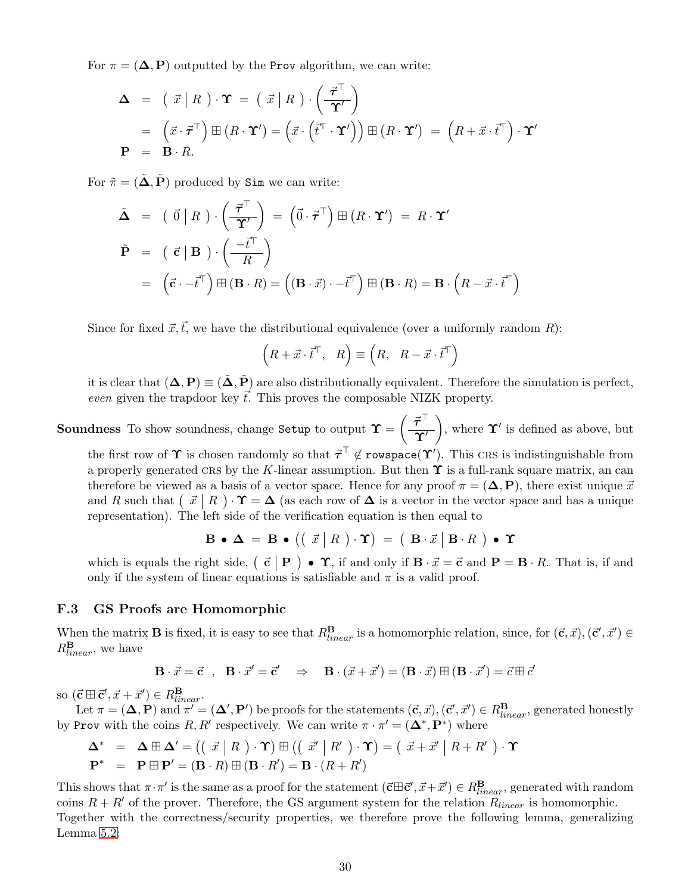For  $\pi = (\Delta, P)$  outputted by the Prov algorithm, we can write:

$$
\Delta = (\vec{x} | R) \cdot \Upsilon = (\vec{x} | R) \cdot (\frac{\vec{\tau}^{\top}}{\Upsilon'})
$$
  
=  $(\vec{x} \cdot \vec{\tau}^{\top}) \boxplus (R \cdot \Upsilon') = (\vec{x} \cdot (\vec{t}^{\top} \cdot \Upsilon')) \boxplus (R \cdot \Upsilon') = (R + \vec{x} \cdot \vec{t}^{\top}) \cdot \Upsilon'$   

$$
P = B \cdot R.
$$

For  $\tilde{\pi} = (\tilde{\Delta}, \tilde{P})$  produced by Sim we can write:

$$
\tilde{\mathbf{\Delta}} = (\vec{0} | R) \cdot (\frac{\vec{\tau}^{\top}}{\Upsilon'}) = (\vec{0} \cdot \vec{\tau}^{\top}) \boxplus (R \cdot \Upsilon') = R \cdot \Upsilon'
$$
\n
$$
\tilde{\mathbf{P}} = (\vec{\epsilon} | \mathbf{B}) \cdot (\frac{-\vec{t}^{\top}}{R})
$$
\n
$$
= (\vec{\epsilon} \cdot -\vec{t}^{\top}) \boxplus (\mathbf{B} \cdot R) = ((\mathbf{B} \cdot \vec{x}) \cdot -\vec{t}^{\top}) \boxplus (\mathbf{B} \cdot R) = \mathbf{B} \cdot (R - \vec{x} \cdot \vec{t}^{\top})
$$

Since for fixed  $\vec{x}, \vec{t}$ , we have the distributional equivalence (over a uniformly random R):

$$
(R + \vec{x} \cdot \vec{t}^{\top}, R) \equiv (R, R - \vec{x} \cdot \vec{t}^{\top})
$$

it is clear that  $(\Delta, P) \equiv (\tilde{\Delta}, \tilde{P})$  are also distributionally equivalent. Therefore the simulation is perfect, even given the trapdoor key  $\vec{t}$ . This proves the composable NIZK property.

**Soundness** To show soundness, change Setup to output  $\Upsilon = \left(\frac{\vec{\tau}^\top}{\Delta t}\right)$  $\overline{\Upsilon'}$ ), where  $\Upsilon'$  is defined as above, but the first row of  $\Upsilon$  is chosen randomly so that  $\vec{\tau}^\top \not\in \mathtt{rowspace}(\Upsilon')$ . This CRS is indistinguishable from a properly generated CRS by the K-linear assumption. But then  $\Upsilon$  is a full-rank square matrix, an can therefore be viewed as a basis of a vector space. Hence for any proof  $\pi = (\Delta, P)$ , there exist unique  $\vec{x}$ and R such that  $\left(\begin{array}{c|c} \vec{x} & R \end{array}\right) \cdot \Upsilon = \Delta$  (as each row of  $\Delta$  is a vector in the vector space and has a unique representation). The left side of the verification equation is then equal to

$$
\mathbf{B} \bullet \mathbf{\Delta} = \mathbf{B} \bullet (( \vec{x} | R) \cdot \mathbf{\Upsilon}) = ( \mathbf{B} \cdot \vec{x} | \mathbf{B} \cdot R ) \bullet \mathbf{\Upsilon}
$$

which is equals the right side,  $(\vec{c} | P) \bullet \Upsilon$ , if and only if  $B \cdot \vec{x} = \vec{c}$  and  $P = B \cdot R$ . That is, if and only if the system of linear equations is satisfiable and  $\pi$  is a valid proof.

#### <span id="page-30-0"></span>F.3 GS Proofs are Homomorphic

When the matrix **B** is fixed, it is easy to see that  $R_{linear}^{\mathbf{B}}$  is a homomorphic relation, since, for  $(\vec{c}, \vec{x})$ ,  $(\vec{c}', \vec{x}') \in \mathbb{R}$  $R_{linear}^{\mathbf{B}}$ , we have

$$
\mathbf{B} \cdot \vec{x} = \vec{\mathbf{c}} \quad , \quad \mathbf{B} \cdot \vec{x}' = \vec{\mathbf{c}}' \quad \Rightarrow \quad \mathbf{B} \cdot (\vec{x} + \vec{x}') = (\mathbf{B} \cdot \vec{x}) \boxplus (\mathbf{B} \cdot \vec{x}') = \vec{c} \boxplus \vec{c}'
$$

so  $(\vec{c} \boxplus \vec{c}', \vec{x} + \vec{x}') \in R_{linear}^{\mathbf{B}}$ .

Let  $\pi = (\Delta, \mathbf{P})$  and  $\pi' = (\Delta', \mathbf{P}')$  be proofs for the statements  $(\vec{c}, \vec{x}), (\vec{c}', \vec{x}') \in R^{\mathbf{B}}_{linear}$ , generated honestly by Prov with the coins R, R' respectively. We can write  $\pi \cdot \pi' = (\mathbf{\Delta}^*, \mathbf{P}^*)$  where

$$
\Delta^* = \Delta \boxplus \Delta' = ((\vec{x} | R) \cdot \Upsilon) \boxplus ((\vec{x}' | R') \cdot \Upsilon) = (\vec{x} + \vec{x}' | R + R') \cdot \Upsilon
$$

$$
\mathbf{P}^* = \mathbf{P} \boxplus \mathbf{P}' = (\mathbf{B} \cdot R) \boxplus (\mathbf{B} \cdot R') = \mathbf{B} \cdot (R + R')
$$

<span id="page-30-1"></span>This shows that  $\pi \cdot \pi'$  is the same as a proof for the statement  $(\vec{c} \boxplus \vec{c}', \vec{x} + \vec{x}') \in R^{\mathbf{B}}_{linear}$ , generated with random coins  $R + R'$  of the prover. Therefore, the GS argument system for the relation  $R_{linear}$  is homomorphic. Together with the correctness/security properties, we therefore prove the following lemma, generalizing Lemma [5.2:](#page-13-1)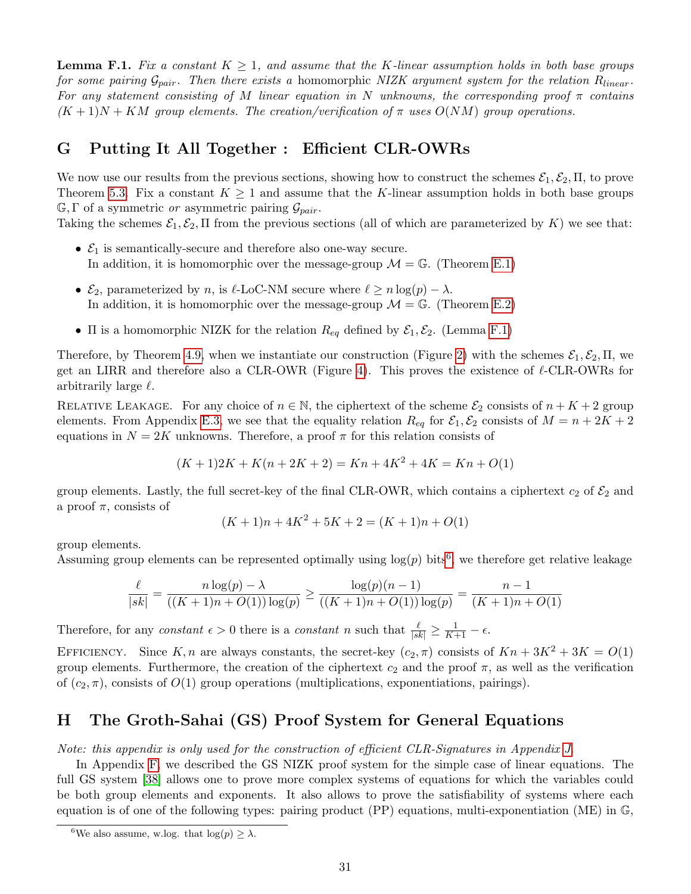**Lemma F.1.** Fix a constant  $K \geq 1$ , and assume that the K-linear assumption holds in both base groups for some pairing  $\mathcal{G}_{pair}$ . Then there exists a homomorphic NIZK argument system for the relation  $R_{linear}$ . For any statement consisting of M linear equation in N unknowns, the corresponding proof  $\pi$  contains  $(K+1)N + KM$  group elements. The creation/verification of  $\pi$  uses  $O(NM)$  group operations.

# <span id="page-31-0"></span>G Putting It All Together : Efficient CLR-OWRs

We now use our results from the previous sections, showing how to construct the schemes  $\mathcal{E}_1, \mathcal{E}_2, \Pi$ , to prove Theorem [5.3.](#page-14-2) Fix a constant  $K \geq 1$  and assume that the K-linear assumption holds in both base groups  $\mathbb{G}, \Gamma$  of a symmetric or asymmetric pairing  $\mathcal{G}_{pair}$ .

Taking the schemes  $\mathcal{E}_1, \mathcal{E}_2, \Pi$  from the previous sections (all of which are parameterized by K) we see that:

- $\mathcal{E}_1$  is semantically-secure and therefore also one-way secure. In addition, it is homomorphic over the message-group  $\mathcal{M} = \mathbb{G}$ . (Theorem [E.1\)](#page-25-5)
- $\mathcal{E}_2$ , parameterized by n, is  $\ell$ -LoC-NM secure where  $\ell \ge n \log(p) \lambda$ . In addition, it is homomorphic over the message-group  $\mathcal{M} = \mathbb{G}$ . (Theorem [E.2\)](#page-25-4)
- $\Pi$  is a homomorphic NIZK for the relation  $R_{eq}$  defined by  $\mathcal{E}_1, \mathcal{E}_2$ . (Lemma [F.1\)](#page-30-1)

Therefore, by Theorem [4.9,](#page-10-3) when we instantiate our construction (Figure [2\)](#page-8-2) with the schemes  $\mathcal{E}_1, \mathcal{E}_2, \Pi$ , we get an LIRR and therefore also a CLR-OWR (Figure [4\)](#page-10-2). This proves the existence of  $\ell$ -CLR-OWRs for arbitrarily large  $\ell$ .

RELATIVE LEAKAGE. For any choice of  $n \in \mathbb{N}$ , the ciphertext of the scheme  $\mathcal{E}_2$  consists of  $n + K + 2$  group elements. From Appendix [E.3,](#page-28-0) we see that the equality relation  $R_{eq}$  for  $\mathcal{E}_1, \mathcal{E}_2$  consists of  $M = n + 2K + 2$ equations in  $N = 2K$  unknowns. Therefore, a proof  $\pi$  for this relation consists of

$$
(K+1)2K + K(n+2K+2) = Kn + 4K^2 + 4K = Kn + O(1)
$$

group elements. Lastly, the full secret-key of the final CLR-OWR, which contains a ciphertext  $c_2$  of  $\mathcal{E}_2$  and a proof  $\pi$ , consists of

$$
(K+1)n + 4K^2 + 5K + 2 = (K+1)n + O(1)
$$

group elements.

Assuming group elements can be represented optimally using  $log(p)$  bits<sup>[6](#page-31-2)</sup>, we therefore get relative leakage

$$
\frac{\ell}{|sk|} = \frac{n \log(p) - \lambda}{((K+1)n + O(1)) \log(p)} \ge \frac{\log(p)(n-1)}{((K+1)n + O(1)) \log(p)} = \frac{n-1}{(K+1)n + O(1)}
$$

Therefore, for any constant  $\epsilon > 0$  there is a constant n such that  $\frac{\ell}{|sk|} \geq \frac{1}{K+1} - \epsilon$ .

EFFICIENCY. Since K, n are always constants, the secret-key  $(c_2, \pi)$  consists of  $Kn + 3K^2 + 3K = O(1)$ group elements. Furthermore, the creation of the ciphertext  $c_2$  and the proof  $\pi$ , as well as the verification of  $(c_2, \pi)$ , consists of  $O(1)$  group operations (multiplications, exponentiations, pairings).

# <span id="page-31-1"></span>H The Groth-Sahai (GS) Proof System for General Equations

Note: this appendix is only used for the construction of efficient CLR-Signatures in Appendix [J.](#page-34-0)

In Appendix [F,](#page-28-1) we described the GS NIZK proof system for the simple case of linear equations. The full GS system [\[38\]](#page-20-6) allows one to prove more complex systems of equations for which the variables could be both group elements and exponents. It also allows to prove the satisfiability of systems where each equation is of one of the following types: pairing product  $(PP)$  equations, multi-exponentiation  $(ME)$  in  $\mathbb{G}$ ,

<span id="page-31-2"></span><sup>&</sup>lt;sup>6</sup>We also assume, w.log. that  $log(p) > \lambda$ .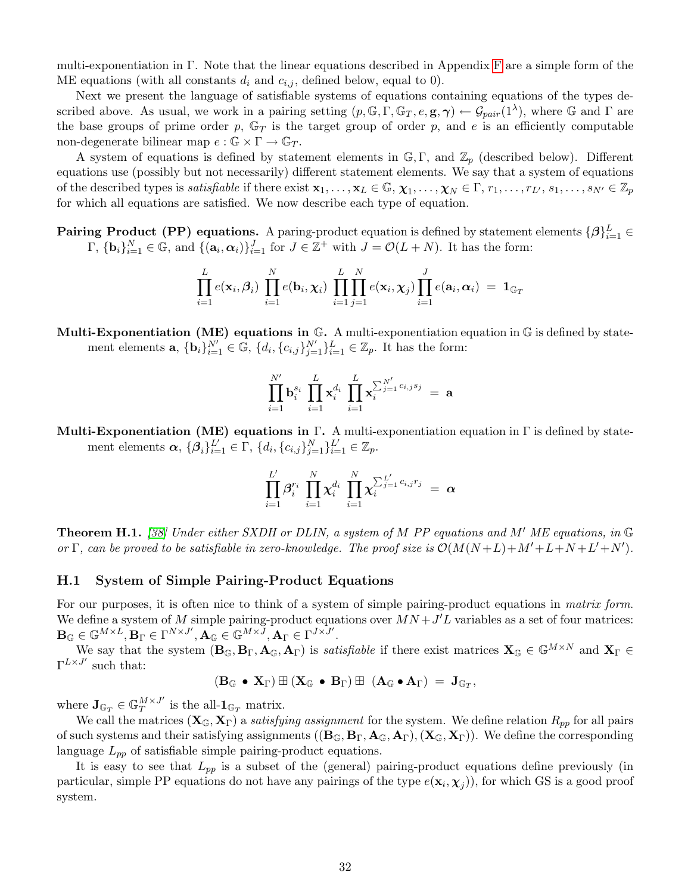multi-exponentiation in Γ. Note that the linear equations described in Appendix [F](#page-28-1) are a simple form of the ME equations (with all constants  $d_i$  and  $c_{i,j}$ , defined below, equal to 0).

Next we present the language of satisfiable systems of equations containing equations of the types described above. As usual, we work in a pairing setting  $(p, \mathbb{G}, \Gamma, \mathbb{G}_T, e, \mathbf{g}, \gamma) \leftarrow \mathcal{G}_{pair}(1^{\lambda}),$  where  $\mathbb{G}$  and  $\Gamma$  are the base groups of prime order p,  $\mathbb{G}_T$  is the target group of order p, and e is an efficiently computable non-degenerate bilinear map  $e : \mathbb{G} \times \Gamma \to \mathbb{G}_T$ .

A system of equations is defined by statement elements in  $\mathbb{G}, \Gamma$ , and  $\mathbb{Z}_p$  (described below). Different equations use (possibly but not necessarily) different statement elements. We say that a system of equations of the described types is *satisfiable* if there exist  $\mathbf{x}_1,\ldots,\mathbf{x}_L \in \mathbb{G}, \chi_1,\ldots,\chi_N \in \Gamma, r_1,\ldots,r_{L'}, s_1,\ldots,s_{N'} \in \mathbb{Z}_p$ for which all equations are satisfied. We now describe each type of equation.

**Pairing Product (PP) equations.** A paring-product equation is defined by statement elements  $\{\beta\}_{i=1}^L \in$  $\Gamma$ ,  ${\bf b}_i\}_{i=1}^N \in \mathbb{G}$ , and  ${\bf a}_i, {\bf a}_i\}_{i=1}^J$  for  $J \in \mathbb{Z}^+$  with  $J = \mathcal{O}(L+N)$ . It has the form:

$$
\prod_{i=1}^{L} e(\mathbf{x}_i, \beta_i) \prod_{i=1}^{N} e(\mathbf{b}_i, \boldsymbol{\chi}_i) \prod_{i=1}^{L} \prod_{j=1}^{N} e(\mathbf{x}_i, \boldsymbol{\chi}_j) \prod_{i=1}^{J} e(\mathbf{a}_i, \boldsymbol{\alpha}_i) = \mathbf{1}_{\mathbb{G}_T}
$$

**Multi-Exponentiation (ME) equations in G.** A multi-exponentiation equation in G is defined by statement elements **a**,  $\{\mathbf{b}_i\}_{i=1}^{N'} \in \mathbb{G}$ ,  $\{d_i, \{c_{i,j}\}_{j=1}^{N'}\}_{i=1}^{L} \in \mathbb{Z}_p$ . It has the form:

$$
\prod_{i=1}^{N'} \mathbf{b}_i^{s_i} \; \prod_{i=1}^{L} \mathbf{x}_i^{d_i} \; \prod_{i=1}^{L} \mathbf{x}_i^{\sum_{j=1}^{N'} c_{i,j} s_j} \; = \; \mathbf{a}
$$

Multi-Exponentiation (ME) equations in Γ. A multi-exponentiation equation in Γ is defined by statement elements  $\alpha$ ,  $\{\beta_i\}_{i=1}^{L'} \in \Gamma$ ,  $\{d_i, \{c_{i,j}\}_{j=1}^{N}\}_{i=1}^{L'} \in \mathbb{Z}_p$ .

$$
\prod_{i=1}^{L'} \bm{\beta}_i^{r_i} \; \prod_{i=1}^{N} \bm{\chi}_i^{d_i} \; \prod_{i=1}^{N} \bm{\chi}_i^{\sum_{j=1}^{L'} c_{i,j} r_j} \; = \; \bm{\alpha}
$$

**Theorem H.1.** [\[38\]](#page-20-6) Under either SXDH or DLIN, a system of M PP equations and M' ME equations, in  $\mathbb{G}$ or  $\Gamma$ , can be proved to be satisfiable in zero-knowledge. The proof size is  $\mathcal{O}(M(N+L)+M'+L+N+L'+N')$ .

#### <span id="page-32-0"></span>H.1 System of Simple Pairing-Product Equations

For our purposes, it is often nice to think of a system of simple pairing-product equations in matrix form. We define a system of M simple pairing-product equations over  $MN + J'L$  variables as a set of four matrices:  $\mathbf{B}_{\mathbb{G}}\in \mathbb{G}^{M\times L}, \mathbf{B}_{\Gamma}\in \Gamma^{N\times J^{\prime}}, \mathbf{A}_{\mathbb{G}}\in \mathbb{G}^{M\times \bar{J}}, \mathbf{A}_{\Gamma}\in \Gamma^{J\times \bar{J}^{\prime}}.$ 

We say that the system  $(\mathbf{B}_{\mathbb{G}}, \mathbf{B}_{\Gamma}, \mathbf{A}_{\mathbb{G}}, \mathbf{A}_{\Gamma})$  is *satisfiable* if there exist matrices  $\mathbf{X}_{\mathbb{G}} \in \mathbb{G}^{M \times N}$  and  $\mathbf{X}_{\Gamma} \in$  $\Gamma^{L\times J'}$  such that:

$$
(\mathbf{B}_{\mathbb{G}} \bullet \mathbf{X}_{\Gamma}) \boxplus (\mathbf{X}_{\mathbb{G}} \bullet \mathbf{B}_{\Gamma}) \boxplus (\mathbf{A}_{\mathbb{G}} \bullet \mathbf{A}_{\Gamma}) = \mathbf{J}_{\mathbb{G}_T},
$$

where  $\mathbf{J}_{\mathbb{G}_T} \in \mathbb{G}_T^{M \times J'}$  $T^{M \times J'}$  is the all- $\mathbf{1}_{\mathbb{G}_T}$  matrix.

We call the matrices  $(X_{\mathbb{G}}, X_{\Gamma})$  a satisfying assignment for the system. We define relation  $R_{pp}$  for all pairs of such systems and their satisfying assignments  $((\mathbf{B}_{\mathbb{G}}, \mathbf{B}_{\Gamma}, \mathbf{A}_{\mathbb{G}}, \mathbf{A}_{\Gamma}), (\mathbf{X}_{\mathbb{G}}, \mathbf{X}_{\Gamma}))$ . We define the corresponding language  $L_{pp}$  of satisfiable simple pairing-product equations.

It is easy to see that  $L_{pp}$  is a subset of the (general) pairing-product equations define previously (in particular, simple PP equations do not have any pairings of the type  $e(\mathbf{x}_i, \mathbf{\chi}_j)$ ), for which GS is a good proof system.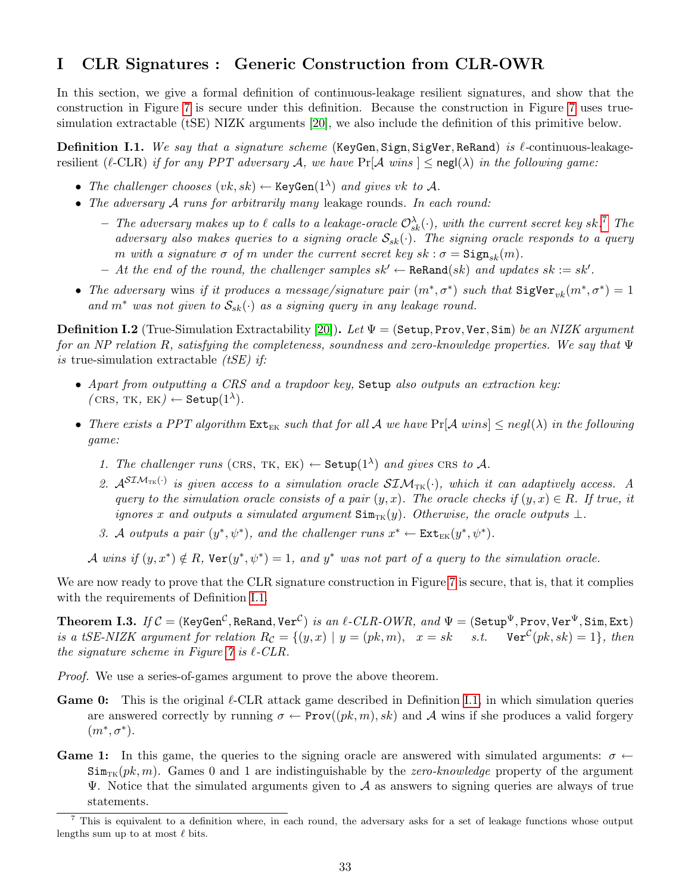# <span id="page-33-0"></span>I CLR Signatures : Generic Construction from CLR-OWR

In this section, we give a formal definition of continuous-leakage resilient signatures, and show that the construction in Figure [7](#page-15-2) is secure under this definition. Because the construction in Figure [7](#page-15-2) uses truesimulation extractable (tSE) NIZK arguments [\[20\]](#page-19-3), we also include the definition of this primitive below.

<span id="page-33-2"></span>**Definition I.1.** We say that a signature scheme (KeyGen, Sign, SigVer, ReRand) is  $\ell$ -continuous-leakageresilient ( $\ell$ -CLR) if for any PPT adversary A, we have Pr[A wins  $] \leq$  negl( $\lambda$ ) in the following game:

- The challenger chooses  $(vk, sk) \leftarrow \text{KeyGen}(1^{\lambda})$  and gives vk to A.
- The adversary  $A$  runs for arbitrarily many leakage rounds. In each round:
	- The adversary makes up to  $\ell$  calls to a leakage-oracle  $\mathcal{O}^\lambda_{sk}(\cdot)$ , with the current secret key sk.<sup>[7](#page-33-1)</sup> The adversary also makes queries to a signing oracle  $S_{sk}(\cdot)$ . The signing oracle responds to a query m with a signature  $\sigma$  of m under the current secret key  $sk : \sigma = \text{Sign}_{sk}(m)$ .
	- At the end of the round, the challenger samples  $sk'$  ← ReRand(sk) and updates  $sk := sk'.$
- The adversary wins if it produces a message/signature pair  $(m^*, \sigma^*)$  such that  $\text{SigVer}_{vk}(m^*, \sigma^*) = 1$ and  $m^*$  was not given to  $\mathcal{S}_{sk}(\cdot)$  as a signing query in any leakage round.

<span id="page-33-4"></span>**Definition I.2** (True-Simulation Extractability [\[20\]](#page-19-3)). Let  $\Psi =$  (Setup, Prov, Ver, Sim) be an NIZK argument for an NP relation R, satisfying the completeness, soundness and zero-knowledge properties. We say that  $\Psi$ is true-simulation extractable *(tSE)* if:

- Apart from outputting a CRS and a trapdoor key, Setup also outputs an extraction key:  $(\textsc{crs}, \textsc{tk}, \textsc{tk}) \leftarrow \texttt{Setup}(1^{\lambda}).$
- There exists a PPT algorithm  $Ext_{EK}$  such that for all A we have  $Pr[\mathcal{A} \text{ wins}] \leq negl(\lambda)$  in the following game:
	- 1. The challenger runs (CRS, TK, EK)  $\leftarrow$  Setup(1<sup> $\lambda$ </sup>) and gives CRS to A.
	- 2.  $\mathcal{A}^{STM_{TK}(\cdot)}$  is given access to a simulation oracle  $STM_{TK}(\cdot)$ , which it can adaptively access. A query to the simulation oracle consists of a pair  $(y, x)$ . The oracle checks if  $(y, x) \in R$ . If true, it ignores x and outputs a simulated argument  $\text{Sim}_{TK}(y)$ . Otherwise, the oracle outputs  $\bot$ .
	- 3. A outputs a pair  $(y^*, \psi^*)$ , and the challenger runs  $x^* \leftarrow \text{Ext}_{EK}(y^*, \psi^*)$ .

A wins if  $(y, x^*) \notin R$ ,  $\text{Ver}(y^*, \psi^*) = 1$ , and  $y^*$  was not part of a query to the simulation oracle.

We are now ready to prove that the CLR signature construction in Figure [7](#page-15-2) is secure, that is, that it complies with the requirements of Definition [I.1.](#page-33-2)

<span id="page-33-3"></span> $\bf Theorem~I.3.$   $\it If C = (KeyGen^{\mathcal{C}}, ReRand, Ver^{\mathcal{C}})$  is an  $\ell\text{-}CLR\text{-}OWR,$  and  $\Psi = (Setup^{\Psi}, Prov, Ver^{\Psi},Sim, Ext)$ is a tSE-NIZK argument for relation  $R_{\mathcal{C}} = \{(y, x) \mid y = (pk, m), x = sk \text{ s.t. } \text{Ver}^{\mathcal{C}}(pk, sk) = 1\},\$ then the signature scheme in Figure  $\gamma$  is  $\ell$ -CLR.

Proof. We use a series-of-games argument to prove the above theorem.

- **Game 0:** This is the original  $\ell$ -CLR attack game described in Definition [I.1,](#page-33-2) in which simulation queries are answered correctly by running  $\sigma \leftarrow \text{Prov}((pk, m), sk)$  and A wins if she produces a valid forgery  $(m^*, \sigma^*)$ .
- **Game 1:** In this game, the queries to the signing oracle are answered with simulated arguments:  $\sigma \leftarrow$  $\text{Sim}_{\text{TK}}(pk, m)$ . Games 0 and 1 are indistinguishable by the *zero-knowledge* property of the argument  $\Psi$ . Notice that the simulated arguments given to  $\mathcal A$  as answers to signing queries are always of true statements.

<span id="page-33-1"></span> $7$  This is equivalent to a definition where, in each round, the adversary asks for a set of leakage functions whose output lengths sum up to at most  $\ell$  bits.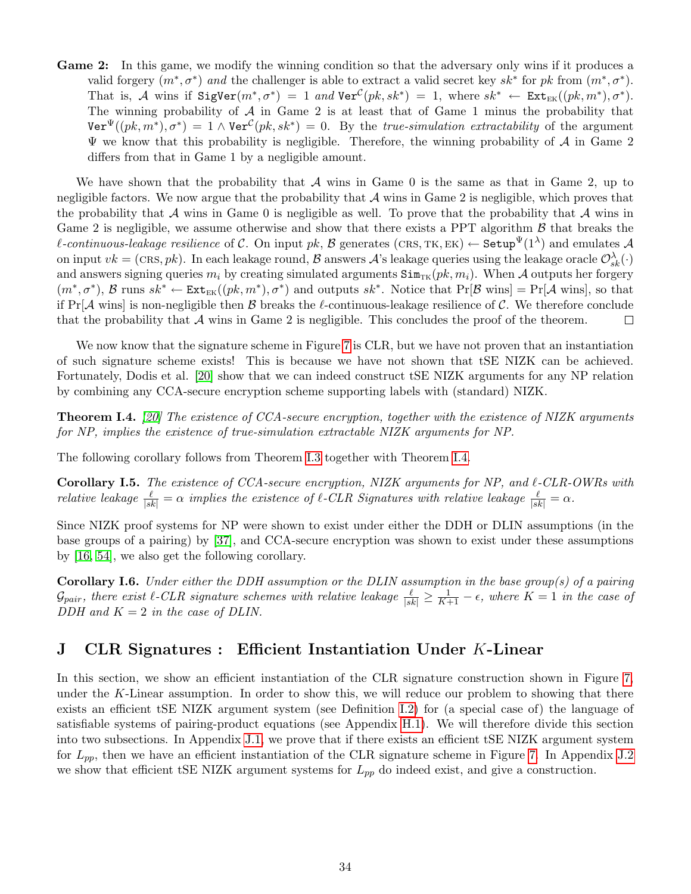Game 2: In this game, we modify the winning condition so that the adversary only wins if it produces a valid forgery  $(m^*, \sigma^*)$  and the challenger is able to extract a valid secret key  $sk^*$  for pk from  $(m^*, \sigma^*)$ . That is, A wins if  $SigVer(m^*, \sigma^*) = 1$  and  $Ver^{\mathcal{C}}(pk, sk^*) = 1$ , where  $sk^* \leftarrow Ext_{EK}((pk, m^*), \sigma^*)$ . The winning probability of  $A$  in Game 2 is at least that of Game 1 minus the probability that  $\text{Ver}^{\Psi}((pk, m^*), \sigma^*) = 1 \wedge \text{Ver}^{\mathcal{C}}(pk, sk^*) = 0.$  By the *true-simulation extractability* of the argument  $\Psi$  we know that this probability is negligible. Therefore, the winning probability of  $\mathcal A$  in Game 2 differs from that in Game 1 by a negligible amount.

We have shown that the probability that A wins in Game 0 is the same as that in Game 2, up to negligible factors. We now argue that the probability that  $A$  wins in Game 2 is negligible, which proves that the probability that  $A$  wins in Game 0 is negligible as well. To prove that the probability that  $A$  wins in Game 2 is negligible, we assume otherwise and show that there exists a PPT algorithm  $\beta$  that breaks the *l*-continuous-leakage resilience of C. On input pk, B generates (CRS, TK, EK)  $\leftarrow$  Setup $\Psi(1^{\lambda})$  and emulates A on input  $vk = (\text{CRs}, pk)$ . In each leakage round,  $\mathcal{B}$  answers  $\mathcal{A}$ 's leakage queries using the leakage oracle  $\mathcal{O}_{sk}^{\lambda}(\cdot)$ and answers signing queries  $m_i$  by creating simulated arguments  $\text{Sim}_{TK}(pk, m_i)$ . When A outputs her forgery  $(m^*, \sigma^*)$ ,  $\mathcal{B}$  runs  $sk^* \leftarrow \text{Ext}_{EK}((pk, m^*), \sigma^*)$  and outputs  $sk^*$ . Notice that  $\Pr[\mathcal{B}$  wins =  $\Pr[\mathcal{A}$  wins, so that if  $Pr[\mathcal{A}]$  wins is non-negligible then  $\mathcal{B}$  breaks the  $\ell$ -continuous-leakage resilience of  $\mathcal{C}$ . We therefore conclude that the probability that  $A$  wins in Game 2 is negligible. This concludes the proof of the theorem.  $\Box$ 

We now know that the signature scheme in Figure [7](#page-15-2) is CLR, but we have not proven that an instantiation of such signature scheme exists! This is because we have not shown that tSE NIZK can be achieved. Fortunately, Dodis et al. [\[20\]](#page-19-3) show that we can indeed construct tSE NIZK arguments for any NP relation by combining any CCA-secure encryption scheme supporting labels with (standard) NIZK.

<span id="page-34-1"></span>**Theorem I.4.** [\[20\]](#page-19-3) The existence of CCA-secure encryption, together with the existence of NIZK arguments for NP, implies the existence of true-simulation extractable NIZK arguments for NP.

The following corollary follows from Theorem [I.3](#page-33-3) together with Theorem [I.4.](#page-34-1)

Corollary I.5. The existence of CCA-secure encryption, NIZK arguments for NP, and  $\ell$ -CLR-OWRs with relative leakage  $\frac{\ell}{|sk|} = \alpha$  implies the existence of  $\ell$ -CLR Signatures with relative leakage  $\frac{\ell}{|sk|} = \alpha$ .

Since NIZK proof systems for NP were shown to exist under either the DDH or DLIN assumptions (in the base groups of a pairing) by [\[37\]](#page-20-16), and CCA-secure encryption was shown to exist under these assumptions by [\[16,](#page-19-7) [54\]](#page-21-2), we also get the following corollary.

**Corollary I.6.** Under either the DDH assumption or the DLIN assumption in the base group(s) of a pairing  $\mathcal{G}_{pair}$ , there exist  $\ell$ -CLR signature schemes with relative leakage  $\frac{\ell}{|sk|} \geq \frac{1}{K+1} - \epsilon$ , where  $K = 1$  in the case of DDH and  $K = 2$  in the case of DLIN.

# <span id="page-34-0"></span>J CLR Signatures : Efficient Instantiation Under K-Linear

In this section, we show an efficient instantiation of the CLR signature construction shown in Figure [7,](#page-15-2) under the K-Linear assumption. In order to show this, we will reduce our problem to showing that there exists an efficient tSE NIZK argument system (see Definition [I.2\)](#page-33-4) for (a special case of) the language of satisfiable systems of pairing-product equations (see Appendix [H.1\)](#page-32-0). We will therefore divide this section into two subsections. In Appendix [J.1,](#page-35-0) we prove that if there exists an efficient tSE NIZK argument system for  $L_{pp}$ , then we have an efficient instantiation of the CLR signature scheme in Figure [7.](#page-15-2) In Appendix [J.2](#page-35-1) we show that efficient tSE NIZK argument systems for  $L_{pp}$  do indeed exist, and give a construction.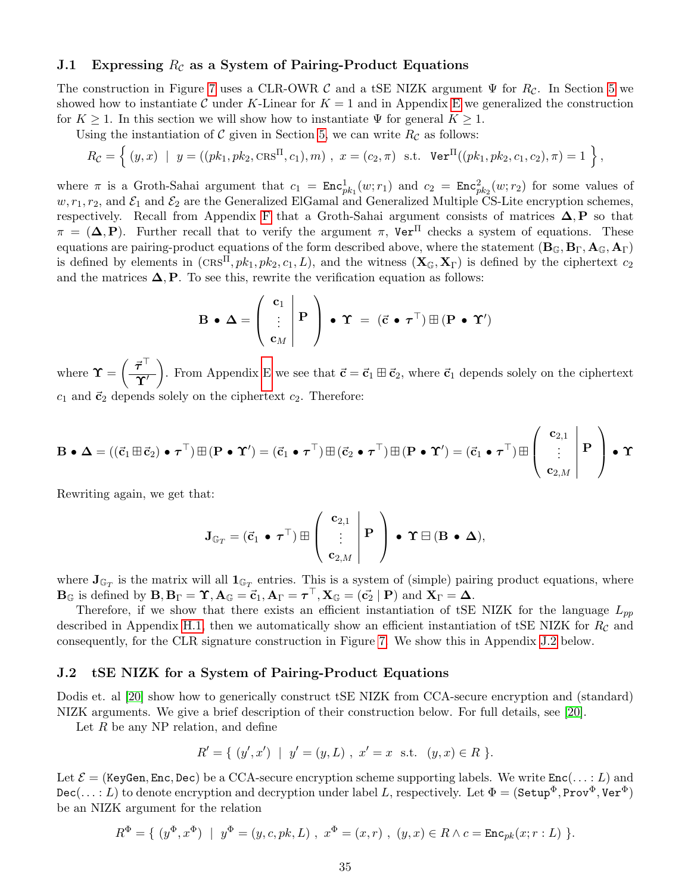#### <span id="page-35-0"></span>J.1 Expressing  $R_c$  as a System of Pairing-Product Equations

The construction in Figure [7](#page-15-2) uses a CLR-OWR C and a tSE NIZK argument  $\Psi$  for  $R_c$ . In Section [5](#page-11-0) we showed how to instantiate C under K-Linear for  $K = 1$  and in Appendix [E](#page-25-0) we generalized the construction for  $K \geq 1$ . In this section we will show how to instantiate  $\Psi$  for general  $K \geq 1$ .

Using the instantiation of C given in Section [5,](#page-11-0) we can write  $R_{\mathcal{C}}$  as follows:

$$
R_{\mathcal{C}} = \left\{ (y, x) \mid y = ((pk_1, pk_2, \text{CRS}^{\Pi}, c_1), m), x = (c_2, \pi) \text{ s.t. } \text{Ver}^{\Pi}((pk_1, pk_2, c_1, c_2), \pi) = 1 \right\},
$$

where  $\pi$  is a Groth-Sahai argument that  $c_1 = \text{Enc}^1_{pk_1}(w; r_1)$  and  $c_2 = \text{Enc}^2_{pk_2}(w; r_2)$  for some values of  $w, r_1, r_2$ , and  $\mathcal{E}_1$  and  $\mathcal{E}_2$  are the Generalized ElGamal and Generalized Multiple CS-Lite encryption schemes, respectively. Recall from Appendix [F](#page-28-1) that a Groth-Sahai argument consists of matrices  $\Delta, P$  so that  $\pi = (\Delta, P)$ . Further recall that to verify the argument  $\pi$ , Ver<sup>II</sup> checks a system of equations. These equations are pairing-product equations of the form described above, where the statement  $(B_{\mathbb{G}}, B_{\Gamma}, A_{\mathbb{G}}, A_{\Gamma})$ is defined by elements in  $(crs\pi, pk_1, pk_2, c_1, L)$ , and the witness  $(\mathbf{X}_{\mathbb{G}}, \mathbf{X}_{\Gamma})$  is defined by the ciphertext  $c_2$ and the matrices  $\Delta$ , P. To see this, rewrite the verification equation as follows:

$$
\mathbf{B} \bullet \mathbf{\Delta} = \left( \begin{array}{c} \mathbf{c}_1 \\ \vdots \\ \mathbf{c}_M \end{array} \middle| \mathbf{P} \right) \bullet \mathbf{\Upsilon} = (\vec{\mathbf{c}} \bullet \boldsymbol{\tau}^\top) \boxplus (\mathbf{P} \bullet \mathbf{\Upsilon}')
$$

where  $\boldsymbol{\Upsilon} = \left(\frac{\vec{\tau}^{\top}}{2\hat{\tau}^{\prime}}\right)$  $\overline{\Upsilon'}$ ). From Appendix [E](#page-25-0) we see that  $\vec{c} = \vec{c}_1 \boxplus \vec{c}_2$ , where  $\vec{c}_1$  depends solely on the ciphertext  $c_1$  and  $\vec{c}_2$  depends solely on the ciphertext  $c_2$ . Therefore:

$$
\mathbf{B} \bullet \Delta = ((\vec{c}_1 \boxplus \vec{c}_2) \bullet \tau^\top) \boxplus (\mathbf{P} \bullet \Upsilon') = (\vec{c}_1 \bullet \tau^\top) \boxplus (\vec{c}_2 \bullet \tau^\top) \boxplus (\mathbf{P} \bullet \Upsilon') = (\vec{c}_1 \bullet \tau^\top) \boxplus \left( \begin{array}{c} \mathbf{c}_{2,1} \\ \vdots \\ \mathbf{c}_{2,M} \end{array} \middle| \ \mathbf{P} \right) \bullet \Upsilon
$$

Rewriting again, we get that:

$$
\mathbf{J}_{\mathbb{G}_T} = (\vec{\mathbf{c}}_1 \bullet \boldsymbol{\tau}^\top) \boxplus \left( \begin{array}{c} \mathbf{c}_{2,1} \\ \vdots \\ \mathbf{c}_{2,M} \end{array} \middle| \mathbf{P} \right) \bullet \mathbf{\Upsilon} \boxminus (\mathbf{B} \bullet \mathbf{\Delta}),
$$

where  $J_{\mathbb{G}_T}$  is the matrix will all  $1_{\mathbb{G}_T}$  entries. This is a system of (simple) pairing product equations, where  $\mathbf{B}_{\mathbb{G}}$  is defined by  $\mathbf{B}, \mathbf{B}_{\Gamma} = \Upsilon, \mathbf{A}_{\mathbb{G}} = \vec{\mathbf{c}}_1, \mathbf{A}_{\Gamma} = \boldsymbol{\tau}^{\top}, \mathbf{X}_{\mathbb{G}} = (\vec{\mathbf{c}}_2 \mid \mathbf{P})$  and  $\mathbf{X}_{\Gamma} = \boldsymbol{\Delta}$ .

Therefore, if we show that there exists an efficient instantiation of tSE NIZK for the language  $L_{pp}$ described in Appendix [H.1,](#page-32-0) then we automatically show an efficient instantiation of tSE NIZK for  $R_c$  and consequently, for the CLR signature construction in Figure [7.](#page-15-2) We show this in Appendix [J.2](#page-35-1) below.

#### <span id="page-35-1"></span>J.2 tSE NIZK for a System of Pairing-Product Equations

Dodis et. al [\[20\]](#page-19-3) show how to generically construct tSE NIZK from CCA-secure encryption and (standard) NIZK arguments. We give a brief description of their construction below. For full details, see [\[20\]](#page-19-3).

Let  $R$  be any NP relation, and define

$$
R' = \{ (y', x') \mid y' = (y, L), x' = x \text{ s.t. } (y, x) \in R \}.
$$

Let  $\mathcal{E} =$  (KeyGen, Enc, Dec) be a CCA-secure encryption scheme supporting labels. We write  $Enc(...: L)$  and  $Dec(\ldots : L)$  to denote encryption and decryption under label L, respectively. Let  $\Phi = (Setup^{\Phi}, Prov^{\Phi}, Ver^{\Phi})$ be an NIZK argument for the relation

$$
R^{\Phi} = \{ (y^{\Phi}, x^{\Phi}) \mid y^{\Phi} = (y, c, pk, L), x^{\Phi} = (x, r), (y, x) \in R \land c = \text{Enc}_{pk}(x; r : L) \}.
$$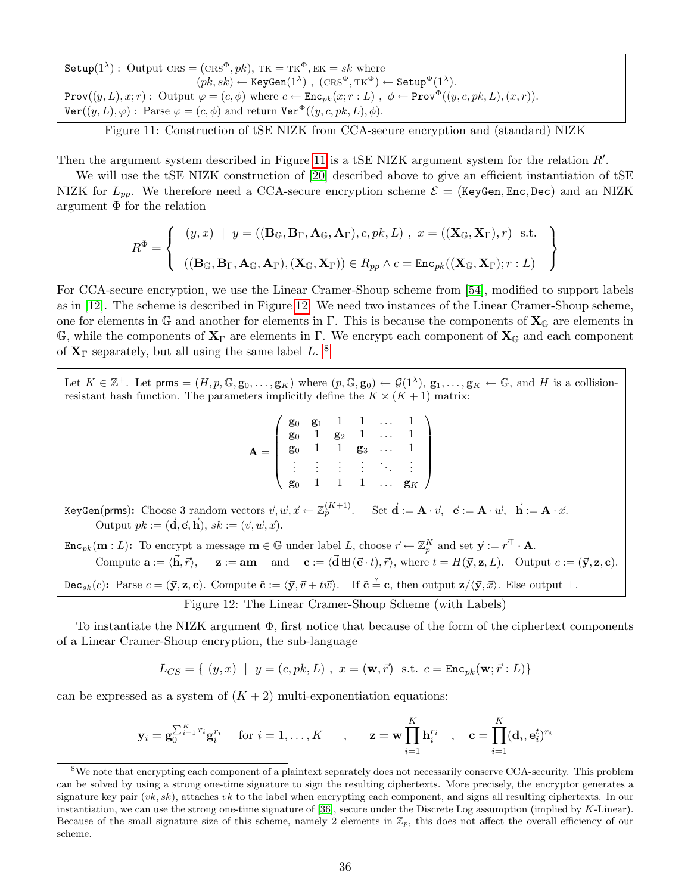Setup $(1^{\lambda})$ : Output CRS =  $(\text{CRS}^{\Phi}, pk)$ , TK = TK<sup> $\Phi$ </sup>, EK = sk where  $(pk, sk) \leftarrow \text{KeyGen}(1^{\lambda})$ ,  $(\text{CRS}^{\Phi}, \text{TK}^{\Phi}) \leftarrow \text{Setup}^{\Phi}(1^{\lambda})$ . Prov $((y, L), x; r)$ : Output  $\varphi = (c, \phi)$  where  $c \leftarrow \text{Enc}_{pk}(x; r : L)$ ,  $\phi \leftarrow \text{Prov}^{\Phi}((y, c, pk, L), (x, r))$ .  $\text{Ver}((y, L), \varphi)$ : Parse  $\varphi = (c, \phi)$  and return  $\text{Ver}^{\Phi}((y, c, pk, L), \phi)$ .

<span id="page-36-0"></span>Figure 11: Construction of tSE NIZK from CCA-secure encryption and (standard) NIZK

Then the argument system described in Figure [11](#page-36-0) is a tSE NIZK argument system for the relation  $R'$ .

We will use the tSE NIZK construction of [\[20\]](#page-19-3) described above to give an efficient instantiation of tSE NIZK for  $L_{pp}$ . We therefore need a CCA-secure encryption scheme  $\mathcal{E} =$  (KeyGen, Enc, Dec) and an NIZK argument  $\Phi$  for the relation

$$
R^{\Phi} = \left\{ \begin{array}{c} (y, x) \mid y = ((\mathbf{B}_{\mathbb{G}}, \mathbf{B}_{\Gamma}, \mathbf{A}_{\mathbb{G}}, \mathbf{A}_{\Gamma}), c, pk, L) \mid x = ((\mathbf{X}_{\mathbb{G}}, \mathbf{X}_{\Gamma}), r) \text{ s.t.} \\ & \left( (\mathbf{B}_{\mathbb{G}}, \mathbf{B}_{\Gamma}, \mathbf{A}_{\mathbb{G}}, \mathbf{A}_{\Gamma}), (\mathbf{X}_{\mathbb{G}}, \mathbf{X}_{\Gamma})) \in R_{pp} \land c = \text{Enc}_{pk}((\mathbf{X}_{\mathbb{G}}, \mathbf{X}_{\Gamma}); r : L) \end{array} \right\}
$$

For CCA-secure encryption, we use the Linear Cramer-Shoup scheme from [\[54\]](#page-21-2), modified to support labels as in [\[12\]](#page-18-12). The scheme is described in Figure [12.](#page-36-1) We need two instances of the Linear Cramer-Shoup scheme, one for elements in G and another for elements in Γ. This is because the components of  $\mathbf{X}_{\mathbb{G}}$  are elements in  $\mathbb{G}$ , while the components of  $\mathbf{X}_{\Gamma}$  are elements in  $\Gamma$ . We encrypt each component of  $\mathbf{X}_{\mathbb{G}}$  and each component of  $X_{\Gamma}$  separately, but all using the same label L. <sup>[8](#page-36-2)</sup>

Let  $K \in \mathbb{Z}^+$ . Let prms =  $(H, p, \mathbb{G}, \mathbf{g}_0, \ldots, \mathbf{g}_K)$  where  $(p, \mathbb{G}, \mathbf{g}_0) \leftarrow \mathcal{G}(1^{\lambda}), \mathbf{g}_1, \ldots, \mathbf{g}_K \leftarrow \mathbb{G}$ , and H is a collisionresistant hash function. The parameters implicitly define the  $K \times (K + 1)$  matrix:

|                | $\mathbf{g}_0$ $\mathbf{g}_1$ |                | $1 \quad 1$    |          |                |  |
|----------------|-------------------------------|----------------|----------------|----------|----------------|--|
| $\mathbf{g}_0$ |                               | $\mathbf{g}_2$ |                |          |                |  |
| $\mathbf{g}_0$ |                               |                | $\mathbf{g}_3$ | $\cdots$ |                |  |
|                |                               |                |                |          |                |  |
|                |                               |                |                | $\cdots$ | $\mathbf{g}_K$ |  |

KeyGen(prms): Choose 3 random vectors  $\vec{v}, \vec{w}, \vec{x} \leftarrow \mathbb{Z}_p^{(K+1)}$ . Set  $\vec{\mathbf{d}} := \mathbf{A} \cdot \vec{v}$ ,  $\vec{\mathbf{e}} := \mathbf{A} \cdot \vec{w}$ ,  $\vec{\mathbf{h}} := \mathbf{A} \cdot \vec{x}$ . Output  $pk := (\vec{\mathbf{d}}, \vec{\mathbf{e}}, \vec{\mathbf{h}}), sk := (\vec{v}, \vec{w}, \vec{x}).$ 

 $\texttt{Enc}_{pk}(\mathbf{m}:L)$ : To encrypt a message  $\mathbf{m} \in \mathbb{G}$  under label L, choose  $\vec{r} \leftarrow \mathbb{Z}_{p}^{K}$  and set  $\vec{\mathbf{y}} := \vec{r}^{\top} \cdot \mathbf{A}$ . Compute  $\mathbf{a} := \langle \vec{\mathbf{h}}, \vec{r} \rangle$ ,  $\mathbf{z} := \mathbf{a}\mathbf{m}$  and  $\mathbf{c} := \langle \vec{\mathbf{d}} \boxplus (\vec{\mathbf{e}} \cdot t), \vec{r} \rangle$ , where  $t = H(\vec{\mathbf{y}}, \mathbf{z}, L)$ . Output  $c := (\vec{\mathbf{y}}, \mathbf{z}, \mathbf{c})$ . Dec<sub>sk</sub>(c): Parse  $c = (\vec{y}, z, c)$ . Compute  $\tilde{c} := \langle \vec{y}, \vec{v} + t \vec{w} \rangle$ . If  $\tilde{c} \stackrel{\text{?}}{=} c$ , then output  $z/\langle \vec{y}, \vec{x} \rangle$ . Else output  $\bot$ .

<span id="page-36-1"></span>Figure 12: The Linear Cramer-Shoup Scheme (with Labels)

To instantiate the NIZK argument  $\Phi$ , first notice that because of the form of the ciphertext components of a Linear Cramer-Shoup encryption, the sub-language

$$
L_{CS} = \{ (y, x) \mid y = (c, pk, L), x = (\mathbf{w}, \vec{r}) \text{ s.t. } c = \text{Enc}_{pk}(\mathbf{w}; \vec{r} : L) \}
$$

can be expressed as a system of  $(K + 2)$  multi-exponentiation equations:

$$
\mathbf{y}_i = \mathbf{g}_0^{\sum_{i=1}^K r_i} \mathbf{g}_i^{r_i} \quad \text{ for } i = 1, \dots, K \qquad , \qquad \mathbf{z} = \mathbf{w} \prod_{i=1}^K \mathbf{h}_i^{r_i} \quad , \quad \mathbf{c} = \prod_{i=1}^K (\mathbf{d}_i, \mathbf{e}_i^t)^{r_i}
$$

<span id="page-36-2"></span><sup>&</sup>lt;sup>8</sup>We note that encrypting each component of a plaintext separately does not necessarily conserve CCA-security. This problem can be solved by using a strong one-time signature to sign the resulting ciphertexts. More precisely, the encryptor generates a signature key pair  $(vk, sk)$ , attaches vk to the label when encrypting each component, and signs all resulting ciphertexts. In our instantiation, we can use the strong one-time signature of [\[36\]](#page-20-17), secure under the Discrete Log assumption (implied by K-Linear). Because of the small signature size of this scheme, namely 2 elements in  $\mathbb{Z}_p$ , this does not affect the overall efficiency of our scheme.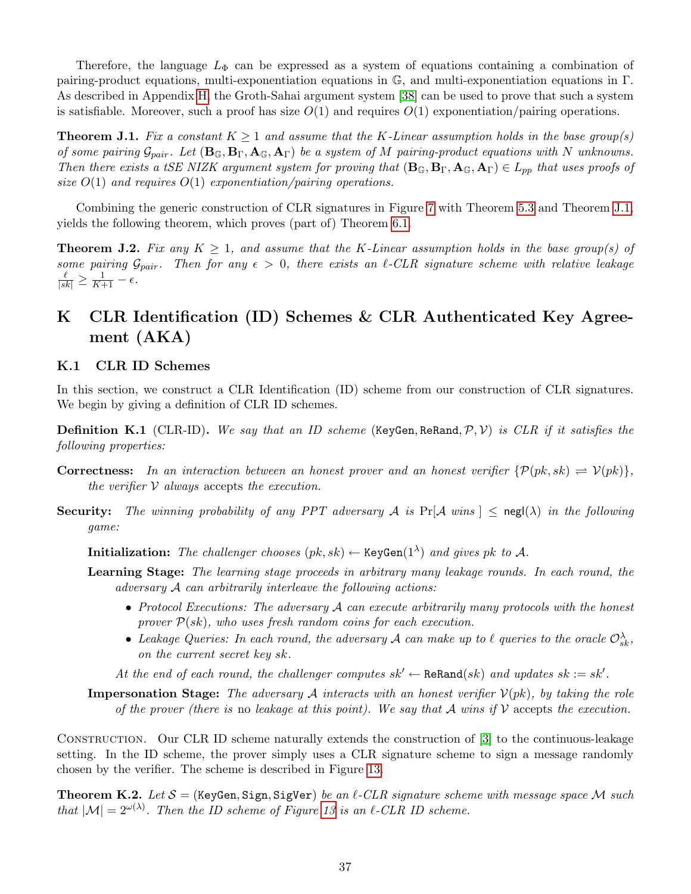Therefore, the language  $L_{\Phi}$  can be expressed as a system of equations containing a combination of pairing-product equations, multi-exponentiation equations in G, and multi-exponentiation equations in Γ. As described in Appendix [H,](#page-31-1) the Groth-Sahai argument system [\[38\]](#page-20-6) can be used to prove that such a system is satisfiable. Moreover, such a proof has size  $O(1)$  and requires  $O(1)$  exponentiation/pairing operations.

<span id="page-37-2"></span>**Theorem J.1.** Fix a constant  $K \geq 1$  and assume that the K-Linear assumption holds in the base group(s) of some pairing  $\mathcal{G}_{pair}$ . Let  $(\mathbf{B}_{\mathbb{G}}, \mathbf{B}_{\Gamma}, \mathbf{A}_{\mathbb{G}}, \mathbf{A}_{\Gamma})$  be a system of M pairing-product equations with N unknowns. Then there exists a tSE NIZK argument system for proving that  $(\mathbf{B}_{\mathbb{G}}, \mathbf{B}_{\Gamma}, \mathbf{A}_{\mathbb{G}}, \mathbf{A}_{\Gamma}) \in L_{pp}$  that uses proofs of size  $O(1)$  and requires  $O(1)$  exponentiation/pairing operations.

Combining the generic construction of CLR signatures in Figure [7](#page-15-2) with Theorem [5.3](#page-14-2) and Theorem [J.1,](#page-37-2) yields the following theorem, which proves (part of) Theorem [6.1.](#page-15-3)

<span id="page-37-4"></span>**Theorem J.2.** Fix any  $K \geq 1$ , and assume that the K-Linear assumption holds in the base group(s) of some pairing  $\mathcal{G}_{pair}$ . Then for any  $\epsilon > 0$ , there exists an  $\ell$ -CLR signature scheme with relative leakage  $\frac{\ell}{|sk|} \geq \frac{1}{K+1} - \epsilon.$ 

# <span id="page-37-0"></span>K CLR Identification (ID) Schemes & CLR Authenticated Key Agreement (AKA)

### <span id="page-37-1"></span>K.1 CLR ID Schemes

In this section, we construct a CLR Identification (ID) scheme from our construction of CLR signatures. We begin by giving a definition of CLR ID schemes.

<span id="page-37-5"></span>**Definition K.1** (CLR-ID). We say that an ID scheme (KeyGen, ReRand,  $\mathcal{P}, \mathcal{V}$ ) is CLR if it satisfies the following properties:

- **Correctness:** In an interaction between an honest prover and an honest verifier  $\{P(pk, sk) \rightleftharpoons V(pk)\},$ the verifier  $V$  always accepts the execution.
- **Security:** The winning probability of any PPT adversary A is  $Pr[A \text{ wins}] \leq neg(\lambda)$  in the following game:

Initialization: The challenger chooses  $(pk, sk) \leftarrow \text{KeyGen}(1^{\lambda})$  and gives pk to A.

- Learning Stage: The learning stage proceeds in arbitrary many leakage rounds. In each round, the adversary  $A$  can arbitrarily interleave the following actions:
	- Protocol Executions: The adversary  $A$  can execute arbitrarily many protocols with the honest prover  $P(sk)$ , who uses fresh random coins for each execution.
	- Leakage Queries: In each round, the adversary A can make up to  $\ell$  queries to the oracle  $\mathcal{O}^{\lambda}_{sk}$ , on the current secret key sk.

At the end of each round, the challenger computes  $sk' \leftarrow \texttt{ReRand}(sk)$  and updates  $sk := sk'.$ 

**Impersonation Stage:** The adversary A interacts with an honest verifier  $V(pk)$ , by taking the role of the prover (there is no leakage at this point). We say that A wins if  $\mathcal V$  accepts the execution.

Construction. Our CLR ID scheme naturally extends the construction of [\[3\]](#page-18-2) to the continuous-leakage setting. In the ID scheme, the prover simply uses a CLR signature scheme to sign a message randomly chosen by the verifier. The scheme is described in Figure [13.](#page-38-1)

<span id="page-37-3"></span>**Theorem K.2.** Let  $S =$  (KeyGen, Sign, SigVer) be an  $\ell$ -CLR signature scheme with message space M such that  $|M| = 2^{\omega(\lambda)}$ . Then the ID scheme of Figure [13](#page-38-1) is an  $\ell$ -CLR ID scheme.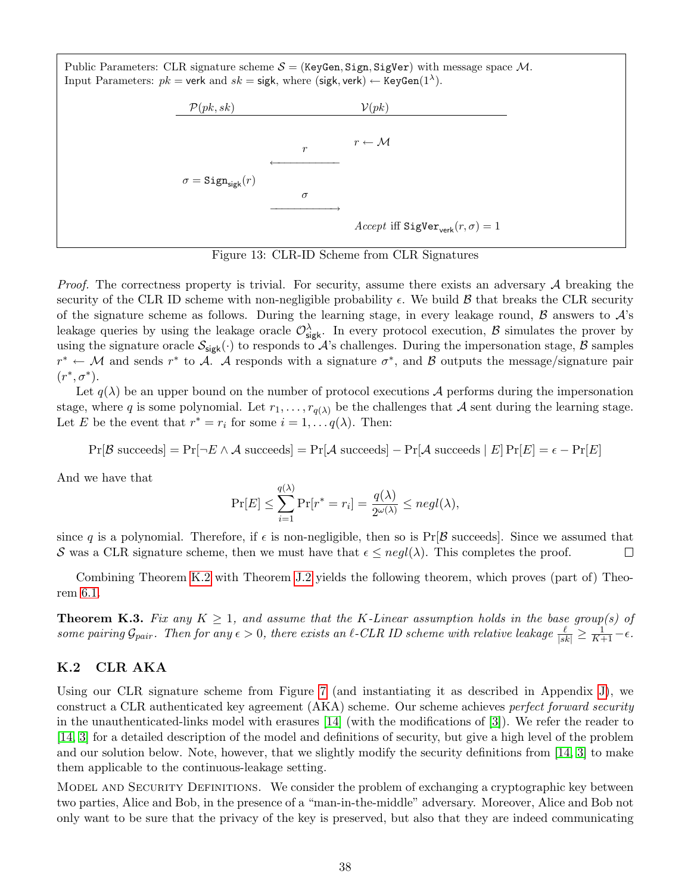Public Parameters: CLR signature scheme  $S = (KeyGen, Sign, Sigper)$  with message space M. Input Parameters:  $pk =$  verk and  $sk =$  sigk, where (sigk, verk)  $\leftarrow$  KeyGen(1<sup> $\lambda$ </sup>).



<span id="page-38-1"></span>Figure 13: CLR-ID Scheme from CLR Signatures

*Proof.* The correctness property is trivial. For security, assume there exists an adversary  $A$  breaking the security of the CLR ID scheme with non-negligible probability  $\epsilon$ . We build  $\beta$  that breaks the CLR security of the signature scheme as follows. During the learning stage, in every leakage round,  $\beta$  answers to  $\mathcal{A}$ 's leakage queries by using the leakage oracle  $\mathcal{O}^{\lambda}_{\mathsf{sigk}}$ . In every protocol execution,  $\beta$  simulates the prover by using the signature oracle  $\mathcal{S}_{sigk}(\cdot)$  to responds to  $\mathcal{A}$ 's challenges. During the impersonation stage,  $\mathcal{B}$  samples  $r^* \leftarrow M$  and sends  $r^*$  to A. A responds with a signature  $\sigma^*$ , and B outputs the message/signature pair  $(r^*, \sigma^*)$ .

Let  $q(\lambda)$  be an upper bound on the number of protocol executions A performs during the impersonation stage, where q is some polynomial. Let  $r_1, \ldots, r_{q(\lambda)}$  be the challenges that A sent during the learning stage. Let E be the event that  $r^* = r_i$  for some  $i = 1, \ldots, q(\lambda)$ . Then:

$$
\Pr[\mathcal{B} \text{ succeeds}] = \Pr[\neg E \land \mathcal{A} \text{ succeeds}] = \Pr[\mathcal{A} \text{ succeeds}] - \Pr[\mathcal{A} \text{ succeeds} \mid E] \Pr[E] = \epsilon - \Pr[E]
$$

And we have that

$$
\Pr[E] \le \sum_{i=1}^{q(\lambda)} \Pr[r^* = r_i] = \frac{q(\lambda)}{2^{\omega(\lambda)}} \le negl(\lambda),
$$

since q is a polynomial. Therefore, if  $\epsilon$  is non-negligible, then so is  $Pr[\mathcal{B}$  succeeds. Since we assumed that S was a CLR signature scheme, then we must have that  $\epsilon \leq negl(\lambda)$ . This completes the proof.  $\Box$ 

Combining Theorem [K.2](#page-37-3) with Theorem [J.2](#page-37-4) yields the following theorem, which proves (part of) Theorem [6.1.](#page-15-3)

**Theorem K.3.** Fix any  $K \geq 1$ , and assume that the K-Linear assumption holds in the base group(s) of some pairing  $\mathcal{G}_{pair}$ . Then for any  $\epsilon > 0$ , there exists an  $\ell$ -CLR ID scheme with relative leakage  $\frac{\ell}{|sk|} \geq \frac{1}{K+1} - \epsilon$ .

#### <span id="page-38-0"></span>K.2 CLR AKA

Using our CLR signature scheme from Figure [7](#page-15-2) (and instantiating it as described in Appendix [J\)](#page-34-0), we construct a CLR authenticated key agreement (AKA) scheme. Our scheme achieves perfect forward security in the unauthenticated-links model with erasures [\[14\]](#page-18-13) (with the modifications of [\[3\]](#page-18-2)). We refer the reader to [\[14,](#page-18-13) [3\]](#page-18-2) for a detailed description of the model and definitions of security, but give a high level of the problem and our solution below. Note, however, that we slightly modify the security definitions from [\[14,](#page-18-13) [3\]](#page-18-2) to make them applicable to the continuous-leakage setting.

Model and Security Definitions. We consider the problem of exchanging a cryptographic key between two parties, Alice and Bob, in the presence of a "man-in-the-middle" adversary. Moreover, Alice and Bob not only want to be sure that the privacy of the key is preserved, but also that they are indeed communicating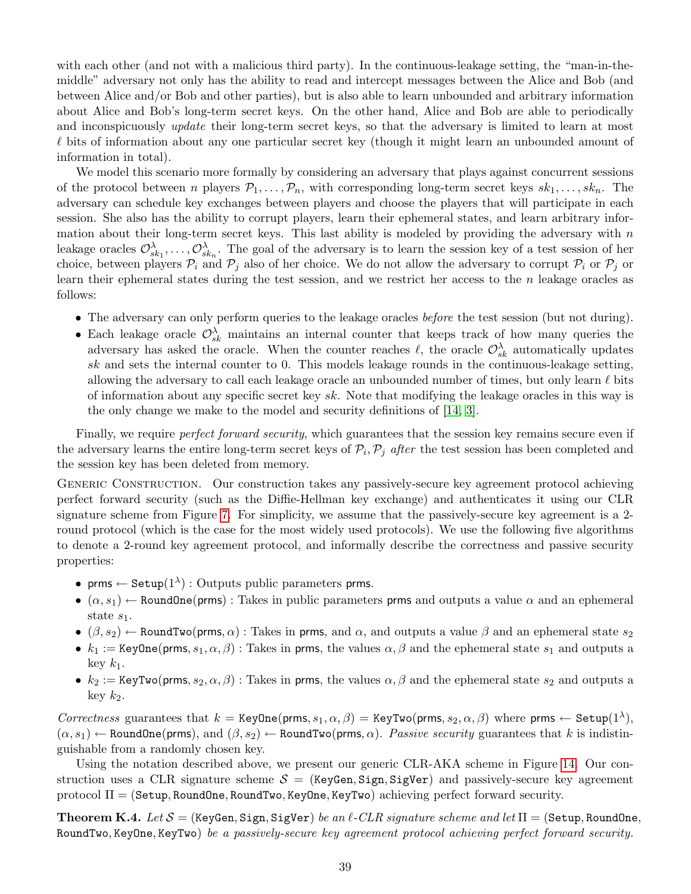with each other (and not with a malicious third party). In the continuous-leakage setting, the "man-in-themiddle" adversary not only has the ability to read and intercept messages between the Alice and Bob (and between Alice and/or Bob and other parties), but is also able to learn unbounded and arbitrary information about Alice and Bob's long-term secret keys. On the other hand, Alice and Bob are able to periodically and inconspicuously *update* their long-term secret keys, so that the adversary is limited to learn at most  $\ell$  bits of information about any one particular secret key (though it might learn an unbounded amount of information in total).

We model this scenario more formally by considering an adversary that plays against concurrent sessions of the protocol between n players  $\mathcal{P}_1,\ldots,\mathcal{P}_n$ , with corresponding long-term secret keys  $sk_1,\ldots, sk_n$ . The adversary can schedule key exchanges between players and choose the players that will participate in each session. She also has the ability to corrupt players, learn their ephemeral states, and learn arbitrary information about their long-term secret keys. This last ability is modeled by providing the adversary with  $n$ leakage oracles  $\mathcal{O}_{sk_1}^{\lambda}, \ldots, \mathcal{O}_{sk_n}^{\lambda}$ . The goal of the adversary is to learn the session key of a test session of her choice, between players  $\mathcal{P}_i$  and  $\mathcal{P}_j$  also of her choice. We do not allow the adversary to corrupt  $\mathcal{P}_i$  or  $\mathcal{P}_j$  or learn their ephemeral states during the test session, and we restrict her access to the n leakage oracles as follows:

- The adversary can only perform queries to the leakage oracles before the test session (but not during).
- Each leakage oracle  $\mathcal{O}_{sk}^{\lambda}$  maintains an internal counter that keeps track of how many queries the adversary has asked the oracle. When the counter reaches  $\ell$ , the oracle  $\mathcal{O}_{sk}^{\lambda}$  automatically updates sk and sets the internal counter to 0. This models leakage rounds in the continuous-leakage setting, allowing the adversary to call each leakage oracle an unbounded number of times, but only learn  $\ell$  bits of information about any specific secret key sk. Note that modifying the leakage oracles in this way is the only change we make to the model and security definitions of [\[14,](#page-18-13) [3\]](#page-18-2).

Finally, we require *perfect forward security*, which guarantees that the session key remains secure even if the adversary learns the entire long-term secret keys of  $P_i, P_j$  after the test session has been completed and the session key has been deleted from memory.

GENERIC CONSTRUCTION. Our construction takes any passively-secure key agreement protocol achieving perfect forward security (such as the Diffie-Hellman key exchange) and authenticates it using our CLR signature scheme from Figure [7.](#page-15-2) For simplicity, we assume that the passively-secure key agreement is a 2 round protocol (which is the case for the most widely used protocols). We use the following five algorithms to denote a 2-round key agreement protocol, and informally describe the correctness and passive security properties:

- prms  $\leftarrow$  Setup $(1^{\lambda})$ : Outputs public parameters prms.
- $(\alpha, s_1) \leftarrow$  RoundOne(prms): Takes in public parameters prms and outputs a value  $\alpha$  and an ephemeral state  $s_1$ .
- $(\beta, s_2) \leftarrow$  RoundTwo(prms,  $\alpha$ ) : Takes in prms, and  $\alpha$ , and outputs a value  $\beta$  and an ephemeral state  $s_2$
- $k_1 := \text{KeyOne}(prms, s_1, \alpha, \beta)$ : Takes in prms, the values  $\alpha, \beta$  and the ephemeral state  $s_1$  and outputs a key  $k_1$ .
- $k_2 := \text{KeyTwo}(prms, s_2, \alpha, \beta)$ : Takes in prms, the values  $\alpha, \beta$  and the ephemeral state  $s_2$  and outputs a key  $k_2$ .

Correctness guarantees that  $k = \text{KeyOne}(prms, s_1, \alpha, \beta) = \text{KeyTwo}(prms, s_2, \alpha, \beta)$  where prms  $\leftarrow$  Setup $(1^{\lambda}),$  $(\alpha, s_1) \leftarrow$  RoundOne(prms), and  $(\beta, s_2) \leftarrow$  RoundTwo(prms,  $\alpha$ ). Passive security guarantees that k is indistinguishable from a randomly chosen key.

Using the notation described above, we present our generic CLR-AKA scheme in Figure [14.](#page-40-0) Our construction uses a CLR signature scheme  $S =$  (KeyGen, Sign, SigVer) and passively-secure key agreement protocol  $\Pi = (Setup, RoundOne, RoundTwo, KeyOne, KeyTwo)$  achieving perfect forward security.

<span id="page-39-0"></span>**Theorem K.4.** Let  $S =$  (KeyGen, Sign, SigVer) be an  $\ell$ -CLR signature scheme and let  $\Pi =$  (Setup, RoundOne, RoundTwo, KeyOne, KeyTwo) be a passively-secure key agreement protocol achieving perfect forward security.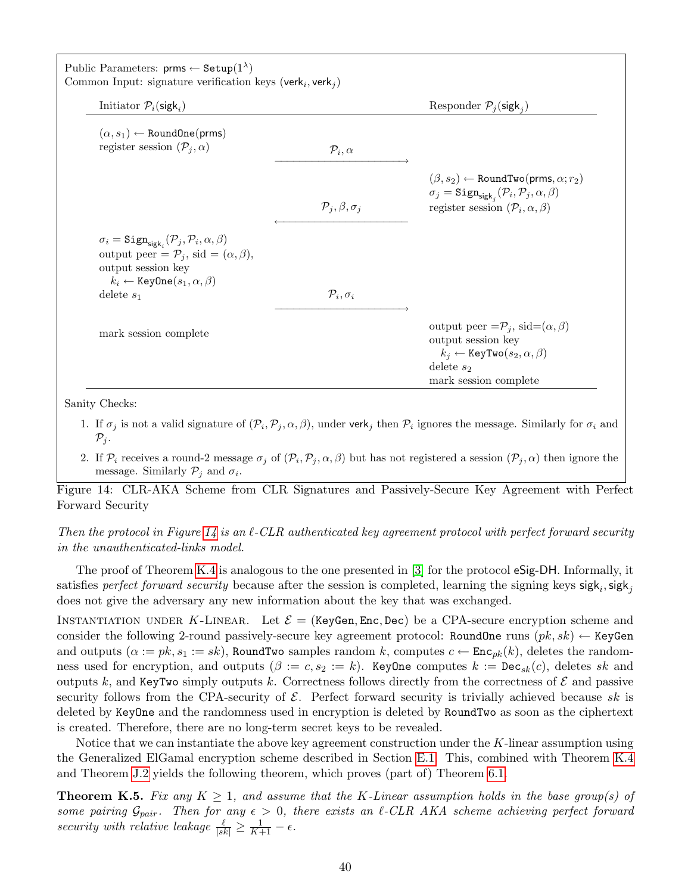| Initiator $\mathcal{P}_i$ (sigk <sub>i</sub> )                                                                                                                                                                             |                                  | Responder $\mathcal{P}_j$ (sigk <sub>i</sub> )                                                                                                                                                        |
|----------------------------------------------------------------------------------------------------------------------------------------------------------------------------------------------------------------------------|----------------------------------|-------------------------------------------------------------------------------------------------------------------------------------------------------------------------------------------------------|
| $(\alpha, s_1) \leftarrow$ RoundOne(prms)<br>register session $(\mathcal{P}_i, \alpha)$                                                                                                                                    | $\mathcal{P}_i, \alpha$          |                                                                                                                                                                                                       |
|                                                                                                                                                                                                                            | $\mathcal{P}_j, \beta, \sigma_j$ | $(\beta, s_2) \leftarrow$ RoundTwo(prms, $\alpha; r_2)$<br>$\sigma_j = \text{Sign}_{\text{sigk}_i}(\mathcal{P}_i, \mathcal{P}_j, \alpha, \beta)$<br>register session $(\mathcal{P}_i, \alpha, \beta)$ |
| $\sigma_i = \text{Sign}_{\text{sigk}_i}(\mathcal{P}_j, \mathcal{P}_i, \alpha, \beta)$<br>output peer = $\mathcal{P}_i$ , sid = $(\alpha, \beta)$ ,<br>output session key<br>$k_i \leftarrow$ Key0ne $(s_1, \alpha, \beta)$ |                                  |                                                                                                                                                                                                       |
| delete $s_1$                                                                                                                                                                                                               | $\mathcal{P}_i, \sigma_i$        |                                                                                                                                                                                                       |
| mark session complete                                                                                                                                                                                                      |                                  | output peer $=\mathcal{P}_j$ , sid $=(\alpha,\beta)$<br>output session key<br>$k_j \leftarrow$ KeyTwo $(s_2, \alpha, \beta)$<br>delete $s_2$                                                          |

Sanity Checks:

- 1. If  $\sigma_j$  is not a valid signature of  $(\mathcal{P}_i, \mathcal{P}_j, \alpha, \beta)$ , under verk<sub>j</sub> then  $\mathcal{P}_i$  ignores the message. Similarly for  $\sigma_i$  and  $\mathcal{P}_j$ .
- <span id="page-40-0"></span>2. If  $\mathcal{P}_i$  receives a round-2 message  $\sigma_j$  of  $(\mathcal{P}_i, \mathcal{P}_j, \alpha, \beta)$  but has not registered a session  $(\mathcal{P}_j, \alpha)$  then ignore the message. Similarly  $P_j$  and  $\sigma_i$ .

Figure 14: CLR-AKA Scheme from CLR Signatures and Passively-Secure Key Agreement with Perfect Forward Security

Then the protocol in Figure [14](#page-40-0) is an  $\ell$ -CLR authenticated key agreement protocol with perfect forward security in the unauthenticated-links model.

The proof of Theorem [K.4](#page-39-0) is analogous to the one presented in [\[3\]](#page-18-2) for the protocol eSig-DH. Informally, it satisfies *perfect forward security* because after the session is completed, learning the signing keys  $sigk_i$ ,  $sigk_j$ does not give the adversary any new information about the key that was exchanged.

INSTANTIATION UNDER K-LINEAR. Let  $\mathcal{E} =$  (KeyGen, Enc, Dec) be a CPA-secure encryption scheme and consider the following 2-round passively-secure key agreement protocol: RoundOne runs  $(pk, sk) \leftarrow \text{KeyGen}$ and outputs  $(\alpha := pk, s_1 := sk)$ , RoundTwo samples random k, computes  $c \leftarrow \text{Enc}_{pk}(k)$ , deletes the randomness used for encryption, and outputs  $(\beta := c, s_2 := k)$ . KeyOne computes  $k := \text{Dec}_{sk}(c)$ , deletes sk and outputs k, and KeyTwo simply outputs k. Correctness follows directly from the correctness of  $\mathcal E$  and passive security follows from the CPA-security of  $\mathcal E$ . Perfect forward security is trivially achieved because sk is deleted by KeyOne and the randomness used in encryption is deleted by RoundTwo as soon as the ciphertext is created. Therefore, there are no long-term secret keys to be revealed.

Notice that we can instantiate the above key agreement construction under the  $K$ -linear assumption using the Generalized ElGamal encryption scheme described in Section [E.1.](#page-25-1) This, combined with Theorem [K.4](#page-39-0) and Theorem [J.2](#page-37-4) yields the following theorem, which proves (part of) Theorem [6.1.](#page-15-3)

**Theorem K.5.** Fix any  $K \geq 1$ , and assume that the K-Linear assumption holds in the base group(s) of some pairing  $\mathcal{G}_{pair}$ . Then for any  $\epsilon > 0$ , there exists an  $\ell$ -CLR AKA scheme achieving perfect forward security with relative leakage  $\frac{\ell}{|sk|} \geq \frac{1}{K+1} - \epsilon$ .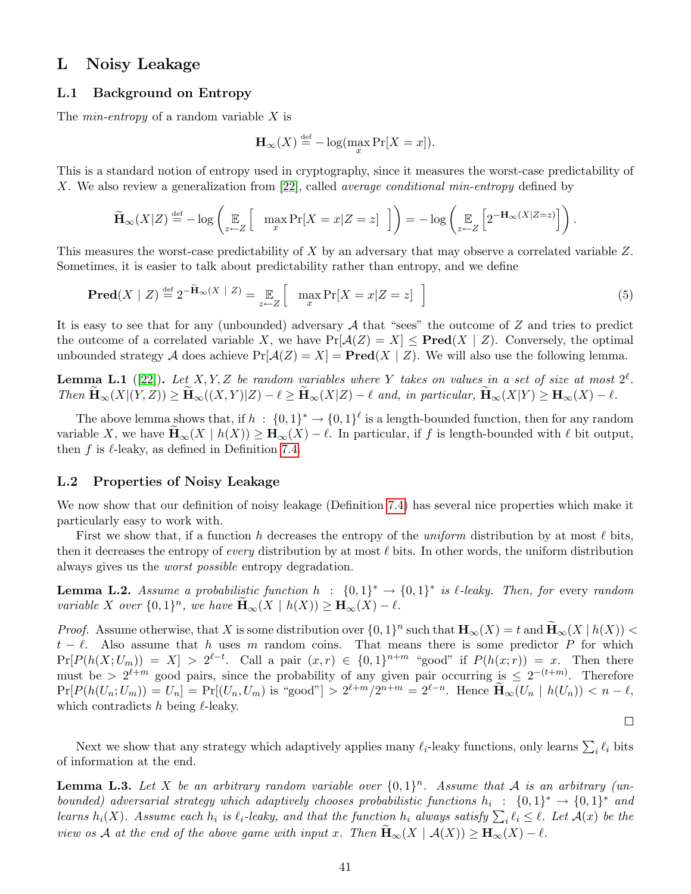### <span id="page-41-0"></span>L Noisy Leakage

#### <span id="page-41-1"></span>L.1 Background on Entropy

The *min-entropy* of a random variable  $X$  is

$$
\mathbf{H}_{\infty}(X) \stackrel{\text{def}}{=} -\log(\max_{x} \Pr[X = x]).
$$

This is a standard notion of entropy used in cryptography, since it measures the worst-case predictability of X. We also review a generalization from [\[22\]](#page-19-17), called *average conditional min-entropy* defined by

$$
\widetilde{\mathbf{H}}_{\infty}(X|Z) \stackrel{\text{def}}{=} -\log\left(\mathop{\mathbb{E}}_{z \leftarrow Z} \left[ \max_{x} \Pr[X = x | Z = z] \right] \right) \right) = -\log\left(\mathop{\mathbb{E}}_{z \leftarrow Z} \left[ 2^{-\mathbf{H}_{\infty}(X|Z=z)} \right] \right)
$$

This measures the worst-case predictability of  $X$  by an adversary that may observe a correlated variable  $Z$ . Sometimes, it is easier to talk about predictability rather than entropy, and we define

$$
\mathbf{Pred}(X \mid Z) \stackrel{\text{def}}{=} 2^{-\widetilde{\mathbf{H}}_{\infty}(X \mid Z)} = \mathop{\mathbb{E}}_{z \leftarrow Z} \left[ \max_{x} \Pr[X = x | Z = z] \right] \tag{5}
$$

It is easy to see that for any (unbounded) adversary  $A$  that "sees" the outcome of  $Z$  and tries to predict the outcome of a correlated variable X, we have  $Pr[\mathcal{A}(Z) = X] \leq Pred(X | Z)$ . Conversely, the optimal unbounded strategy A does achieve  $Pr[A(Z) = X] = Pred(X | Z)$ . We will also use the following lemma.

<span id="page-41-4"></span>**Lemma L.1** ([\[22\]](#page-19-17)). Let X, Y, Z be random variables where Y takes on values in a set of size at most  $2^{\ell}$ . Then  $\mathbf{H}_{\infty}(X|(Y,Z)) \ge \mathbf{H}_{\infty}((X,Y)|Z) - \ell \ge \mathbf{H}_{\infty}(X|Z) - \ell$  and, in particular,  $\mathbf{H}_{\infty}(X|Y) \ge \mathbf{H}_{\infty}(X) - \ell$ .

The above lemma shows that, if  $h : \{0,1\}^* \to \{0,1\}^{\ell}$  is a length-bounded function, then for any random variable X, we have  $\mathbf{H}_{\infty}(X \mid h(X)) \geq \mathbf{H}_{\infty}(X) - \ell$ . In particular, if f is length-bounded with  $\ell$  bit output, then f is  $\ell$ -leaky, as defined in Definition [7.4.](#page-17-4)

#### <span id="page-41-2"></span>L.2 Properties of Noisy Leakage

We now show that our definition of noisy leakage (Definition [7.4\)](#page-17-4) has several nice properties which make it particularly easy to work with.

First we show that, if a function h decreases the entropy of the *uniform* distribution by at most  $\ell$  bits, then it decreases the entropy of *every* distribution by at most  $\ell$  bits. In other words, the uniform distribution always gives us the worst possible entropy degradation.

<span id="page-41-3"></span>**Lemma L.2.** Assume a probabilistic function  $h : \{0,1\}^* \to \{0,1\}^*$  is  $\ell$ -leaky. Then, for every random variable X over  $\{0,1\}^n$ , we have  $\widetilde{\mathbf{H}}_{\infty}(X \mid h(X)) \geq \mathbf{H}_{\infty}(X) - \ell$ .

*Proof.* Assume otherwise, that X is some distribution over  $\{0,1\}^n$  such that  $\mathbf{H}_{\infty}(X) = t$  and  $\widetilde{\mathbf{H}}_{\infty}(X | h(X)) <$  $t - \ell$ . Also assume that h uses m random coins. That means there is some predictor P for which  $Pr[P(h(X; U_m)) = X] > 2^{\ell-t}$ . Call a pair  $(x, r) \in \{0, 1\}^{n+m}$  "good" if  $P(h(x; r)) = x$ . Then there must be >  $2^{\ell+m}$  good pairs, since the probability of any given pair occurring is  $\leq 2^{-(t+m)}$ . Therefore  $\Pr[P(h(U_n; U_m)) = U_n] = \Pr[(U_n, U_m) \text{ is "good"}] > 2^{\ell+m}/2^{n+m} = 2^{\ell-n}.$  Hence  $\widetilde{\mathbf{H}}_{\infty}(U_n \mid h(U_n)) < n - \ell,$ which contradicts  $h$  being  $\ell$ -leaky.

 $\Box$ 

.

Next we show that any strategy which adaptively applies many  $\ell_i$ -leaky functions, only learns  $\sum_i \ell_i$  bits of information at the end.

<span id="page-41-5"></span>**Lemma L.3.** Let X be an arbitrary random variable over  $\{0,1\}^n$ . Assume that A is an arbitrary (unbounded) adversarial strategy which adaptively chooses probabilistic functions  $h_i : \{0,1\}^* \to \{0,1\}^*$  and learns  $h_i(X)$ . Assume each  $h_i$  is  $\ell_i$ -leaky, and that the function  $h_i$  always satisfy  $\sum_i \ell_i \leq \ell$ . Let  $\mathcal{A}(x)$  be the view os A at the end of the above game with input x. Then  $\mathbf{H}_{\infty}(X \mid \mathcal{A}(X)) \geq \mathbf{H}_{\infty}(X) - \ell$ .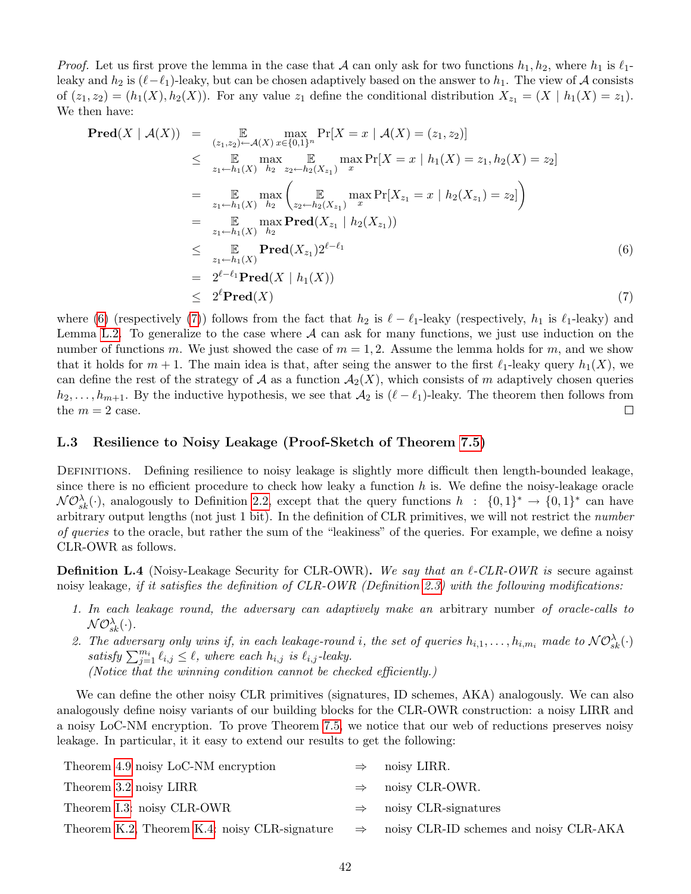*Proof.* Let us first prove the lemma in the case that A can only ask for two functions  $h_1, h_2$ , where  $h_1$  is  $\ell_1$ leaky and  $h_2$  is  $(\ell-\ell_1)$ -leaky, but can be chosen adaptively based on the answer to  $h_1$ . The view of A consists of  $(z_1, z_2) = (h_1(X), h_2(X))$ . For any value  $z_1$  define the conditional distribution  $X_{z_1} = (X \mid h_1(X) = z_1)$ . We then have:

<span id="page-42-1"></span>
$$
\begin{array}{ll}\n\mathbf{Pred}(X \mid \mathcal{A}(X)) & = & \mathbb{E} \max_{(z_1, z_2) \leftarrow \mathcal{A}(X)} \max_{x \in \{0, 1\}^n} \Pr[X = x \mid \mathcal{A}(X) = (z_1, z_2)] \\
& \leq & \mathbb{E} \max_{z_1 \leftarrow h_1(X)} \max_{h_2} \mathbb{E} \max_{z_2 \leftarrow h_2(X_{z_1})} \max_{x} \Pr[X = x \mid h_1(X) = z_1, h_2(X) = z_2] \\
& = & \mathbb{E} \max_{z_1 \leftarrow h_1(X)} \max_{h_2} \left( \mathbb{E} \max_{z_2 \leftarrow h_2(X_{z_1})} \max_{x} \Pr[X_{z_1} = x \mid h_2(X_{z_1}) = z_2] \right) \\
& = & \mathbb{E} \max_{z_1 \leftarrow h_1(X)} \max_{h_2} \mathbf{Pred}(X_{z_1} \mid h_2(X_{z_1})) \\
& \leq & \mathbb{E} \max_{z_1 \leftarrow h_1(X)} \mathbf{Pred}(X_{z_1}) 2^{\ell - \ell_1} \\
& = & 2^{\ell - \ell_1} \mathbf{Pred}(X \mid h_1(X)) \\
& \leq & 2^{\ell} \mathbf{Pred}(X) \tag{7}\n\end{array}
$$

where [\(6\)](#page-42-1) (respectively [\(7\)](#page-42-1)) follows from the fact that  $h_2$  is  $\ell - \ell_1$ -leaky (respectively,  $h_1$  is  $\ell_1$ -leaky) and Lemma [L.2.](#page-41-3) To generalize to the case where  $A$  can ask for many functions, we just use induction on the number of functions m. We just showed the case of  $m = 1, 2$ . Assume the lemma holds for m, and we show that it holds for  $m + 1$ . The main idea is that, after seing the answer to the first  $\ell_1$ -leaky query  $h_1(X)$ , we can define the rest of the strategy of A as a function  $A_2(X)$ , which consists of m adaptively chosen queries  $h_2, \ldots, h_{m+1}$ . By the inductive hypothesis, we see that  $\mathcal{A}_2$  is  $(\ell - \ell_1)$ -leaky. The theorem then follows from the  $m = 2$  case.  $\Box$ 

#### <span id="page-42-0"></span>L.3 Resilience to Noisy Leakage (Proof-Sketch of Theorem [7.5\)](#page-17-2)

DEFINITIONS. Defining resilience to noisy leakage is slightly more difficult then length-bounded leakage, since there is no efficient procedure to check how leaky a function  $h$  is. We define the noisy-leakage oracle  $N\mathcal{O}_{sk}^{\lambda}(\cdot)$ , analogously to Definition [2.2,](#page-5-3) except that the query functions  $h : \{0,1\}^* \to \{0,1\}^*$  can have arbitrary output lengths (not just 1 bit). In the definition of CLR primitives, we will not restrict the number of queries to the oracle, but rather the sum of the "leakiness" of the queries. For example, we define a noisy CLR-OWR as follows.

**Definition L.4** (Noisy-Leakage Security for CLR-OWR). We say that an  $\ell$ -CLR-OWR is secure against noisy leakage, if it satisfies the definition of CLR-OWR (Definition [2.3\)](#page-5-0) with the following modifications:

- 1. In each leakage round, the adversary can adaptively make an arbitrary number of oracle-calls to  $\mathcal{NO}_{sk}^{\lambda}(\cdot).$
- 2. The adversary only wins if, in each leakage-round i, the set of queries  $h_{i,1},\ldots,h_{i,m_i}$  made to  $\mathcal{NO}_{sk}^{\lambda}(\cdot)$ satisfy  $\sum_{j=1}^{m_i} \ell_{i,j} \leq \ell$ , where each  $h_{i,j}$  is  $\ell_{i,j}$ -leaky. (Notice that the winning condition cannot be checked efficiently.)

We can define the other noisy CLR primitives (signatures, ID schemes, AKA) analogously. We can also analogously define noisy variants of our building blocks for the CLR-OWR construction: a noisy LIRR and a noisy LoC-NM encryption. To prove Theorem [7.5,](#page-17-2) we notice that our web of reductions preserves noisy leakage. In particular, it it easy to extend our results to get the following:

| Theorem 4.9 noisy LoC-NM encryption           | $\Rightarrow$ | noisy LIRR.                            |
|-----------------------------------------------|---------------|----------------------------------------|
| Theorem 3.2 noisy LIRR                        | $\Rightarrow$ | noisy CLR-OWR.                         |
| Theorem I.3: noisy CLR-OWR                    | $\Rightarrow$ | noisy CLR-signatures                   |
| Theorem K.2, Theorem K.4: noisy CLR-signature | $\Rightarrow$ | noisy CLR-ID schemes and noisy CLR-AKA |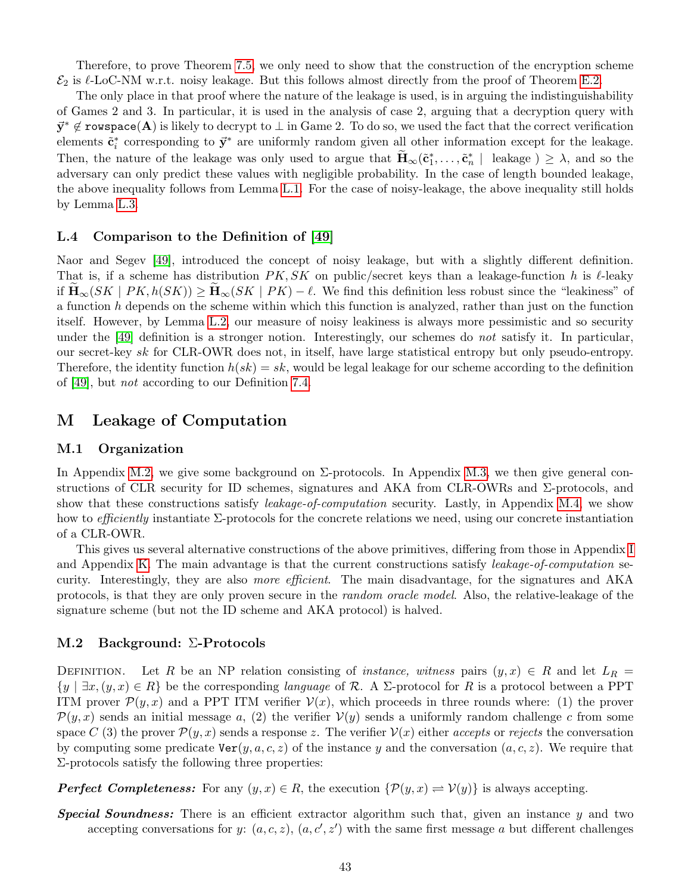Therefore, to prove Theorem [7.5,](#page-17-2) we only need to show that the construction of the encryption scheme  $\mathcal{E}_2$  is  $\ell$ -LoC-NM w.r.t. noisy leakage. But this follows almost directly from the proof of Theorem [E.2.](#page-25-4)

The only place in that proof where the nature of the leakage is used, is in arguing the indistinguishability of Games 2 and 3. In particular, it is used in the analysis of case 2, arguing that a decryption query with  $\vec{y}^* \notin \texttt{rowspace}(\mathbf{A})$  is likely to decrypt to  $\perp$  in Game 2. To do so, we used the fact that the correct verification elements  $\tilde{\mathbf{c}}_i^*$  corresponding to  $\vec{\mathbf{y}}^*$  are uniformly random given all other information except for the leakage. Then, the nature of the leakage was only used to argue that  $\widetilde{\mathbf{H}}_{\infty}(\tilde{\mathbf{c}}_1^*, \ldots, \tilde{\mathbf{c}}_n^* \mid$  leakage  $) \geq \lambda$ , and so the adversary can only predict these values with negligible probability. In the case of length bounded leakage, the above inequality follows from Lemma [L.1.](#page-41-4) For the case of noisy-leakage, the above inequality still holds by Lemma [L.3.](#page-41-5)

#### <span id="page-43-0"></span>L.4 Comparison to the Definition of [\[49\]](#page-20-0)

Naor and Segev [\[49\]](#page-20-0), introduced the concept of noisy leakage, but with a slightly different definition. That is, if a scheme has distribution  $PK, SK$  on public/secret keys than a leakage-function h is  $\ell$ -leaky if  $\mathbf{H}_{\infty}(SK \mid PK, h(SK)) \ge \mathbf{H}_{\infty}(SK \mid PK) - \ell$ . We find this definition less robust since the "leakiness" of a function  $h$  depends on the scheme within which this function is analyzed, rather than just on the function itself. However, by Lemma [L.2,](#page-41-3) our measure of noisy leakiness is always more pessimistic and so security under the [\[49\]](#page-20-0) definition is a stronger notion. Interestingly, our schemes do not satisfy it. In particular, our secret-key sk for CLR-OWR does not, in itself, have large statistical entropy but only pseudo-entropy. Therefore, the identity function  $h(sk) = sk$ , would be legal leakage for our scheme according to the definition of [\[49\]](#page-20-0), but not according to our Definition [7.4.](#page-17-4)

# <span id="page-43-1"></span>M Leakage of Computation

### <span id="page-43-2"></span>M.1 Organization

In Appendix [M.2,](#page-43-3) we give some background on  $\Sigma$ -protocols. In Appendix [M.3,](#page-44-0) we then give general constructions of CLR security for ID schemes, signatures and AKA from CLR-OWRs and  $\Sigma$ -protocols, and show that these constructions satisfy leakage-of-computation security. Lastly, in Appendix [M.4,](#page-47-2) we show how to efficiently instantiate  $\Sigma$ -protocols for the concrete relations we need, using our concrete instantiation of a CLR-OWR.

This gives us several alternative constructions of the above primitives, differing from those in Appendix [I](#page-33-0) and Appendix [K.](#page-37-0) The main advantage is that the current constructions satisfy *leakage-of-computation* security. Interestingly, they are also more efficient. The main disadvantage, for the signatures and AKA protocols, is that they are only proven secure in the random oracle model. Also, the relative-leakage of the signature scheme (but not the ID scheme and AKA protocol) is halved.

#### <span id="page-43-3"></span>M.2 Background: Σ-Protocols

DEFINITION. Let R be an NP relation consisting of *instance*, witness pairs  $(y, x) \in R$  and let  $L_R =$  $\{y \mid \exists x, (y, x) \in R\}$  be the corresponding language of R. A  $\Sigma$ -protocol for R is a protocol between a PPT ITM prover  $\mathcal{P}(y, x)$  and a PPT ITM verifier  $\mathcal{V}(x)$ , which proceeds in three rounds where: (1) the prover  $P(y, x)$  sends an initial message a, (2) the verifier  $V(y)$  sends a uniformly random challenge c from some space C (3) the prover  $\mathcal{P}(y, x)$  sends a response z. The verifier  $\mathcal{V}(x)$  either accepts or rejects the conversation by computing some predicate  $\text{Ver}(y, a, c, z)$  of the instance y and the conversation  $(a, c, z)$ . We require that  $\Sigma$ -protocols satisfy the following three properties:

**Perfect Completeness:** For any  $(y, x) \in R$ , the execution  $\{\mathcal{P}(y, x) \rightleftharpoons \mathcal{V}(y)\}$  is always accepting.

**Special Soundness:** There is an efficient extractor algorithm such that, given an instance  $y$  and two accepting conversations for y:  $(a, c, z)$ ,  $(a, c', z')$  with the same first message a but different challenges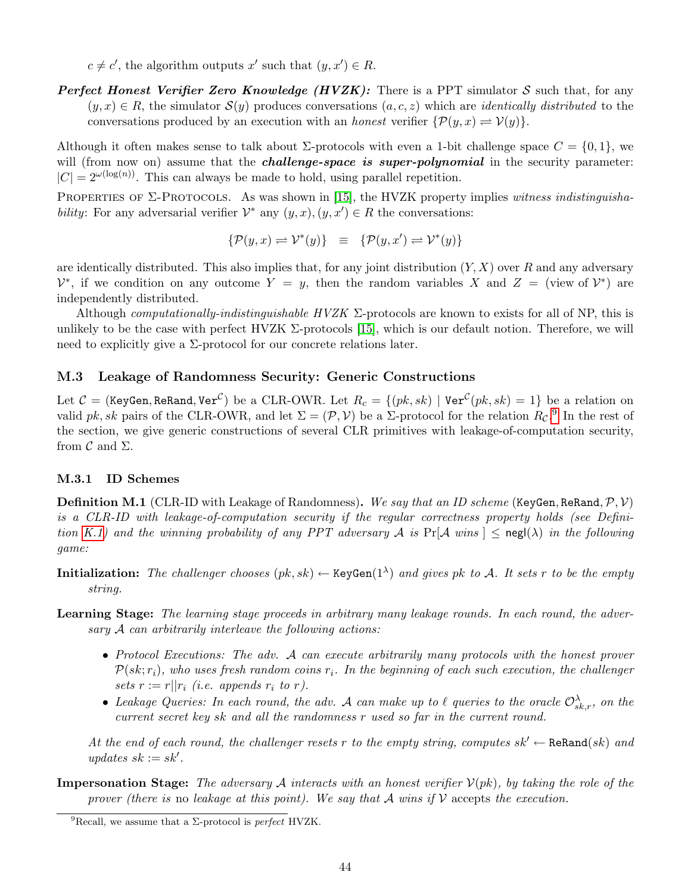$c \neq c'$ , the algorithm outputs x' such that  $(y, x') \in R$ .

**Perfect Honest Verifier Zero Knowledge (HVZK):** There is a PPT simulator S such that, for any  $(y, x) \in R$ , the simulator  $\mathcal{S}(y)$  produces conversations  $(a, c, z)$  which are *identically distributed* to the conversations produced by an execution with an *honest* verifier  $\{P(y, x) \rightleftharpoons V(y)\}.$ 

Although it often makes sense to talk about  $\Sigma$ -protocols with even a 1-bit challenge space  $C = \{0, 1\}$ , we will (from now on) assume that the *challenge-space is super-polynomial* in the security parameter:  $|C| = 2^{\omega(\log(n))}$ . This can always be made to hold, using parallel repetition.

PROPERTIES OF  $\Sigma$ -PROTOCOLS. As was shown in [\[15\]](#page-19-18), the HVZK property implies witness indistinguishability: For any adversarial verifier  $\mathcal{V}^*$  any  $(y, x), (y, x') \in R$  the conversations:

$$
\{\mathcal{P}(y,x) \rightleftharpoons \mathcal{V}^*(y)\} \equiv \{\mathcal{P}(y,x') \rightleftharpoons \mathcal{V}^*(y)\}
$$

are identically distributed. This also implies that, for any joint distribution  $(Y, X)$  over R and any adversary  $\mathcal{V}^*$ , if we condition on any outcome  $Y = y$ , then the random variables X and  $Z =$  (view of  $\mathcal{V}^*$ ) are independently distributed.

Although *computationally-indistinguishable HVZK*  $\Sigma$ -protocols are known to exists for all of NP, this is unlikely to be the case with perfect HVZK  $\Sigma$ -protocols [\[15\]](#page-19-18), which is our default notion. Therefore, we will need to explicitly give a  $\Sigma$ -protocol for our concrete relations later.

### <span id="page-44-0"></span>M.3 Leakage of Randomness Security: Generic Constructions

Let  $C =$  (KeyGen, ReRand, Ver<sup>C</sup>) be a CLR-OWR. Let  $R_c = \{(pk, sk) \mid \text{Ver}^{\mathcal{C}}(pk, sk) = 1\}$  be a relation on valid pk, sk pairs of the CLR-OWR, and let  $\Sigma = (\mathcal{P}, V)$  be a  $\Sigma$ -protocol for the relation  $R_{\mathcal{C}}$ .<sup>[9](#page-44-2)</sup> In the rest of the section, we give generic constructions of several CLR primitives with leakage-of-computation security, from  $\mathcal C$  and  $\Sigma$ .

#### <span id="page-44-1"></span>M.3.1 ID Schemes

**Definition M.1** (CLR-ID with Leakage of Randomness). We say that an ID scheme (KeyGen, ReRand,  $\mathcal{P}, \mathcal{V}$ ) is a CLR-ID with leakage-of-computation security if the regular correctness property holds (see Defini-tion [K.1\)](#page-37-5) and the winning probability of any PPT adversary A is  $Pr[A \text{ wins}] \leq$  negl( $\lambda$ ) in the following game:

**Initialization:** The challenger chooses  $(pk, sk) \leftarrow \text{KeyGen}(1^{\lambda})$  and gives pk to A. It sets r to be the empty string.

- Learning Stage: The learning stage proceeds in arbitrary many leakage rounds. In each round, the adversary A can arbitrarily interleave the following actions:
	- Protocol Executions: The adv. A can execute arbitrarily many protocols with the honest prover  $P(s_k; r_i)$ , who uses fresh random coins  $r_i$ . In the beginning of each such execution, the challenger sets  $r := r||r_i$  (i.e. appends  $r_i$  to r).
	- Leakage Queries: In each round, the adv. A can make up to  $\ell$  queries to the oracle  $\mathcal{O}^{\lambda}_{sk,r}$ , on the current secret key sk and all the randomness r used so far in the current round.

At the end of each round, the challenger resets r to the empty string, computes  $sk' \leftarrow \text{ReRand}(sk)$  and updates  $sk := sk'$ .

**Impersonation Stage:** The adversary A interacts with an honest verifier  $V(pk)$ , by taking the role of the prover (there is no leakage at this point). We say that A wins if  $\mathcal V$  accepts the execution.

<span id="page-44-2"></span><sup>&</sup>lt;sup>9</sup>Recall, we assume that a  $\Sigma$ -protocol is *perfect* HVZK.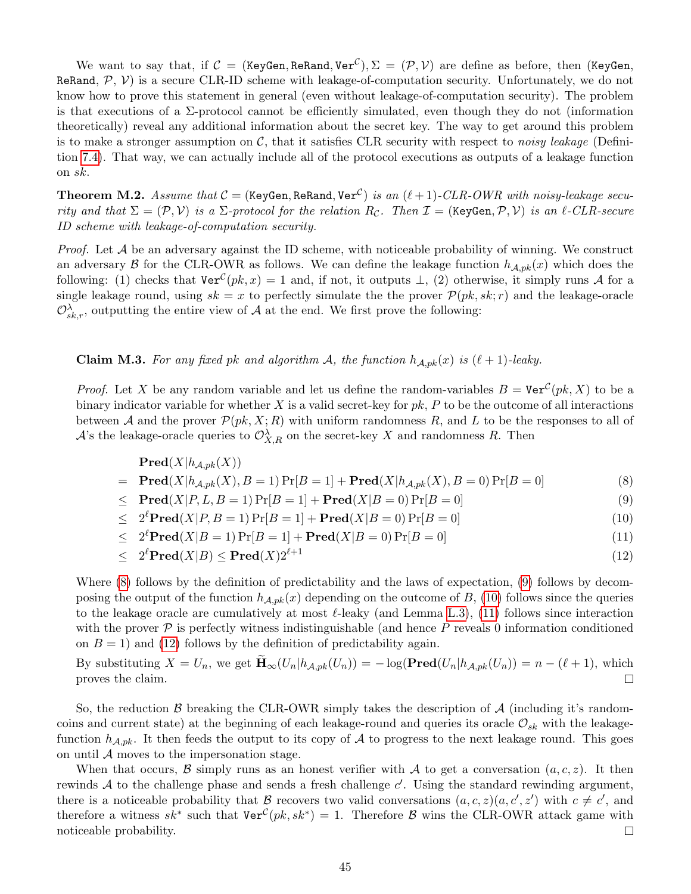We want to say that, if  $\mathcal{C} = (\texttt{KeyGen}, \texttt{ReRand}, \texttt{Ver}^{\mathcal{C}}), \Sigma = (\mathcal{P}, \mathcal{V})$  are define as before, then (KeyGen, ReRand,  $P$ ,  $V$ ) is a secure CLR-ID scheme with leakage-of-computation security. Unfortunately, we do not know how to prove this statement in general (even without leakage-of-computation security). The problem is that executions of a  $\Sigma$ -protocol cannot be efficiently simulated, even though they do not (information theoretically) reveal any additional information about the secret key. The way to get around this problem is to make a stronger assumption on  $\mathcal{C}$ , that it satisfies CLR security with respect to noisy leakage (Definition [7.4\)](#page-17-4). That way, we can actually include all of the protocol executions as outputs of a leakage function on sk.

<span id="page-45-2"></span>**Theorem M.2.** Assume that  $C =$  (KeyGen, ReRand, Ver<sup>C</sup>) is an  $(\ell + 1)$ -CLR-OWR with noisy-leakage security and that  $\Sigma = (\mathcal{P}, \mathcal{V})$  is a  $\Sigma$ -protocol for the relation  $R_{\mathcal{C}}$ . Then  $\mathcal{I} = (\text{KeyGen}, \mathcal{P}, \mathcal{V})$  is an  $\ell$ -CLR-secure ID scheme with leakage-of-computation security.

*Proof.* Let  $A$  be an adversary against the ID scheme, with noticeable probability of winning. We construct an adversary  $\beta$  for the CLR-OWR as follows. We can define the leakage function  $h_{A,pk}(x)$  which does the following: (1) checks that  $\text{Ver}^{\mathcal{C}}(pk, x) = 1$  and, if not, it outputs  $\perp$ , (2) otherwise, it simply runs A for a single leakage round, using  $sk = x$  to perfectly simulate the the prover  $\mathcal{P}(pk, sk; r)$  and the leakage-oracle  $\mathcal{O}_{sk,r}^{\lambda}$ , outputting the entire view of A at the end. We first prove the following:

<span id="page-45-1"></span>**Claim M.3.** For any fixed pk and algorithm A, the function  $h_{A,pk}(x)$  is  $(\ell + 1)$ -leaky.

*Proof.* Let X be any random variable and let us define the random-variables  $B = \text{Ver}^{\mathcal{C}}(pk, X)$  to be a binary indicator variable for whether X is a valid secret-key for  $pk$ , P to be the outcome of all interactions between A and the prover  $\mathcal{P}(pk, X; R)$  with uniform randomness R, and L to be the responses to all of A's the leakage-oracle queries to  $\mathcal{O}^{\lambda}_{X,R}$  on the secret-key X and randomness R. Then

<span id="page-45-0"></span>
$$
\begin{aligned}\n\mathbf{Pred}(X|h_{A,pk}(X)) \\
&= \mathbf{Pred}(X|h_{A,pk}(X), B = 1)\Pr[B = 1] + \mathbf{Pred}(X|h_{A,pk}(X), B = 0)\Pr[B = 0] \\
&\le \mathbf{Pred}(X|P, L, B = 1)\Pr[B = 1] + \mathbf{Pred}(X|B = 0)\Pr[B = 0] \tag{9}\n\end{aligned}
$$

 $<$  $2^{\ell} \text{Pred}(X|P, B = 1) \Pr[B = 1] + \text{Pred}(X|B = 0) \Pr[B = 0]$  (10)

 $\leq 2^{\ell} \mathbf{Pred}(X|B=1) \Pr[B=1] + \mathbf{Pred}(X|B=0) \Pr[B=0]$  (11)

$$
\leq 2^{\ell} \mathbf{Pred}(X|B) \leq \mathbf{Pred}(X) 2^{\ell+1} \tag{12}
$$

Where [\(8\)](#page-45-0) follows by the definition of predictability and the laws of expectation, [\(9\)](#page-45-0) follows by decomposing the output of the function  $h_{A,pk}(x)$  depending on the outcome of B, [\(10\)](#page-45-0) follows since the queries to the leakage oracle are cumulatively at most  $\ell$ -leaky (and Lemma [L.3\)](#page-41-5), [\(11\)](#page-45-0) follows since interaction with the prover  $\mathcal P$  is perfectly witness indistinguishable (and hence P reveals 0 information conditioned on  $B = 1$ ) and [\(12\)](#page-45-0) follows by the definition of predictability again.

By substituting  $X = U_n$ , we get  $\widetilde{\mathbf{H}}_{\infty}(U_n | h_{\mathcal{A},pk}(U_n)) = -\log(\mathbf{Pred}(U_n | h_{\mathcal{A},pk}(U_n))) = n - (\ell + 1)$ , which proves the claim. proves the claim.

So, the reduction B breaking the CLR-OWR simply takes the description of  $A$  (including it's randomcoins and current state) at the beginning of each leakage-round and queries its oracle  $\mathcal{O}_{sk}$  with the leakagefunction  $h_{A,pk}$ . It then feeds the output to its copy of A to progress to the next leakage round. This goes on until  $A$  moves to the impersonation stage.

When that occurs, B simply runs as an honest verifier with A to get a conversation  $(a, c, z)$ . It then rewinds  $A$  to the challenge phase and sends a fresh challenge  $c'$ . Using the standard rewinding argument, there is a noticeable probability that B recovers two valid conversations  $(a, c, z)(a, c', z')$  with  $c \neq c'$ , and therefore a witness  $sk^*$  such that  $\text{Ver}^{\mathcal{C}}(pk, sk^*) = 1$ . Therefore  $\mathcal{B}$  wins the CLR-OWR attack game with noticeable probability.  $\Box$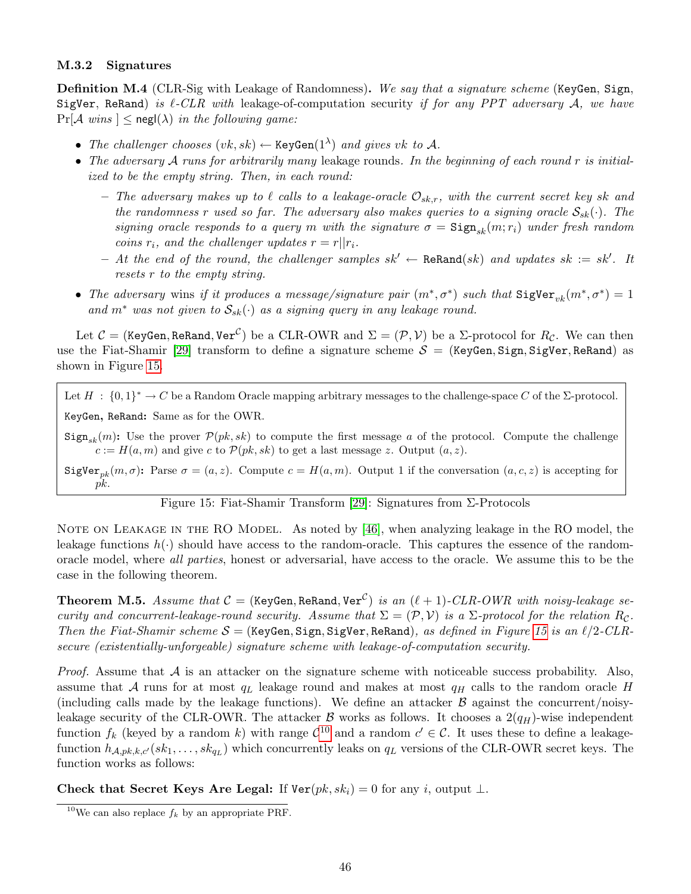#### <span id="page-46-0"></span>M.3.2 Signatures

Definition M.4 (CLR-Sig with Leakage of Randomness). We say that a signature scheme (KeyGen, Sign, SigVer, ReRand) is  $\ell$ -CLR with leakage-of-computation security if for any PPT adversary A, we have  $Pr[\mathcal{A} \text{ wins}]$  < negl( $\lambda$ ) in the following game:

- The challenger chooses  $(vk, sk) \leftarrow \text{KeyGen}(1^{\lambda})$  and gives vk to A.
- The adversary  $A$  runs for arbitrarily many leakage rounds. In the beginning of each round r is initialized to be the empty string. Then, in each round:
	- The adversary makes up to  $\ell$  calls to a leakage-oracle  $\mathcal{O}_{sk,r}$ , with the current secret key sk and the randomness r used so far. The adversary also makes queries to a signing oracle  $S_{sk}(\cdot)$ . The signing oracle responds to a query m with the signature  $\sigma = \text{Sign}_{sk}(m; r_i)$  under fresh random coins  $r_i$ , and the challenger updates  $r = r||r_i$ .
	- $-$  At the end of the round, the challenger samples sk' ← ReRand(sk) and updates sk := sk'. It resets r to the empty string.
- The adversary wins if it produces a message/signature pair  $(m^*, \sigma^*)$  such that  $\text{SigVer}_{vk}(m^*, \sigma^*) = 1$ and  $m^*$  was not given to  $S_{sk}(\cdot)$  as a signing query in any leakage round.

Let  $C =$  (KeyGen, ReRand, Ver<sup>C</sup>) be a CLR-OWR and  $\Sigma = (\mathcal{P}, \mathcal{V})$  be a  $\Sigma$ -protocol for  $R_{\mathcal{C}}$ . We can then use the Fiat-Shamir [\[29\]](#page-19-9) transform to define a signature scheme  $S =$  (KeyGen, Sign, SigVer, ReRand) as shown in Figure [15.](#page-46-1)

Let  $H : \{0,1\}^* \to C$  be a Random Oracle mapping arbitrary messages to the challenge-space C of the  $\Sigma$ -protocol. KeyGen, ReRand: Same as for the OWR.

 $Sign_{sk}(m)$ : Use the prover  $\mathcal{P}(pk, sk)$  to compute the first message a of the protocol. Compute the challenge  $c := H(a, m)$  and give c to  $\mathcal{P}(pk, sk)$  to get a last message z. Output  $(a, z)$ .

SigVer<sub>nk</sub> $(m, \sigma)$ : Parse  $\sigma = (a, z)$ . Compute  $c = H(a, m)$ . Output 1 if the conversation  $(a, c, z)$  is accepting for pk.

<span id="page-46-1"></span>Figure 15: Fiat-Shamir Transform [\[29\]](#page-19-9): Signatures from Σ-Protocols

NOTE ON LEAKAGE IN THE RO MODEL. As noted by [\[46\]](#page-20-2), when analyzing leakage in the RO model, the leakage functions  $h(\cdot)$  should have access to the random-oracle. This captures the essence of the randomoracle model, where all parties, honest or adversarial, have access to the oracle. We assume this to be the case in the following theorem.

<span id="page-46-3"></span>**Theorem M.5.** Assume that  $C = (KeyGen, ReRand, Ver^{\mathcal{C}})$  is an  $(\ell + 1)\text{-}CLR\text{-}OWR$  with noisy-leakage security and concurrent-leakage-round security. Assume that  $\Sigma = (\mathcal{P}, \mathcal{V})$  is a  $\Sigma$ -protocol for the relation  $R_c$ . Then the Fiat-Shamir scheme  $S =$  (KeyGen, Sign, SigVer, ReRand), as defined in Figure [15](#page-46-1) is an  $\ell/2$ -CLRsecure (existentially-unforgeable) signature scheme with leakage-of-computation security.

*Proof.* Assume that  $A$  is an attacker on the signature scheme with noticeable success probability. Also, assume that A runs for at most  $q_L$  leakage round and makes at most  $q_H$  calls to the random oracle H (including calls made by the leakage functions). We define an attacker  $\beta$  against the concurrent/noisyleakage security of the CLR-OWR. The attacker  $\beta$  works as follows. It chooses a  $2(q_H)$ -wise independent function  $f_k$  (keyed by a random k) with range  $C^{10}$  $C^{10}$  $C^{10}$  and a random  $c' \in C$ . It uses these to define a leakagefunction  $h_{A,pk,k,c'}(sk_1,\ldots, sk_{qL})$  which concurrently leaks on  $q_L$  versions of the CLR-OWR secret keys. The function works as follows:

Check that Secret Keys Are Legal: If  $\text{Ver}(pk, sk_i) = 0$  for any i, output  $\perp$ .

<span id="page-46-2"></span><sup>&</sup>lt;sup>10</sup>We can also replace  $f_k$  by an appropriate PRF.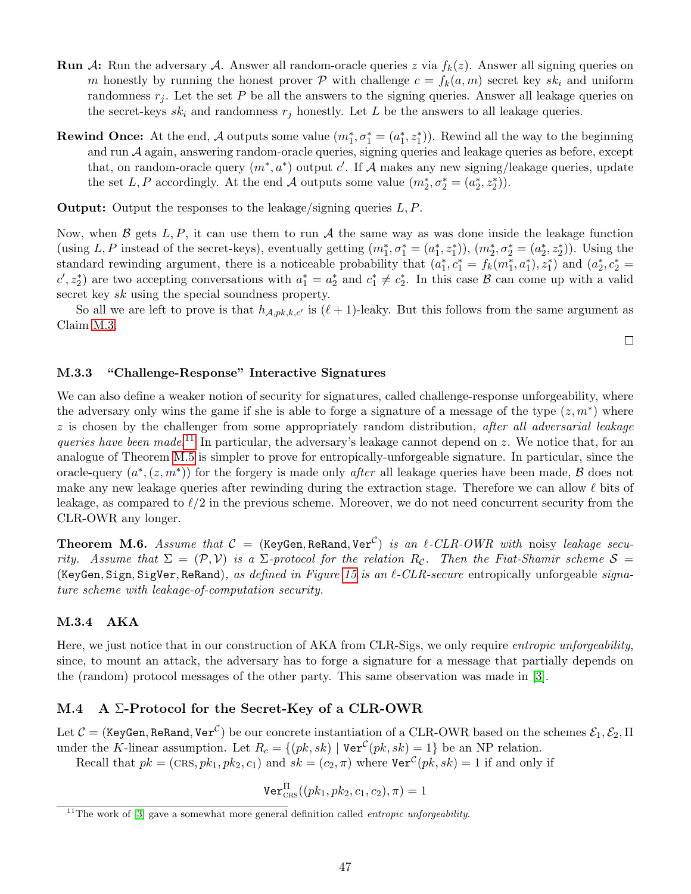- **Run** A: Run the adversary A. Answer all random-oracle queries z via  $f_k(z)$ . Answer all signing queries on m honestly by running the honest prover P with challenge  $c = f_k(a,m)$  secret key  $sk_i$  and uniform randomness  $r_i$ . Let the set P be all the answers to the signing queries. Answer all leakage queries on the secret-keys  $sk_i$  and randomness  $r_j$  honestly. Let L be the answers to all leakage queries.
- **Rewind Once:** At the end, A outputs some value  $(m_1^*, \sigma_1^* = (a_1^*, z_1^*))$ . Rewind all the way to the beginning and run  $A$  again, answering random-oracle queries, signing queries and leakage queries as before, except that, on random-oracle query  $(m^*, a^*)$  output c'. If A makes any new signing/leakage queries, update the set L, P accordingly. At the end A outputs some value  $(m_2^*, \sigma_2^* = (a_2^*, z_2^*)$ .

**Output:** Output the responses to the leakage/signing queries  $L, P$ .

Now, when  $\beta$  gets L, P, it can use them to run A the same way as was done inside the leakage function (using L, P instead of the secret-keys), eventually getting  $(m_1^*, \sigma_1^* = (a_1^*, z_1^*)), (m_2^*, \sigma_2^* = (a_2^*, z_2^*)$ ). Using the standard rewinding argument, there is a noticeable probability that  $(a_1^*, c_1^* = f_k(m_1^*, a_1^*), z_1^*)$  and  $(a_2^*, c_2^* =$  $c', z_2^*$  are two accepting conversations with  $a_1^* = a_2^*$  and  $c_1^* \neq c_2^*$ . In this case  $\mathcal{B}$  can come up with a valid secret key sk using the special soundness property.

So all we are left to prove is that  $h_{\mathcal{A},pk,k,c'}$  is  $(\ell + 1)$ -leaky. But this follows from the same argument as Claim [M.3.](#page-45-1)

 $\Box$ 

### <span id="page-47-0"></span>M.3.3 "Challenge-Response" Interactive Signatures

We can also define a weaker notion of security for signatures, called challenge-response unforgeability, where the adversary only wins the game if she is able to forge a signature of a message of the type  $(z, m^*)$  where  $z$  is chosen by the challenger from some appropriately random distribution, after all adversarial leakage queries have been made.<sup>[11](#page-47-3)</sup> In particular, the adversary's leakage cannot depend on z. We notice that, for an analogue of Theorem [M.5](#page-46-3) is simpler to prove for entropically-unforgeable signature. In particular, since the oracle-query  $(a^*, (z, m^*))$  for the forgery is made only *after* all leakage queries have been made, B does not make any new leakage queries after rewinding during the extraction stage. Therefore we can allow  $\ell$  bits of leakage, as compared to  $\ell/2$  in the previous scheme. Moreover, we do not need concurrent security from the CLR-OWR any longer.

<span id="page-47-4"></span>**Theorem M.6.** Assume that  $C = (KeyGen, ReRand, Ver^C)$  is an  $\ell$ -CLR-OWR with noisy leakage security. Assume that  $\Sigma = (\mathcal{P}, V)$  is a  $\Sigma$ -protocol for the relation  $R_c$ . Then the Fiat-Shamir scheme  $S =$ (KeyGen, Sign, SigVer, ReRand), as defined in Figure [15](#page-46-1) is an  $\ell$ -CLR-secure entropically unforgeable signature scheme with leakage-of-computation security.

#### <span id="page-47-1"></span>M.3.4 AKA

Here, we just notice that in our construction of AKA from CLR-Sigs, we only require entropic unforgeability, since, to mount an attack, the adversary has to forge a signature for a message that partially depends on the (random) protocol messages of the other party. This same observation was made in [\[3\]](#page-18-2).

#### <span id="page-47-2"></span>M.4 A  $\Sigma$ -Protocol for the Secret-Key of a CLR-OWR

Let  $\mathcal{C}=($  KeyGen, ReRand, Ver $^{\mathcal{C}})$  be our concrete instantiation of a CLR-OWR based on the schemes  $\mathcal{E}_1,\mathcal{E}_2,\Pi$ under the K-linear assumption. Let  $R_c = \{(pk, sk) | \text{Ver}^{\mathcal{C}}(pk, sk) = 1\}$  be an NP relation.

Recall that  $pk = (CRs, pk_1, pk_2, c_1)$  and  $sk = (c_2, \pi)$  where  $\text{Ver}^{\mathcal{C}}(pk, sk) = 1$  if and only if

 $\mathtt{Ver}_\mathtt{CRS}^\Pi((pk_1, pk_2, c_1, c_2), \pi)=1$ 

<span id="page-47-3"></span> $11$ <sup>The</sup> work of [\[3\]](#page-18-2) gave a somewhat more general definition called *entropic unforgeability*.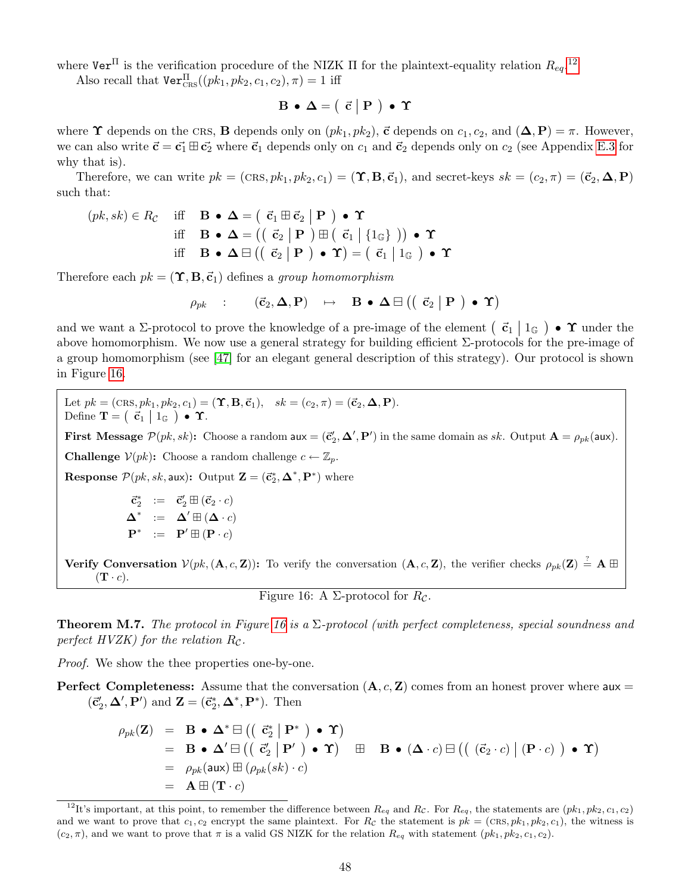where  $\texttt{Ver}^{\Pi}$  is the verification procedure of the NIZK  $\Pi$  for the plaintext-equality relation  $R_{eq}$ .<sup>[12](#page-48-0)</sup>

Also recall that  $\texttt{Ver}^{\Pi}_{\texttt{CRS}}((pk_1, pk_2, c_1, c_2), \pi) = 1$  iff

$$
\mathbf{B} \bullet \mathbf{\Delta} = ( \begin{array}{c|c} \vec{c} & \mathbf{P} \end{array} ) \bullet \Upsilon
$$

where  $\Upsilon$  depends on the CRS, B depends only on  $(pk_1, pk_2)$ ,  $\vec{c}$  depends on  $c_1, c_2$ , and  $(\Delta, P) = \pi$ . However, we can also write  $\vec{c} = \vec{c_1} \boxplus \vec{c_2}$  where  $\vec{c_1}$  depends only on  $c_1$  and  $\vec{c_2}$  depends only on  $c_2$  (see Appendix [E.3](#page-28-0) for why that is).

Therefore, we can write  $pk = (CRs, pk_1, pk_2, c_1) = (\Upsilon, \mathbf{B}, \vec{c}_1)$ , and secret-keys  $sk = (c_2, \pi) = (\vec{c}_2, \Delta, \mathbf{P})$ such that:

$$
(pk, sk) \in R_{\mathcal{C}} \quad \text{iff} \quad \mathbf{B} \bullet \mathbf{\Delta} = \left( \begin{array}{c} \vec{\mathbf{c}}_1 \boxplus \vec{\mathbf{c}}_2 \mid \mathbf{P} \end{array} \right) \bullet \Upsilon
$$
  
iff 
$$
\mathbf{B} \bullet \mathbf{\Delta} = \left( \left( \begin{array}{c} \vec{\mathbf{c}}_2 \mid \mathbf{P} \end{array} \right) \boxplus \left( \begin{array}{c} \vec{\mathbf{c}}_1 \mid \{1_{\mathbb{G}}\} \end{array} \right) \right) \bullet \Upsilon
$$
  
iff 
$$
\mathbf{B} \bullet \mathbf{\Delta} \boxminus \left( \left( \begin{array}{c} \vec{\mathbf{c}}_2 \mid \mathbf{P} \end{array} \right) \bullet \Upsilon \right) = \left( \begin{array}{c} \vec{\mathbf{c}}_1 \mid 1_{\mathbb{G}} \end{array} \right) \bullet \Upsilon
$$

Therefore each  $pk = (\Upsilon, \mathbf{B}, \vec{c}_1)$  defines a group homomorphism

$$
\rho_{pk} \quad : \qquad (\vec{\mathbf{c}}_2, \boldsymbol{\Delta}, \mathbf{P}) \quad \mapsto \quad \mathbf{B} \; \bullet \; \boldsymbol{\Delta} \boxminus \left( \left( \begin{array}{c|c} \vec{\mathbf{c}}_2 & \mathbf{P} \end{array} \right) \; \bullet \; \boldsymbol{\Upsilon} \right)
$$

and we want a  $\Sigma$ -protocol to prove the knowledge of a pre-image of the element  $\left(\begin{array}{c|c} \vec{c} & \vec{c} \end{array} \right| 1_{\mathbb{G}}$   $\bullet$   $\Upsilon$  under the above homomorphism. We now use a general strategy for building efficient  $\Sigma$ -protocols for the pre-image of a group homomorphism (see [\[47\]](#page-20-18) for an elegant general description of this strategy). Our protocol is shown in Figure [16.](#page-48-1)

Let  $pk = (CRS, pk_1, pk_2, c_1) = (\Upsilon, B, \vec{c}_1), \quad sk = (c_2, \pi) = (\vec{c}_2, \Delta, P).$ Define **T** =  $(\vec{c}_1 | 1_{\mathbb{G}}) \cdot \Upsilon$ .

**First Message**  $\mathcal{P}(pk, sk)$ : Choose a random  $aux = (\vec{c}'_2, \Delta', P')$  in the same domain as sk. Output  $A = \rho_{pk}(aux)$ . **Challenge**  $V(pk)$ : Choose a random challenge  $c \leftarrow \mathbb{Z}_p$ .

**Response**  $\mathcal{P}(pk, sk, \text{aux})$ : Output  $\mathbf{Z} = (\vec{c}_2^*, \Delta^*, \mathbf{P}^*)$  where

$$
\begin{array}{rcl}\n\vec{\mathbf{c}}_2^* & := & \vec{\mathbf{c}}_2' \boxplus (\vec{\mathbf{c}}_2 \cdot c) \\
\Delta^* & := & \Delta' \boxplus (\Delta \cdot c) \\
\mathbf{P}^* & := & \mathbf{P}' \boxplus (\mathbf{P} \cdot c)\n\end{array}
$$

Verify Conversation  $V(pk, (\mathbf{A}, c, \mathbf{Z}))$ : To verify the conversation  $(\mathbf{A}, c, \mathbf{Z})$ , the verifier checks  $\rho_{pk}(\mathbf{Z}) \stackrel{?}{=} \mathbf{A} \boxplus$  $(\mathbf{T} \cdot c).$ 

<span id="page-48-1"></span>Figure 16: A  $\Sigma$ -protocol for  $R_c$ .

**Theorem M.7.** The protocol in Figure [16](#page-48-1) is a  $\Sigma$ -protocol (with perfect completeness, special soundness and perfect HVZK) for the relation  $R_{\mathcal{C}}$ .

*Proof.* We show the thee properties one-by-one.

**Perfect Completeness:** Assume that the conversation  $(A, c, Z)$  comes from an honest prover where aux =  $(\vec{c}_2', \Delta', \mathbf{P}')$  and  $\mathbf{Z} = (\vec{c}_2^*, \Delta^*, \mathbf{P}^*)$ . Then

$$
\rho_{pk}(\mathbf{Z}) = \mathbf{B} \cdot \mathbf{\Delta}^* \boxminus ((\vec{c}_2^* | \mathbf{P}^*) \cdot \mathbf{\Upsilon})
$$
  
\n=  $\mathbf{B} \cdot \mathbf{\Delta}' \boxminus ((\vec{c}_2^* | \mathbf{P}^*) \cdot \mathbf{\Upsilon}) \boxplus \mathbf{B} \cdot (\mathbf{\Delta} \cdot c) \boxminus ((\vec{c}_2 \cdot c) | (\mathbf{P} \cdot c)) \cdot \mathbf{\Upsilon})$   
\n=  $\rho_{pk}(\text{aux}) \boxplus (\rho_{pk}(sk) \cdot c)$   
\n=  $\mathbf{A} \boxplus (\mathbf{T} \cdot c)$ 

<span id="page-48-0"></span><sup>&</sup>lt;sup>12</sup>It's important, at this point, to remember the difference between  $R_{eq}$  and  $R_c$ . For  $R_{eq}$ , the statements are  $(pk_1, pk_2, c_1, c_2)$ and we want to prove that  $c_1, c_2$  encrypt the same plaintext. For  $R_c$  the statement is  $pk = (CRs, pk_1, pk_2, c_1)$ , the witness is  $(c_2, \pi)$ , and we want to prove that  $\pi$  is a valid GS NIZK for the relation  $R_{eq}$  with statement  $(pk_1, pk_2, c_1, c_2)$ .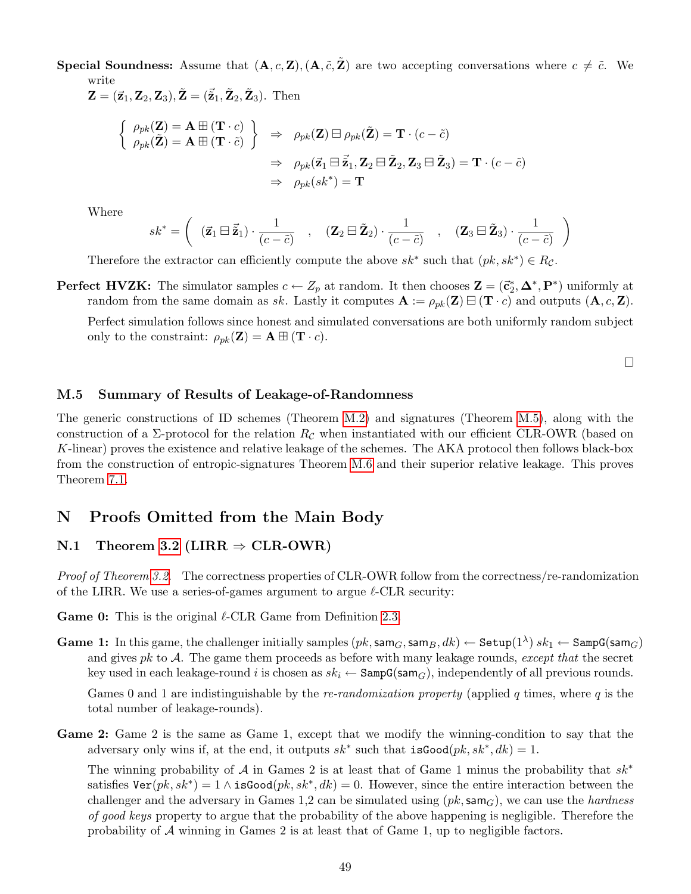**Special Soundness:** Assume that  $(A, c, \mathbf{Z})$ ,  $(A, \tilde{c}, \tilde{\mathbf{Z}})$  are two accepting conversations where  $c \neq \tilde{c}$ . We write

 $\mathbf{Z} = (\vec{\mathbf{z}}_1, \mathbf{Z}_2, \mathbf{Z}_3), \tilde{\mathbf{Z}} = (\tilde{\vec{\mathbf{z}}}_1, \tilde{\mathbf{Z}}_2, \tilde{\mathbf{Z}}_3).$  Then

$$
\begin{aligned}\n\left\{\n\begin{array}{l}\n\rho_{pk}(\mathbf{Z}) &= \mathbf{A} \boxplus (\mathbf{T} \cdot c) \\
\rho_{pk}(\tilde{\mathbf{Z}}) &= \mathbf{A} \boxplus (\mathbf{T} \cdot \tilde{c})\n\end{array}\n\right\} &\Rightarrow \rho_{pk}(\mathbf{Z}) \boxminus \rho_{pk}(\tilde{\mathbf{Z}}) = \mathbf{T} \cdot (c - \tilde{c}) \\
&\Rightarrow \rho_{pk}(\vec{\mathbf{z}}_1 \boxminus \vec{\mathbf{z}}_1, \mathbf{Z}_2 \boxminus \vec{\mathbf{Z}}_2, \mathbf{Z}_3 \boxminus \vec{\mathbf{Z}}_3) = \mathbf{T} \cdot (c - \tilde{c}) \\
&\Rightarrow \rho_{pk}(sk^*) = \mathbf{T}\n\end{array}\n\end{aligned}
$$

Where

$$
sk^* = \left( \begin{array}{ccc} (\vec{z}_1 \boxminus \vec{\tilde{z}}_1) \cdot \frac{1}{(c - \tilde{c})} & , & (\mathbf{Z}_2 \boxminus \vec{\mathbf{Z}}_2) \cdot \frac{1}{(c - \tilde{c})} & , & (\mathbf{Z}_3 \boxminus \vec{\mathbf{Z}}_3) \cdot \frac{1}{(c - \tilde{c})} \end{array} \right)
$$

Therefore the extractor can efficiently compute the above  $sk^*$  such that  $(pk, sk^*) \in R_{\mathcal{C}}$ .

**Perfect HVZK:** The simulator samples  $c \leftarrow Z_p$  at random. It then chooses  $\mathbf{Z} = (\vec{c}_2^*, \Delta^*, \mathbf{P}^*)$  uniformly at random from the same domain as sk. Lastly it computes  $\mathbf{A} := \rho_{pk}(\mathbf{Z}) \boxminus (\mathbf{T} \cdot c)$  and outputs  $(\mathbf{A}, c, \mathbf{Z})$ .

Perfect simulation follows since honest and simulated conversations are both uniformly random subject only to the constraint:  $\rho_{pk}(\mathbf{Z}) = \mathbf{A} \boxplus (\mathbf{T} \cdot c)$ .

 $\Box$ 

#### <span id="page-49-0"></span>M.5 Summary of Results of Leakage-of-Randomness

The generic constructions of ID schemes (Theorem [M.2\)](#page-45-2) and signatures (Theorem [M.5\)](#page-46-3), along with the construction of a  $\Sigma$ -protocol for the relation  $R_{\mathcal{C}}$  when instantiated with our efficient CLR-OWR (based on K-linear) proves the existence and relative leakage of the schemes. The AKA protocol then follows black-box from the construction of entropic-signatures Theorem [M.6](#page-47-4) and their superior relative leakage. This proves Theorem [7.1.](#page-16-2)

# <span id="page-49-1"></span>N Proofs Omitted from the Main Body

### <span id="page-49-2"></span>N.1 Theorem [3.2](#page-7-2) (LIRR  $\Rightarrow$  CLR-OWR)

Proof of Theorem [3.2.](#page-7-2) The correctness properties of CLR-OWR follow from the correctness/re-randomization of the LIRR. We use a series-of-games argument to argue  $\ell$ -CLR security:

**Game 0:** This is the original  $\ell$ -CLR Game from Definition [2.3.](#page-5-0)

Game 1: In this game, the challenger initially samples  $(pk, \textsf{sam}_G, \textsf{sam}_B, dk) \leftarrow \textsf{Setup}(1^{\lambda}) \ sk_1 \leftarrow \textsf{Sam}_G(\textsf{sam}_G)$ and gives  $pk$  to  $A$ . The game them proceeds as before with many leakage rounds, except that the secret key used in each leakage-round i is chosen as  $sk_i \leftarrow$  SampG(sam<sub>G</sub>), independently of all previous rounds.

Games 0 and 1 are indistinguishable by the *re-randomization property* (applied  $q$  times, where  $q$  is the total number of leakage-rounds).

Game 2: Game 2 is the same as Game 1, except that we modify the winning-condition to say that the adversary only wins if, at the end, it outputs  $sk^*$  such that  $isGood(pk, sk^*, dk) = 1$ .

The winning probability of A in Games 2 is at least that of Game 1 minus the probability that  $sk^*$ satisfies  $\text{Ver}(pk, sk^*) = 1 \wedge \text{isGood}(pk, sk^*, dk) = 0$ . However, since the entire interaction between the challenger and the adversary in Games 1,2 can be simulated using  $(pk, \text{sam}_G)$ , we can use the *hardness* of good keys property to argue that the probability of the above happening is negligible. Therefore the probability of  $A$  winning in Games 2 is at least that of Game 1, up to negligible factors.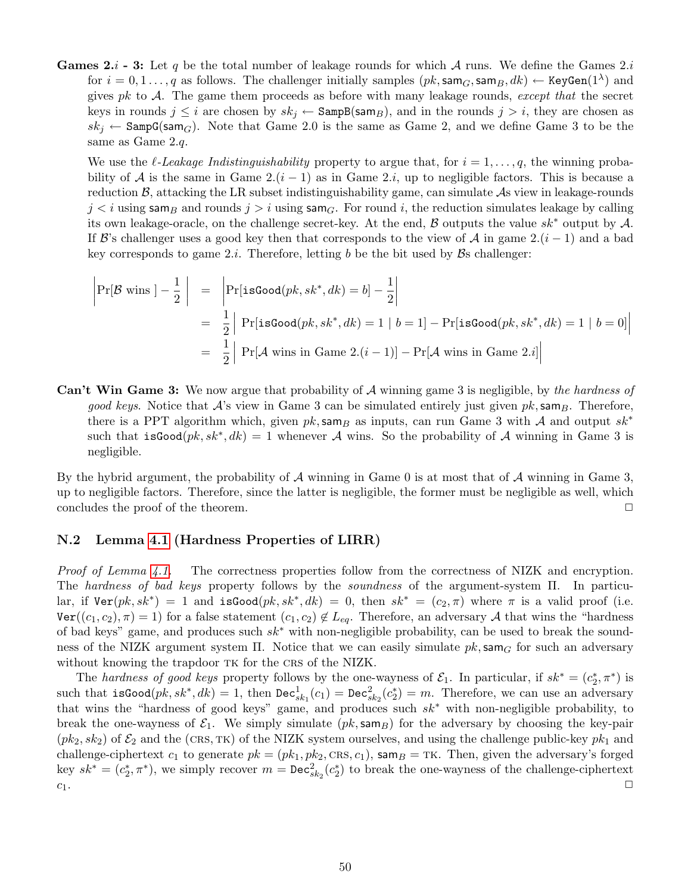**Games 2.**  $i$  - 3: Let q be the total number of leakage rounds for which A runs. We define the Games 2. for  $i=0,1\ldots,q$  as follows. The challenger initially samples  $(pk,\texttt{sam}_G,\texttt{sam}_B,dk) \leftarrow \texttt{KeyGen}(1^{\lambda})$  and gives pk to  $A$ . The game them proceeds as before with many leakage rounds, except that the secret keys in rounds  $j \leq i$  are chosen by  $sk_j \leftarrow$  SampB(sam<sub>B</sub>), and in the rounds  $j > i$ , they are chosen as  $sk_j \leftarrow$  SampG(sam<sub>G</sub>). Note that Game 2.0 is the same as Game 2, and we define Game 3 to be the same as Game 2.q.

We use the  $\ell$ -Leakage Indistinguishability property to argue that, for  $i = 1, \ldots, q$ , the winning probability of A is the same in Game 2. $(i - 1)$  as in Game 2.i, up to negligible factors. This is because a reduction  $\beta$ , attacking the LR subset indistinguishability game, can simulate  $\mathcal{A}$ s view in leakage-rounds  $j < i$  using sam<sub>B</sub> and rounds  $j > i$  using sam<sub>G</sub>. For round i, the reduction simulates leakage by calling its own leakage-oracle, on the challenge secret-key. At the end, B outputs the value  $sk^*$  output by A. If B's challenger uses a good key then that corresponds to the view of A in game  $2.(i - 1)$  and a bad key corresponds to game 2.*i*. Therefore, letting b be the bit used by  $\mathcal{B}s$  challenger:

$$
\begin{aligned}\n\left|\Pr[\mathcal{B} \text{ wins } ] - \frac{1}{2} \right| &= \left|\Pr[\text{isGood}(pk, sk^*, dk) = b] - \frac{1}{2}\right| \\
&= \frac{1}{2} \left|\Pr[\text{isGood}(pk, sk^*, dk) = 1 \mid b = 1] - \Pr[\text{isGood}(pk, sk^*, dk) = 1 \mid b = 0]\right| \\
&= \frac{1}{2} \left|\Pr[\mathcal{A} \text{ wins in Game 2}.(i-1)] - \Pr[\mathcal{A} \text{ wins in Game 2}.i]\right|\n\end{aligned}
$$

**Can't Win Game 3:** We now argue that probability of  $A$  winning game 3 is negligible, by the hardness of good keys. Notice that  $\mathcal{A}$ 's view in Game 3 can be simulated entirely just given  $pk$ , sam $_B$ . Therefore, there is a PPT algorithm which, given  $pk$ , sam<sub>B</sub> as inputs, can run Game 3 with A and output  $sk^*$ such that isGood $(pk, sk^*, dk) = 1$  whenever A wins. So the probability of A winning in Game 3 is negligible.

By the hybrid argument, the probability of  $A$  winning in Game 0 is at most that of  $A$  winning in Game 3, up to negligible factors. Therefore, since the latter is negligible, the former must be negligible as well, which concludes the proof of the theorem.  $\Box$ 

#### <span id="page-50-0"></span>N.2 Lemma [4.1](#page-8-1) (Hardness Properties of LIRR)

Proof of Lemma [4.1.](#page-8-1) The correctness properties follow from the correctness of NIZK and encryption. The hardness of bad keys property follows by the soundness of the argument-system Π. In particular, if  $\text{Ver}(pk, sk^*) = 1$  and  $\text{isGood}(pk, sk^*, dk) = 0$ , then  $sk^* = (c_2, \pi)$  where  $\pi$  is a valid proof (i.e.  $\text{Ver}((c_1, c_2), \pi) = 1$  for a false statement  $(c_1, c_2) \notin L_{eq}$ . Therefore, an adversary A that wins the "hardness" of bad keys" game, and produces such sk<sup>∗</sup> with non-negligible probability, can be used to break the soundness of the NIZK argument system  $\Pi$ . Notice that we can easily simulate  $pk$ , sam<sub>G</sub> for such an adversary without knowing the trapdoor TK for the CRS of the NIZK.

The hardness of good keys property follows by the one-wayness of  $\mathcal{E}_1$ . In particular, if  $sk^* = (c_2^*, \pi^*)$  is such that  $\texttt{isGood}(pk, sk^*, dk) = 1$ , then  $\texttt{Dec}_{sk_1}^1(c_1) = \texttt{Dec}_{sk_2}^2(c_2^*) = m$ . Therefore, we can use an adversary that wins the "hardness of good keys" game, and produces such  $sk^*$  with non-negligible probability, to break the one-wayness of  $\mathcal{E}_1$ . We simply simulate ( $pk$ , sam $_B$ ) for the adversary by choosing the key-pair  $(pk_2, sk_2)$  of  $\mathcal{E}_2$  and the (CRS, TK) of the NIZK system ourselves, and using the challenge public-key  $pk_1$  and challenge-ciphertext  $c_1$  to generate  $pk = (pk_1, pk_2, \text{CRs}, c_1)$ , sam $B = \text{TK}$ . Then, given the adversary's forged key  $sk^* = (c_2^*, \pi^*)$ , we simply recover  $m = \text{Dec}_{sk_2}^2(c_2^*)$  to break the one-wayness of the challenge-ciphertext  $c_1$ .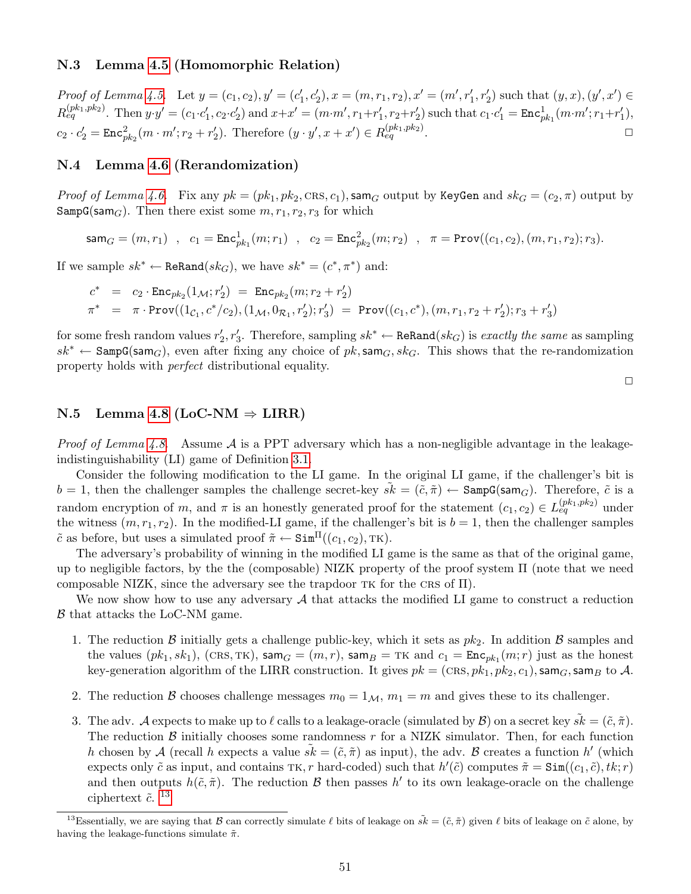#### <span id="page-51-0"></span>N.3 Lemma [4.5](#page-9-1) (Homomorphic Relation)

Proof of Lemma [4.5.](#page-9-1) Let  $y = (c_1, c_2), y' = (c'_1, c'_2), x = (m, r_1, r_2), x' = (m', r'_1, r'_2)$  such that  $(y, x), (y', x') \in$  $R_{eq}^{(pk_1,pk_2)}$ . Then  $y \cdot y' = (c_1 \cdot c_1', c_2 \cdot c_2')$  and  $x + x' = (m \cdot m', r_1 + r_1', r_2 + r_2')$  such that  $c_1 \cdot c_1' = \text{Enc}_{pk_1}^1(m \cdot m'; r_1 + r_1')$ ,  $c_2 \cdot c_2' = \text{Enc}_{pk_2}^2(m \cdot m'; r_2 + r_2').$  Therefore  $(y \cdot y', x + x') \in R_{eq}^{(pk_1, pk_2)}.$ 

#### <span id="page-51-1"></span>N.4 Lemma [4.6](#page-9-2) (Rerandomization)

*Proof of Lemma [4.6.](#page-9-2)* Fix any  $pk = (pk_1, pk_2, CRs, c_1)$ , sam<sub>G</sub> output by KeyGen and  $sk_G = (c_2, \pi)$  output by  $\texttt{SampG}(\texttt{sam}_G)$ . Then there exist some  $m, r_1, r_2, r_3$  for which

$$
sam_G = (m, r_1) , c_1 = \text{Enc}_{pk_1}^1(m; r_1) , c_2 = \text{Enc}_{pk_2}^2(m; r_2) , \pi = \text{Prov}((c_1, c_2), (m, r_1, r_2); r_3).
$$

If we sample  $sk^* \leftarrow \text{ReRand}(sk_G)$ , we have  $sk^* = (c^*, \pi^*)$  and:

$$
c^* = c_2 \cdot \text{Enc}_{pk_2}(1_{\mathcal{M}}; r'_2) = \text{Enc}_{pk_2}(m; r_2 + r'_2)
$$
  

$$
\pi^* = \pi \cdot \text{Prov}((1_{\mathcal{C}_1}, c^*/c_2), (1_{\mathcal{M}}, 0_{\mathcal{R}_1}, r'_2); r'_3) = \text{Prov}((c_1, c^*), (m, r_1, r_2 + r'_2); r_3 + r'_3)
$$

for some fresh random values  $r'_2, r'_3$ . Therefore, sampling  $sk^* \leftarrow \texttt{ReRand}(sk_G)$  is exactly the same as sampling  $sk^* \leftarrow$  SampG(sam<sub>G</sub>), even after fixing any choice of pk, sam<sub>G</sub>, sk<sub>G</sub>. This shows that the re-randomization property holds with perfect distributional equality.

#### <span id="page-51-2"></span>N.5 Lemma [4.8](#page-10-1) (LoC-NM  $\Rightarrow$  LIRR)

*Proof of Lemma [4.8.](#page-10-1)* Assume  $\mathcal A$  is a PPT adversary which has a non-negligible advantage in the leakageindistinguishability (LI) game of Definition [3.1.](#page-6-1)

Consider the following modification to the LI game. In the original LI game, if the challenger's bit is  $b = 1$ , then the challenger samples the challenge secret-key  $sk = (\tilde{c}, \tilde{\pi}) \leftarrow$  SampG(sam<sub>G</sub>). Therefore,  $\tilde{c}$  is a random encryption of m, and  $\pi$  is an honestly generated proof for the statement  $(c_1, c_2) \in L_{eq}^{(pk_1, pk_2)}$  under the witness  $(m, r_1, r_2)$ . In the modified-LI game, if the challenger's bit is  $b = 1$ , then the challenger samples  $\tilde{c}$  as before, but uses a simulated proof  $\tilde{\pi} \leftarrow \text{Sim}^{\Pi}((c_1, c_2), \text{TK})$ .

The adversary's probability of winning in the modified LI game is the same as that of the original game, up to negligible factors, by the the (composable) NIZK property of the proof system  $\Pi$  (note that we need composable NIZK, since the adversary see the trapdoor  $TK$  for the CRS of  $\Pi$ ).

We now show how to use any adversary  $A$  that attacks the modified LI game to construct a reduction B that attacks the LoC-NM game.

- 1. The reduction B initially gets a challenge public-key, which it sets as  $pk_2$ . In addition B samples and the values  $(pk_1, sk_1)$ ,  $(CRS, TK)$ ,  $sam_G = (m, r)$ ,  $sam_B = TK$  and  $c_1 = Enc_{pk_1}(m; r)$  just as the honest key-generation algorithm of the LIRR construction. It gives  $pk = (CRs, pk_1, pk_2, c_1)$ , sam<sub>G</sub>, sam<sub>B</sub> to A.
- 2. The reduction B chooses challenge messages  $m_0 = 1_M$ ,  $m_1 = m$  and gives these to its challenger.
- 3. The adv. A expects to make up to  $\ell$  calls to a leakage-oracle (simulated by  $\mathcal{B}$ ) on a secret key  $\tilde{s}\tilde{k} = (\tilde{c}, \tilde{\pi})$ . The reduction  $\beta$  initially chooses some randomness r for a NIZK simulator. Then, for each function h chosen by A (recall h expects a value  $\tilde{s}k = (\tilde{c}, \tilde{\pi})$  as input), the adv. B creates a function h' (which expects only  $\tilde{c}$  as input, and contains TK, r hard-coded) such that  $h'(\tilde{c})$  computes  $\tilde{\pi} = \text{Sim}((c_1, \tilde{c}), tk; r)$ and then outputs  $h(\tilde{c}, \tilde{\pi})$ . The reduction  $\mathcal{B}$  then passes h' to its own leakage-oracle on the challenge ciphertext  $\tilde{c}$ . <sup>[13](#page-51-3)</sup>

 $\Box$ 

<span id="page-51-3"></span><sup>&</sup>lt;sup>13</sup>Essentially, we are saying that B can correctly simulate  $\ell$  bits of leakage on  $\tilde{s}\vec{k} = (\tilde{c}, \tilde{\pi})$  given  $\ell$  bits of leakage on  $\tilde{c}$  alone, by having the leakage-functions simulate  $\tilde{\pi}$ .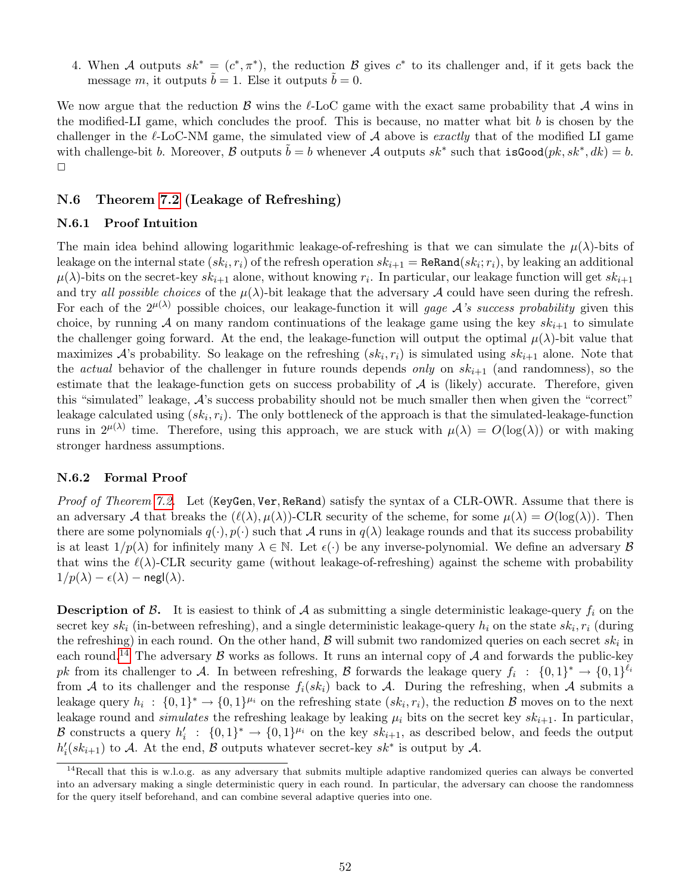4. When A outputs  $sk^* = (c^*, \pi^*)$ , the reduction B gives  $c^*$  to its challenger and, if it gets back the message m, it outputs  $\tilde{b} = 1$ . Else it outputs  $\tilde{b} = 0$ .

We now argue that the reduction B wins the  $\ell$ -LoC game with the exact same probability that A wins in the modified-LI game, which concludes the proof. This is because, no matter what bit b is chosen by the challenger in the  $\ell$ -LoC-NM game, the simulated view of A above is exactly that of the modified LI game with challenge-bit b. Moreover, B outputs  $\tilde{b} = b$  whenever A outputs  $sk^*$  such that  $isGood(pk, sk^*, dk) = b$ .  $\Box$ 

#### <span id="page-52-0"></span>N.6 Theorem [7.2](#page-16-1) (Leakage of Refreshing)

#### <span id="page-52-1"></span>N.6.1 Proof Intuition

The main idea behind allowing logarithmic leakage-of-refreshing is that we can simulate the  $\mu(\lambda)$ -bits of leakage on the internal state  $(sk_i, r_i)$  of the refresh operation  $sk_{i+1} = \texttt{ReRand}(sk_i; r_i)$ , by leaking an additional  $\mu(\lambda)$ -bits on the secret-key  $sk_{i+1}$  alone, without knowing  $r_i$ . In particular, our leakage function will get  $sk_{i+1}$ and try all possible choices of the  $\mu(\lambda)$ -bit leakage that the adversary A could have seen during the refresh. For each of the  $2^{\mu(\lambda)}$  possible choices, our leakage-function it will gage A's success probability given this choice, by running A on many random continuations of the leakage game using the key  $sk_{i+1}$  to simulate the challenger going forward. At the end, the leakage-function will output the optimal  $\mu(\lambda)$ -bit value that maximizes  $A$ 's probability. So leakage on the refreshing  $(sk_i, r_i)$  is simulated using  $sk_{i+1}$  alone. Note that the *actual* behavior of the challenger in future rounds depends *only* on  $sk_{i+1}$  (and randomness), so the estimate that the leakage-function gets on success probability of  $A$  is (likely) accurate. Therefore, given this "simulated" leakage, A's success probability should not be much smaller then when given the "correct" leakage calculated using  $(sk_i, r_i)$ . The only bottleneck of the approach is that the simulated-leakage-function runs in  $2^{\mu(\lambda)}$  time. Therefore, using this approach, we are stuck with  $\mu(\lambda) = O(\log(\lambda))$  or with making stronger hardness assumptions.

#### <span id="page-52-2"></span>N.6.2 Formal Proof

Proof of Theorem [7.2.](#page-16-1) Let (KeyGen, Ver, ReRand) satisfy the syntax of a CLR-OWR. Assume that there is an adversary A that breaks the  $(\ell(\lambda), \mu(\lambda))$ -CLR security of the scheme, for some  $\mu(\lambda) = O(\log(\lambda))$ . Then there are some polynomials  $q(\cdot), p(\cdot)$  such that A runs in  $q(\lambda)$  leakage rounds and that its success probability is at least  $1/p(\lambda)$  for infinitely many  $\lambda \in \mathbb{N}$ . Let  $\epsilon(\cdot)$  be any inverse-polynomial. We define an adversary  $\beta$ that wins the  $\ell(\lambda)$ -CLR security game (without leakage-of-refreshing) against the scheme with probability  $1/p(\lambda) - \epsilon(\lambda)$  – negl( $\lambda$ ).

**Description of B.** It is easiest to think of A as submitting a single deterministic leakage-query  $f_i$  on the secret key  $sk_i$  (in-between refreshing), and a single deterministic leakage-query  $h_i$  on the state  $sk_i, r_i$  (during the refreshing) in each round. On the other hand,  $\mathcal B$  will submit two randomized queries on each secret  $sk_i$  in each round.<sup>[14](#page-52-3)</sup> The adversary  $\beta$  works as follows. It runs an internal copy of  $\mathcal A$  and forwards the public-key pk from its challenger to A. In between refreshing, B forwards the leakage query  $f_i : \{0,1\}^* \to \{0,1\}^{\ell_i}$ from A to its challenger and the response  $f_i(sk_i)$  back to A. During the refreshing, when A submits a leakage query  $h_i: \{0,1\}^* \to \{0,1\}^{\mu_i}$  on the refreshing state  $(sk_i, r_i)$ , the reduction  $\mathcal B$  moves on to the next leakage round and simulates the refreshing leakage by leaking  $\mu_i$  bits on the secret key s $k_{i+1}$ . In particular, B constructs a query  $h'_i$ :  $\{0,1\}^* \to \{0,1\}^{\mu_i}$  on the key  $sk_{i+1}$ , as described below, and feeds the output  $h'_i(sk_{i+1})$  to A. At the end, B outputs whatever secret-key  $sk^*$  is output by A.

<span id="page-52-3"></span> $14}$ Recall that this is w.l.o.g. as any adversary that submits multiple adaptive randomized queries can always be converted into an adversary making a single deterministic query in each round. In particular, the adversary can choose the randomness for the query itself beforehand, and can combine several adaptive queries into one.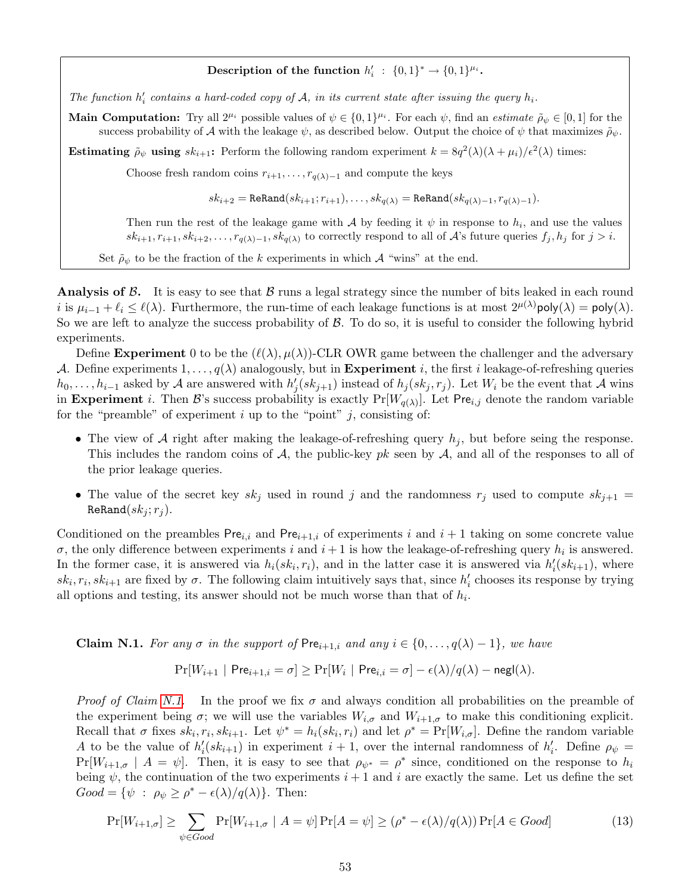## Description of the function  $h'_i$ :  $\{0,1\}^* \rightarrow \{0,1\}^{\mu_i}$ .

The function  $h'_i$  contains a hard-coded copy of A, in its current state after issuing the query  $h_i$ .

**Main Computation:** Try all  $2^{\mu_i}$  possible values of  $\psi \in \{0,1\}^{\mu_i}$ . For each  $\psi$ , find an *estimate*  $\tilde{\rho}_{\psi} \in [0,1]$  for the success probability of A with the leakage  $\psi$ , as described below. Output the choice of  $\psi$  that maximizes  $\tilde{\rho}_{\psi}$ .

**Estimating**  $\tilde{\rho}_{\psi}$  using  $sk_{i+1}$ : Perform the following random experiment  $k = 8q^2(\lambda)(\lambda + \mu_i)/\epsilon^2(\lambda)$  times:

Choose fresh random coins  $r_{i+1}, \ldots, r_{q(\lambda)-1}$  and compute the keys

 $sk_{i+2} = \text{ReRand}(sk_{i+1}; r_{i+1}), \ldots, sk_{q(\lambda)} = \text{ReRand}(sk_{q(\lambda)-1}, r_{q(\lambda)-1}).$ 

Then run the rest of the leakage game with A by feeding it  $\psi$  in response to  $h_i$ , and use the values  $sk_{i+1}, r_{i+1}, sk_{i+2}, \ldots, r_{q(\lambda)-1}, sk_{q(\lambda)}$  to correctly respond to all of A's future queries  $f_j, h_j$  for  $j > i$ .

Set  $\tilde{\rho}_{\psi}$  to be the fraction of the k experiments in which A "wins" at the end.

Analysis of  $\beta$ . It is easy to see that  $\beta$  runs a legal strategy since the number of bits leaked in each round i is  $\mu_{i-1} + \ell_i \leq \ell(\lambda)$ . Furthermore, the run-time of each leakage functions is at most  $2^{\mu(\lambda)}$ poly $(\lambda) = \text{poly}(\lambda)$ . So we are left to analyze the success probability of  $\beta$ . To do so, it is useful to consider the following hybrid experiments.

Define Experiment 0 to be the  $(\ell(\lambda), \mu(\lambda))$ -CLR OWR game between the challenger and the adversary A. Define experiments  $1, \ldots, q(\lambda)$  analogously, but in **Experiment** i, the first i leakage-of-refreshing queries  $h_0, \ldots, h_{i-1}$  asked by A are answered with  $h'_j(sk_{j+1})$  instead of  $h_j(sk_j, r_j)$ . Let  $W_i$  be the event that A wins in Experiment *i*. Then B's success probability is exactly  $Pr[W_{q(\lambda)}]$ . Let Pre<sub>i,j</sub> denote the random variable for the "preamble" of experiment  $i$  up to the "point"  $j$ , consisting of:

- The view of A right after making the leakage-of-refreshing query  $h_j$ , but before seing the response. This includes the random coins of A, the public-key pk seen by A, and all of the responses to all of the prior leakage queries.
- The value of the secret key  $sk_j$  used in round j and the randomness  $r_j$  used to compute  $sk_{j+1}$  =  $\texttt{ReRand}(sk_j; r_j).$

Conditioned on the preambles  $Pre_{i,i}$  and  $Pre_{i+1,i}$  of experiments i and  $i+1$  taking on some concrete value  $\sigma$ , the only difference between experiments i and  $i+1$  is how the leakage-of-refreshing query  $h_i$  is answered. In the former case, it is answered via  $h_i(sk_i, r_i)$ , and in the latter case it is answered via  $h'_i(sk_{i+1})$ , where  $sk_i, r_i, sk_{i+1}$  are fixed by  $\sigma$ . The following claim intuitively says that, since  $h'_i$  chooses its response by trying all options and testing, its answer should not be much worse than that of  $h_i$ .

<span id="page-53-0"></span>**Claim N.1.** For any  $\sigma$  in the support of Pre<sub>i+1,i</sub> and any  $i \in \{0, \ldots, q(\lambda) - 1\}$ , we have

<span id="page-53-1"></span>
$$
\Pr[W_{i+1} \mid \mathsf{Pre}_{i+1,i} = \sigma] \ge \Pr[W_i \mid \mathsf{Pre}_{i,i} = \sigma] - \epsilon(\lambda)/q(\lambda) - \mathsf{negl}(\lambda).
$$

*Proof of Claim [N.1.](#page-53-0)* In the proof we fix  $\sigma$  and always condition all probabilities on the preamble of the experiment being  $\sigma$ ; we will use the variables  $W_{i,\sigma}$  and  $W_{i+1,\sigma}$  to make this conditioning explicit. Recall that  $\sigma$  fixes  $sk_i, r_i, sk_{i+1}$ . Let  $\psi^* = h_i(sk_i, r_i)$  and let  $\rho^* = \Pr[W_{i,\sigma}]$ . Define the random variable A to be the value of  $h'_i(sk_{i+1})$  in experiment  $i+1$ , over the internal randomness of  $h'_i$ . Define  $\rho_{\psi}$  =  $Pr[W_{i+1,\sigma} | A = \psi]$ . Then, it is easy to see that  $\rho_{\psi^*} = \rho^*$  since, conditioned on the response to  $h_i$ being  $\psi$ , the continuation of the two experiments  $i+1$  and i are exactly the same. Let us define the set  $Good = {\psi : \rho_{\psi} \geq \rho^* - \epsilon(\lambda)/q(\lambda)}$ . Then:

$$
\Pr[W_{i+1,\sigma}] \ge \sum_{\psi \in Good} \Pr[W_{i+1,\sigma} \mid A = \psi] \Pr[A = \psi] \ge (\rho^* - \epsilon(\lambda)/q(\lambda)) \Pr[A \in Good] \tag{13}
$$